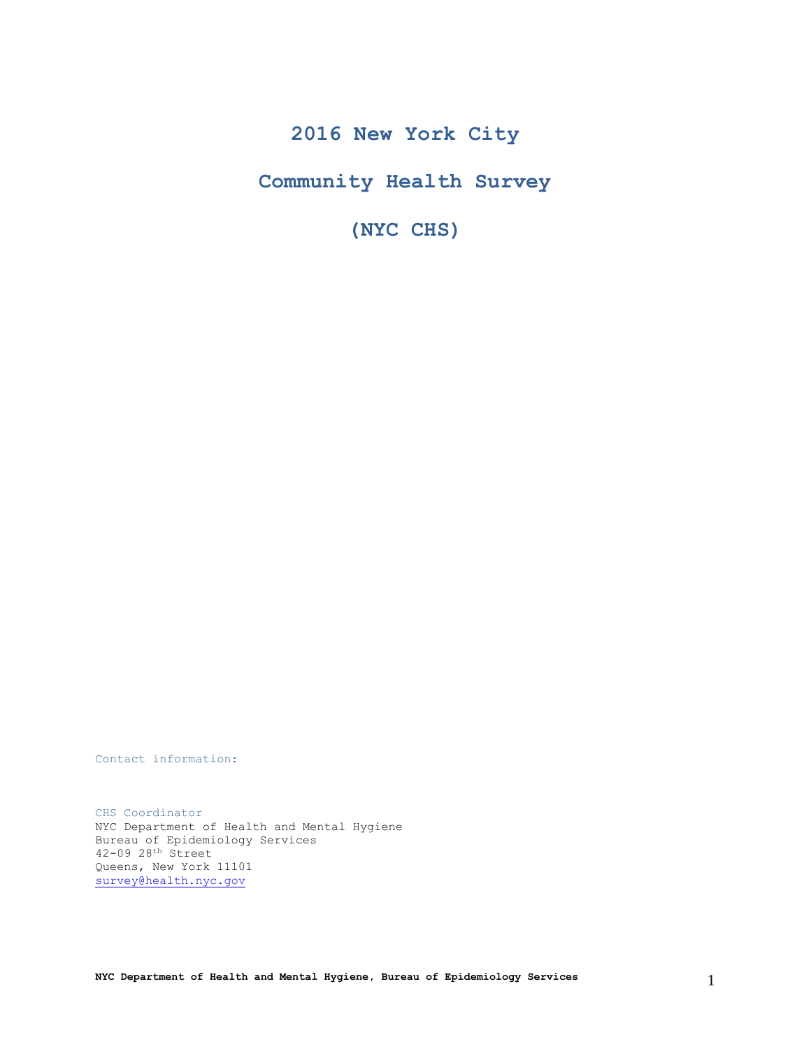# **2016 New York City**

**Community Health Survey**

**(NYC CHS)**

Contact information:

CHS Coordinator NYC Department of Health and Mental Hygiene Bureau of Epidemiology Services 42-09 28th Street Queens, New York 11101 [survey@health.nyc.gov](mailto:survey@health.nyc.gov)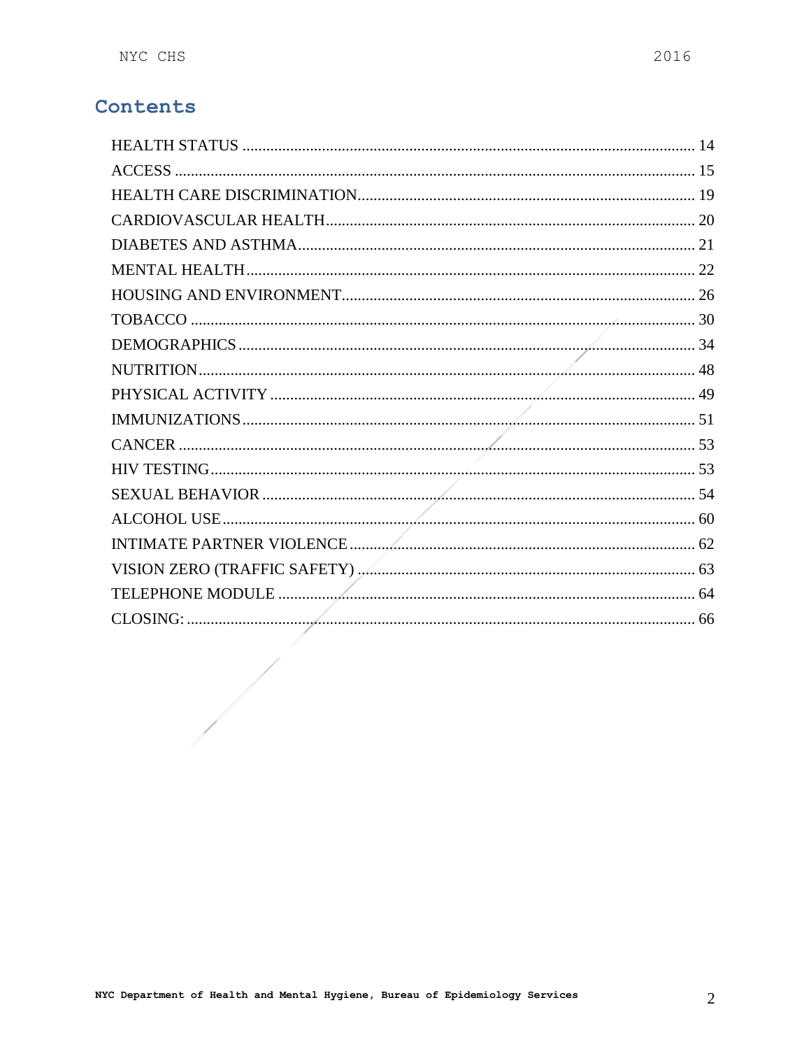# Contents

 $\begin{array}{c} \begin{array}{c} \begin{array}{c} \begin{array}{c} \end{array} \\ \begin{array}{c} \end{array} \end{array} \end{array} \end{array}$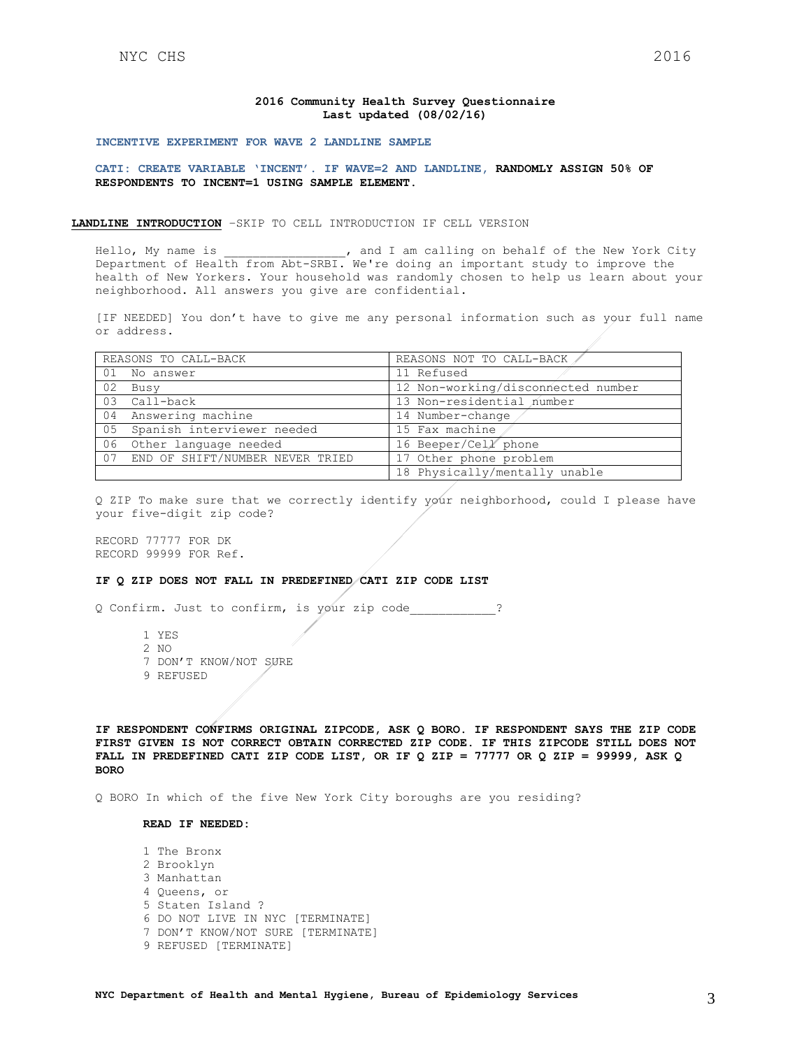#### **2016 Community Health Survey Questionnaire Last updated (08/02/16)**

#### **INCENTIVE EXPERIMENT FOR WAVE 2 LANDLINE SAMPLE**

**CATI: CREATE VARIABLE 'INCENT'. IF WAVE=2 AND LANDLINE, RANDOMLY ASSIGN 50% OF RESPONDENTS TO INCENT=1 USING SAMPLE ELEMENT.**

#### **LANDLINE INTRODUCTION** –SKIP TO CELL INTRODUCTION IF CELL VERSION

Hello, My name is  $\qquad \qquad$ , and I am calling on behalf of the New York City Department of Health from Abt-SRBI. We're doing an important study to improve the health of New Yorkers. Your household was randomly chosen to help us learn about your neighborhood. All answers you give are confidential.

[IF NEEDED] You don't have to give me any personal information such as your full name or address.

|    | REASONS TO CALL-BACK            | REASONS NOT TO CALL-BACK           |
|----|---------------------------------|------------------------------------|
|    | 01 No answer                    | 11 Refused                         |
| 02 | Busy                            | 12 Non-working/disconnected number |
| 03 | Call-back                       | 13 Non-residential number          |
| 04 | Answering machine               | 14 Number-change                   |
| 05 | Spanish interviewer needed      | 15 Fax machine                     |
| 06 | Other language needed           | 16 Beeper/Cell phone               |
| 07 | END OF SHIFT/NUMBER NEVER TRIED | 17 Other phone problem             |
|    |                                 | 18 Physically/mentally unable      |

Q ZIP To make sure that we correctly identify your neighborhood, could I please have your five-digit zip code?

RECORD 77777 FOR DK RECORD 99999 FOR Ref.

#### **IF Q ZIP DOES NOT FALL IN PREDEFINED CATI ZIP CODE LIST**

Q Confirm. Just to confirm, is your zip code\_\_\_\_\_\_\_\_\_\_\_\_?

- 1 YES
- 2 NO
- 7 DON'T KNOW/NOT SURE
- 9 REFUSED

**IF RESPONDENT CONFIRMS ORIGINAL ZIPCODE, ASK Q BORO. IF RESPONDENT SAYS THE ZIP CODE FIRST GIVEN IS NOT CORRECT OBTAIN CORRECTED ZIP CODE. IF THIS ZIPCODE STILL DOES NOT FALL IN PREDEFINED CATI ZIP CODE LIST, OR IF Q ZIP = 77777 OR Q ZIP = 99999, ASK Q BORO**

Q BORO In which of the five New York City boroughs are you residing?

### **READ IF NEEDED:**

1 The Bronx 2 Brooklyn 3 Manhattan 4 Queens, or 5 Staten Island ? 6 DO NOT LIVE IN NYC [TERMINATE] 7 DON'T KNOW/NOT SURE [TERMINATE] 9 REFUSED [TERMINATE]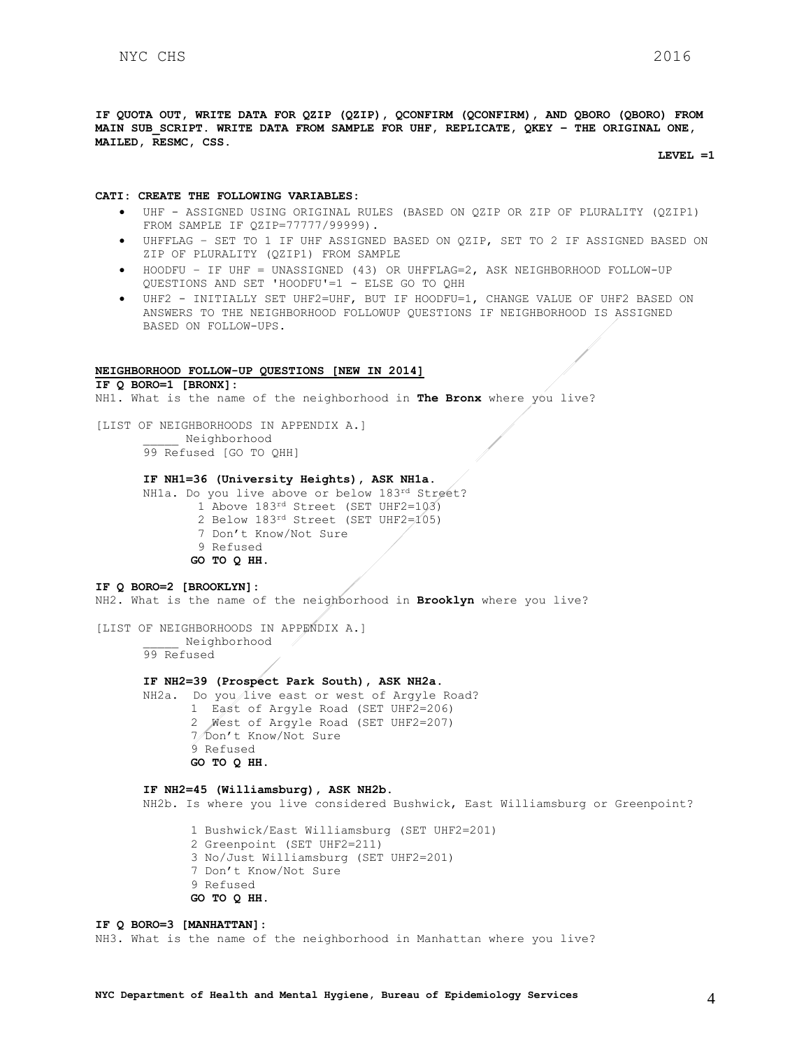**IF QUOTA OUT, WRITE DATA FOR QZIP (QZIP), QCONFIRM (QCONFIRM), AND QBORO (QBORO) FROM MAIN SUB\_SCRIPT. WRITE DATA FROM SAMPLE FOR UHF, REPLICATE, QKEY – THE ORIGINAL ONE, MAILED, RESMC, CSS.**

**LEVEL =1**

#### **CATI: CREATE THE FOLLOWING VARIABLES:**

- UHF ASSIGNED USING ORIGINAL RULES (BASED ON QZIP OR ZIP OF PLURALITY (QZIP1) FROM SAMPLE IF QZIP=77777/99999).
- UHFFLAG SET TO 1 IF UHF ASSIGNED BASED ON QZIP, SET TO 2 IF ASSIGNED BASED ON ZIP OF PLURALITY (QZIP1) FROM SAMPLE
- HOODFU IF UHF = UNASSIGNED (43) OR UHFFLAG=2, ASK NEIGHBORHOOD FOLLOW-UP QUESTIONS AND SET 'HOODFU'=1 - ELSE GO TO QHH
- UHF2 INITIALLY SET UHF2=UHF, BUT IF HOODFU=1, CHANGE VALUE OF UHF2 BASED ON ANSWERS TO THE NEIGHBORHOOD FOLLOWUP QUESTIONS IF NEIGHBORHOOD IS ASSIGNED BASED ON FOLLOW-UPS.

## **NEIGHBORHOOD FOLLOW-UP QUESTIONS [NEW IN 2014]**

**IF Q BORO=1 [BRONX]:**

NH1. What is the name of the neighborhood in **The Bronx** where you live?

[LIST OF NEIGHBORHOODS IN APPENDIX A.] \_\_\_\_\_ Neighborhood 99 Refused [GO TO QHH]

## **IF NH1=36 (University Heights), ASK NH1a.**

NH1a. Do you live above or below 183rd Street?

- 1 Above 183rd Street (SET UHF2=103)
- 2 Below 183rd Street (SET UHF2=105)
- 7 Don't Know/Not Sure
- 9 Refused **GO TO Q HH.**

### **IF Q BORO=2 [BROOKLYN]:**

NH2. What is the name of the neighborhood in **Brooklyn** where you live?

[LIST OF NEIGHBORHOODS IN APPENDIX A.] \_\_\_\_\_ Neighborhood

99 Refused

## **IF NH2=39 (Prospect Park South), ASK NH2a.**

NH2a. Do you live east or west of Argyle Road? 1 East of Argyle Road (SET UHF2=206) 2 West of Argyle Road (SET UHF2=207) 7 Don't Know/Not Sure 9 Refused **GO TO Q HH.** 

#### **IF NH2=45 (Williamsburg), ASK NH2b.** NH2b. Is where you live considered Bushwick, East Williamsburg or Greenpoint?

1 Bushwick/East Williamsburg (SET UHF2=201) 2 Greenpoint (SET UHF2=211) 3 No/Just Williamsburg (SET UHF2=201) 7 Don't Know/Not Sure 9 Refused **GO TO Q HH.** 

#### **IF Q BORO=3 [MANHATTAN]:**

NH3. What is the name of the neighborhood in Manhattan where you live?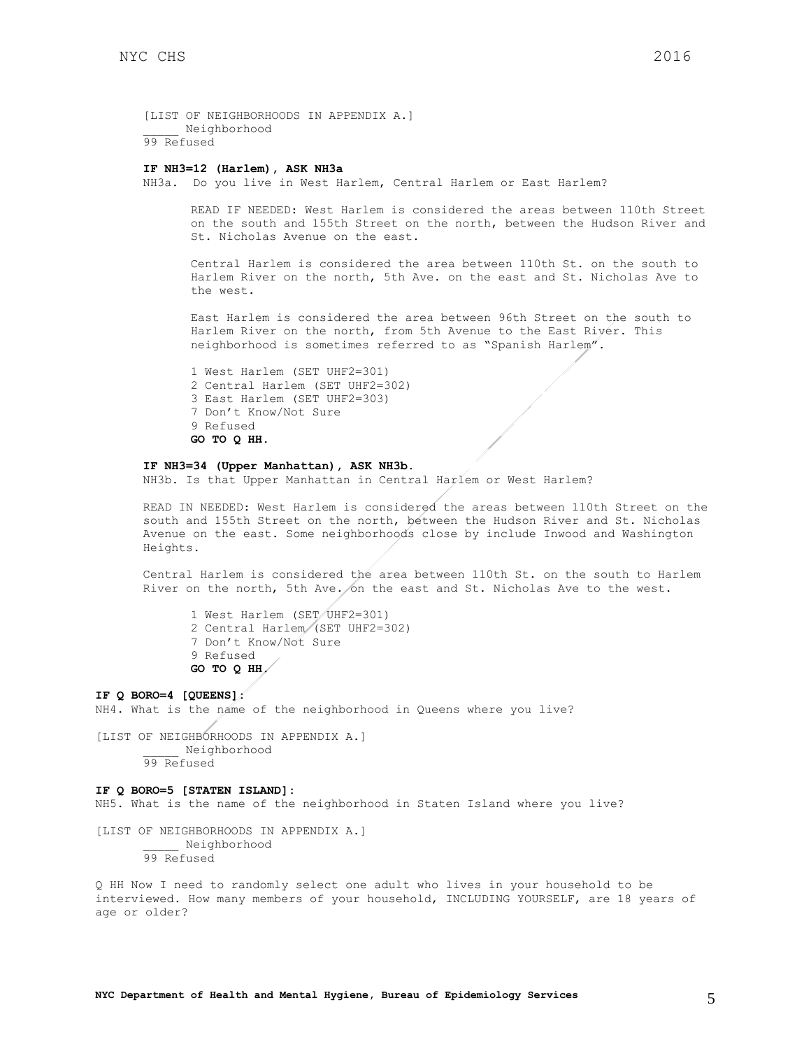[LIST OF NEIGHBORHOODS IN APPENDIX A.] \_\_\_\_\_ Neighborhood 99 Refused

## **IF NH3=12 (Harlem), ASK NH3a**

NH3a. Do you live in West Harlem, Central Harlem or East Harlem?

READ IF NEEDED: West Harlem is considered the areas between 110th Street on the south and 155th Street on the north, between the Hudson River and St. Nicholas Avenue on the east.

Central Harlem is considered the area between 110th St. on the south to Harlem River on the north, 5th Ave. on the east and St. Nicholas Ave to the west.

East Harlem is considered the area between 96th Street on the south to Harlem River on the north, from 5th Avenue to the East River. This neighborhood is sometimes referred to as "Spanish Harlem".

1 West Harlem (SET UHF2=301) 2 Central Harlem (SET UHF2=302) 3 East Harlem (SET UHF2=303) 7 Don't Know/Not Sure 9 Refused **GO TO Q HH.** 

#### **IF NH3=34 (Upper Manhattan), ASK NH3b.**

NH3b. Is that Upper Manhattan in Central Harlem or West Harlem?

READ IN NEEDED: West Harlem is considered the areas between 110th Street on the south and 155th Street on the north, between the Hudson River and St. Nicholas Avenue on the east. Some neighborhoods close by include Inwood and Washington Heights.

Central Harlem is considered the area between 110th St. on the south to Harlem River on the north, 5th Ave. on the east and St. Nicholas Ave to the west.

1 West Harlem (SET UHF2=301) 2 Central Harlem (SET UHF2=302) 7 Don't Know/Not Sure 9 Refused **GO TO Q HH.** 

**IF Q BORO=4 [QUEENS]:** NH4. What is the name of the neighborhood in Queens where you live? [LIST OF NEIGHBORHOODS IN APPENDIX A.] \_\_\_\_\_ Neighborhood

99 Refused

#### **IF Q BORO=5 [STATEN ISLAND]:**

NH5. What is the name of the neighborhood in Staten Island where you live?

[LIST OF NEIGHBORHOODS IN APPENDIX A.] \_\_\_\_\_ Neighborhood 99 Refused

Q HH Now I need to randomly select one adult who lives in your household to be interviewed. How many members of your household, INCLUDING YOURSELF, are 18 years of age or older?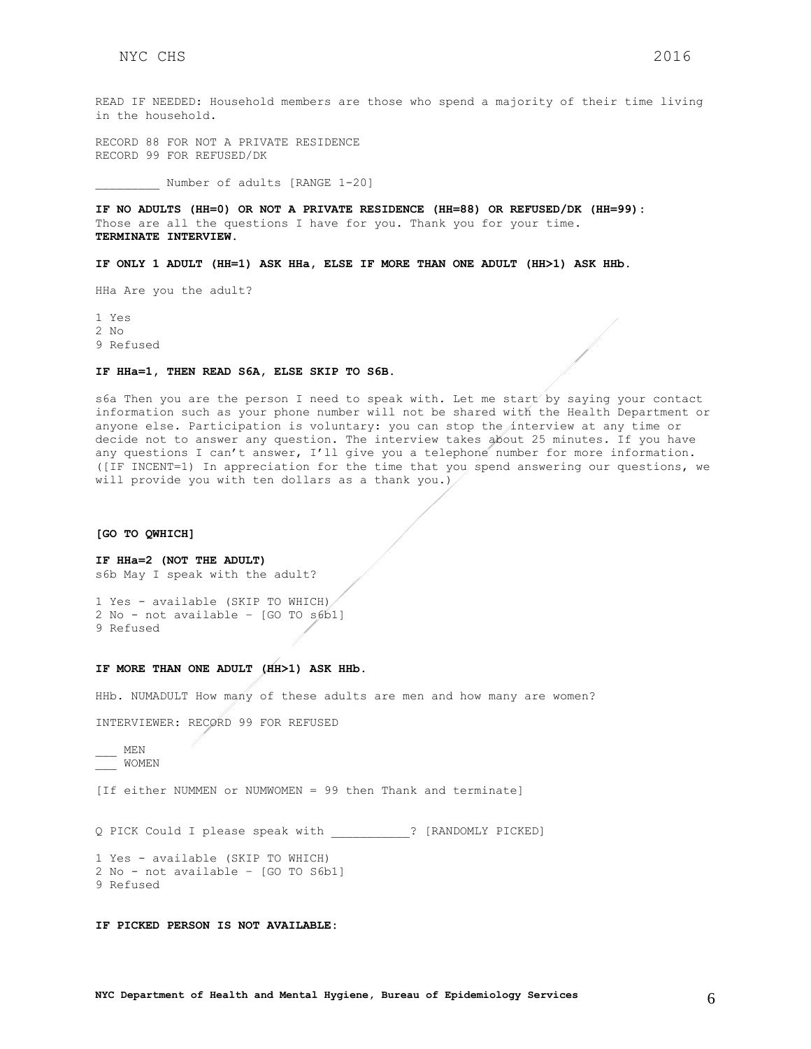READ IF NEEDED: Household members are those who spend a majority of their time living in the household.

RECORD 88 FOR NOT A PRIVATE RESIDENCE RECORD 99 FOR REFUSED/DK

Number of adults [RANGE 1-20]

**IF NO ADULTS (HH=0) OR NOT A PRIVATE RESIDENCE (HH=88) OR REFUSED/DK (HH=99):** Those are all the questions I have for you. Thank you for your time. **TERMINATE INTERVIEW.**

**IF ONLY 1 ADULT (HH=1) ASK HHa, ELSE IF MORE THAN ONE ADULT (HH>1) ASK HHb.**

HHa Are you the adult?

1 Yes 2 No 9 Refused

**IF HHa=1, THEN READ S6A, ELSE SKIP TO S6B.**

s6a Then you are the person I need to speak with. Let me start by saying your contact information such as your phone number will not be shared with the Health Department or anyone else. Participation is voluntary: you can stop the interview at any time or decide not to answer any question. The interview takes about 25 minutes. If you have any questions I can't answer, I'll give you a telephone number for more information. ([IF INCENT=1) In appreciation for the time that you spend answering our questions, we will provide you with ten dollars as a thank you.)

**[GO TO QWHICH]**

```
IF HHa=2 (NOT THE ADULT)
s6b May I speak with the adult?
```
1 Yes - available (SKIP TO WHICH) 2 No - not available – [GO TO s6b1] 9 Refused

#### **IF MORE THAN ONE ADULT (HH>1) ASK HHb.**

HHb. NUMADULT How many of these adults are men and how many are women?

INTERVIEWER: RECORD 99 FOR REFUSED

 $\overline{\phantom{0}}$  MEN \_\_\_ WOMEN

[If either NUMMEN or NUMWOMEN = 99 then Thank and terminate]

Q PICK Could I please speak with \_\_\_\_\_\_\_\_\_\_\_? [RANDOMLY PICKED]

1 Yes - available (SKIP TO WHICH) 2 No - not available – [GO TO S6b1] 9 Refused

**IF PICKED PERSON IS NOT AVAILABLE:**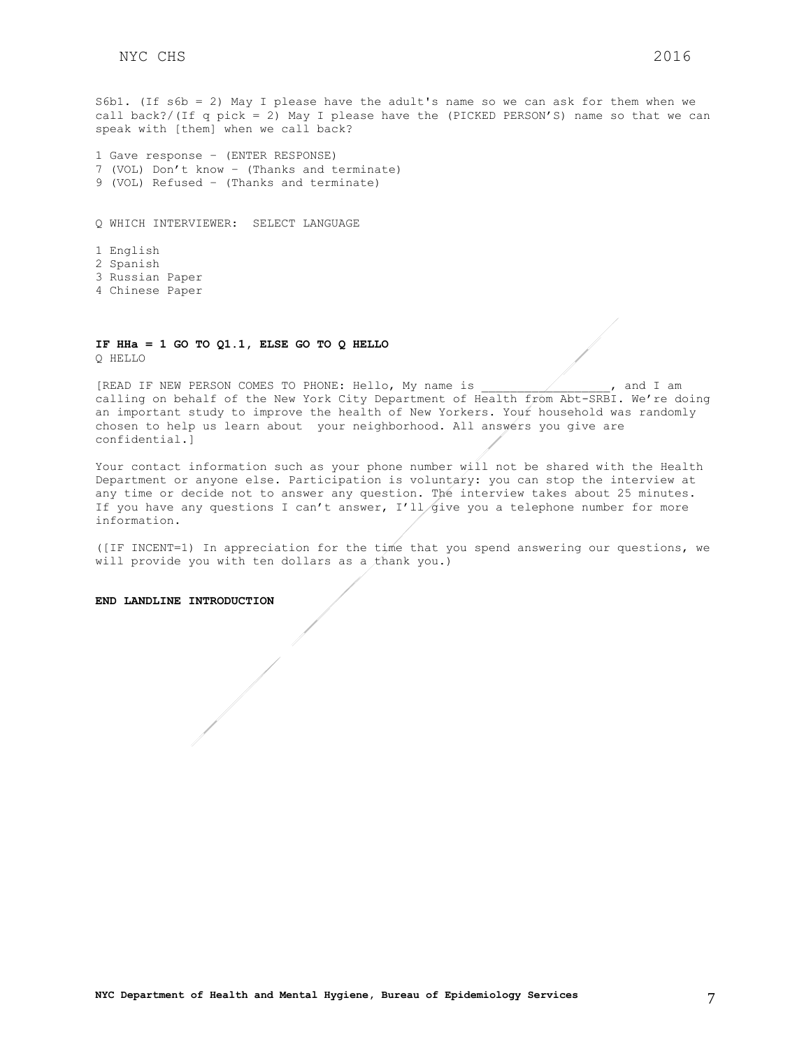S6b1. (If s6b = 2) May I please have the adult's name so we can ask for them when we call back?/(If q pick = 2) May I please have the (PICKED PERSON'S) name so that we can speak with [them] when we call back?

```
1 Gave response – (ENTER RESPONSE)
7 (VOL) Don't know – (Thanks and terminate)
9 (VOL) Refused – (Thanks and terminate)
```
Q WHICH INTERVIEWER: SELECT LANGUAGE

1 English 2 Spanish 3 Russian Paper 4 Chinese Paper

#### **IF HHa = 1 GO TO Q1.1, ELSE GO TO Q HELLO** Q HELLO

[READ IF NEW PERSON COMES TO PHONE: Hello, My name is \_\_\_\_\_\_\_\_\_\_\_\_\_\_\_\_\_\_, and I am calling on behalf of the New York City Department of Health from Abt-SRBI. We're doing an important study to improve the health of New Yorkers. Your household was randomly chosen to help us learn about your neighborhood. All answers you give are confidential.]

Your contact information such as your phone number will not be shared with the Health Department or anyone else. Participation is voluntary: you can stop the interview at any time or decide not to answer any question. The interview takes about 25 minutes. If you have any questions I can't answer,  $I'11/gi$  you a telephone number for more information.

([IF INCENT=1) In appreciation for the time that you spend answering our questions, we will provide you with ten dollars as a thank you.)

**END LANDLINE INTRODUCTION**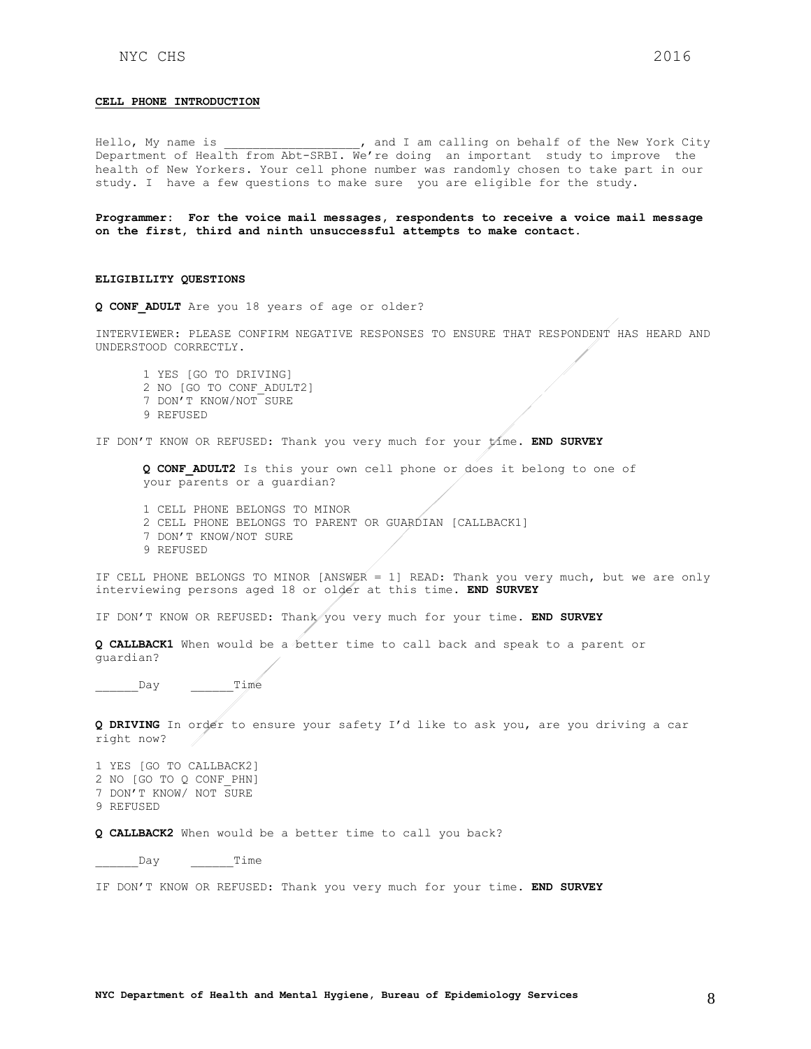#### **CELL PHONE INTRODUCTION**

Hello, My name is  $\qquad \qquad$ , and I am calling on behalf of the New York City Department of Health from Abt-SRBI. We're doing an important study to improve the health of New Yorkers. Your cell phone number was randomly chosen to take part in our study. I have a few questions to make sure you are eligible for the study.

**Programmer: For the voice mail messages, respondents to receive a voice mail message on the first, third and ninth unsuccessful attempts to make contact.** 

#### **ELIGIBILITY QUESTIONS**

**Q CONF\_ADULT** Are you 18 years of age or older?

INTERVIEWER: PLEASE CONFIRM NEGATIVE RESPONSES TO ENSURE THAT RESPONDENT HAS HEARD AND UNDERSTOOD CORRECTLY.

1 YES [GO TO DRIVING] 2 NO [GO TO CONF\_ADULT2] 7 DON'T KNOW/NOT SURE 9 REFUSED

IF DON'T KNOW OR REFUSED: Thank you very much for your time. **END SURVEY**

**Q CONF\_ADULT2** Is this your own cell phone or does it belong to one of your parents or a guardian?

- 1 CELL PHONE BELONGS TO MINOR 2 CELL PHONE BELONGS TO PARENT OR GUARDIAN [CALLBACK1]
- 7 DON'T KNOW/NOT SURE
- 9 REFUSED

IF CELL PHONE BELONGS TO MINOR [ANSWER = 1] READ: Thank you very much, but we are only interviewing persons aged 18 or older at this time. **END SURVEY**

IF DON'T KNOW OR REFUSED: Thank you very much for your time. **END SURVEY**

**Q CALLBACK1** When would be a better time to call back and speak to a parent or guardian?

\_\_\_\_\_\_Day \_\_\_\_\_\_Time

**Q DRIVING** In order to ensure your safety I'd like to ask you, are you driving a car right now?

1 YES [GO TO CALLBACK2] 2 NO [GO TO Q CONF\_PHN] 7 DON'T KNOW/ NOT SURE 9 REFUSED

**Q CALLBACK2** When would be a better time to call you back?

\_\_\_\_\_\_Day \_\_\_\_\_\_Time

IF DON'T KNOW OR REFUSED: Thank you very much for your time. **END SURVEY**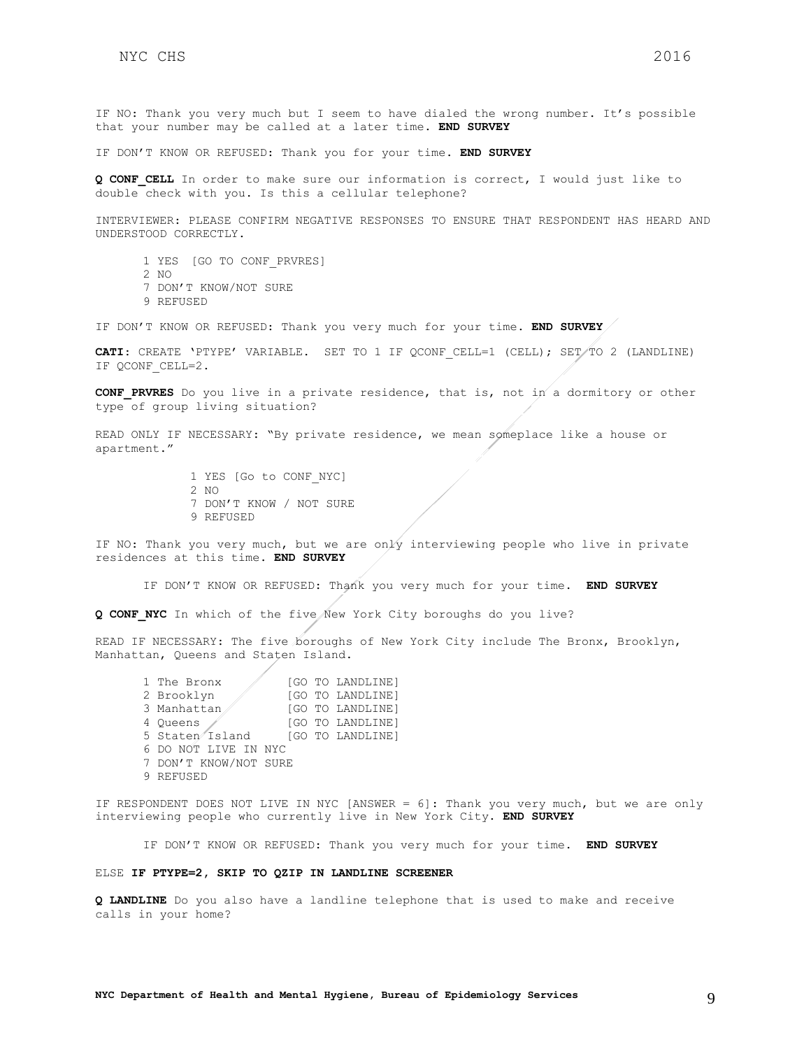IF NO: Thank you very much but I seem to have dialed the wrong number. It's possible that your number may be called at a later time. **END SURVEY**

IF DON'T KNOW OR REFUSED: Thank you for your time. **END SURVEY**

**Q CONF\_CELL** In order to make sure our information is correct, I would just like to double check with you. Is this a cellular telephone?

INTERVIEWER: PLEASE CONFIRM NEGATIVE RESPONSES TO ENSURE THAT RESPONDENT HAS HEARD AND UNDERSTOOD CORRECTLY.

- 1 YES [GO TO CONF\_PRVRES]
- 2 NO
- 7 DON'T KNOW/NOT SURE
- 9 REFUSED

IF DON'T KNOW OR REFUSED: Thank you very much for your time. **END SURVEY**

CATI: CREATE 'PTYPE' VARIABLE. SET TO 1 IF QCONF CELL=1 (CELL); SET/TO 2 (LANDLINE) IF QCONF\_CELL=2.

**CONF\_PRVRES** Do you live in a private residence, that is, not in a dormitory or other type of group living situation?

READ ONLY IF NECESSARY: "By private residence, we mean someplace like a house or apartment."

> 1 YES [Go to CONF\_NYC] 2 NO 7 DON'T KNOW / NOT SURE 9 REFUSED

IF NO: Thank you very much, but we are only interviewing people who live in private residences at this time. **END SURVEY**

IF DON'T KNOW OR REFUSED: Thank you very much for your time. **END SURVEY**

**Q CONF\_NYC** In which of the five New York City boroughs do you live?

READ IF NECESSARY: The five boroughs of New York City include The Bronx, Brooklyn, Manhattan, Queens and Staten Island.

1 The Bronx [GO TO LANDLINE]<br>2 Brooklyn [GO TO LANDLINE] [GO TO LANDLINE] 3 Manhattan [GO TO LANDLINE] 4 Queens (GO TO LANDLINE) 5 Staten Island [GO TO LANDLINE] 6 DO NOT LIVE IN NYC 7 DON'T KNOW/NOT SURE 9 REFUSED

IF RESPONDENT DOES NOT LIVE IN NYC [ANSWER = 6]: Thank you very much, but we are only interviewing people who currently live in New York City. **END SURVEY**

IF DON'T KNOW OR REFUSED: Thank you very much for your time. **END SURVEY**

#### ELSE **IF PTYPE=2, SKIP TO QZIP IN LANDLINE SCREENER**

**Q LANDLINE** Do you also have a landline telephone that is used to make and receive calls in your home?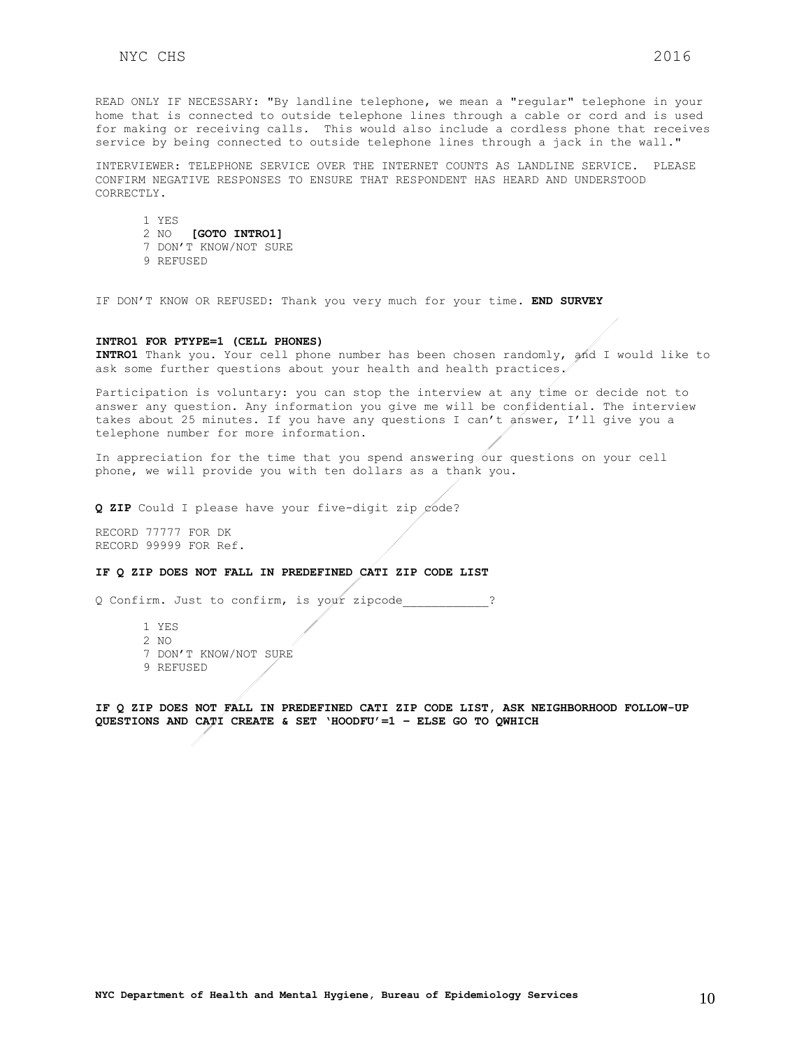READ ONLY IF NECESSARY: "By landline telephone, we mean a "regular" telephone in your home that is connected to outside telephone lines through a cable or cord and is used for making or receiving calls. This would also include a cordless phone that receives service by being connected to outside telephone lines through a jack in the wall."

INTERVIEWER: TELEPHONE SERVICE OVER THE INTERNET COUNTS AS LANDLINE SERVICE. PLEASE CONFIRM NEGATIVE RESPONSES TO ENSURE THAT RESPONDENT HAS HEARD AND UNDERSTOOD CORRECTLY.

1 YES 2 NO **[GOTO INTRO1]** 7 DON'T KNOW/NOT SURE

9 REFUSED

IF DON'T KNOW OR REFUSED: Thank you very much for your time. **END SURVEY**

#### **INTRO1 FOR PTYPE=1 (CELL PHONES)**

**INTRO1** Thank you. Your cell phone number has been chosen randomly, and I would like to ask some further questions about your health and health practices.

Participation is voluntary: you can stop the interview at any time or decide not to answer any question. Any information you give me will be confidential. The interview takes about 25 minutes. If you have any questions I can't answer, I'll give you a telephone number for more information.

In appreciation for the time that you spend answering our questions on your cell phone, we will provide you with ten dollars as a thank you.

**Q ZIP** Could I please have your five-digit zip code?

RECORD 77777 FOR DK RECORD 99999 FOR Ref.

#### **IF Q ZIP DOES NOT FALL IN PREDEFINED CATI ZIP CODE LIST**

Q Confirm. Just to confirm, is your zipcode\_\_\_\_\_\_\_\_\_\_\_\_?

- 1 YES
- 2 NO
- 7 DON'T KNOW/NOT SURE
- 9 REFUSED

**IF Q ZIP DOES NOT FALL IN PREDEFINED CATI ZIP CODE LIST, ASK NEIGHBORHOOD FOLLOW-UP QUESTIONS AND CATI CREATE & SET 'HOODFU'=1 – ELSE GO TO QWHICH**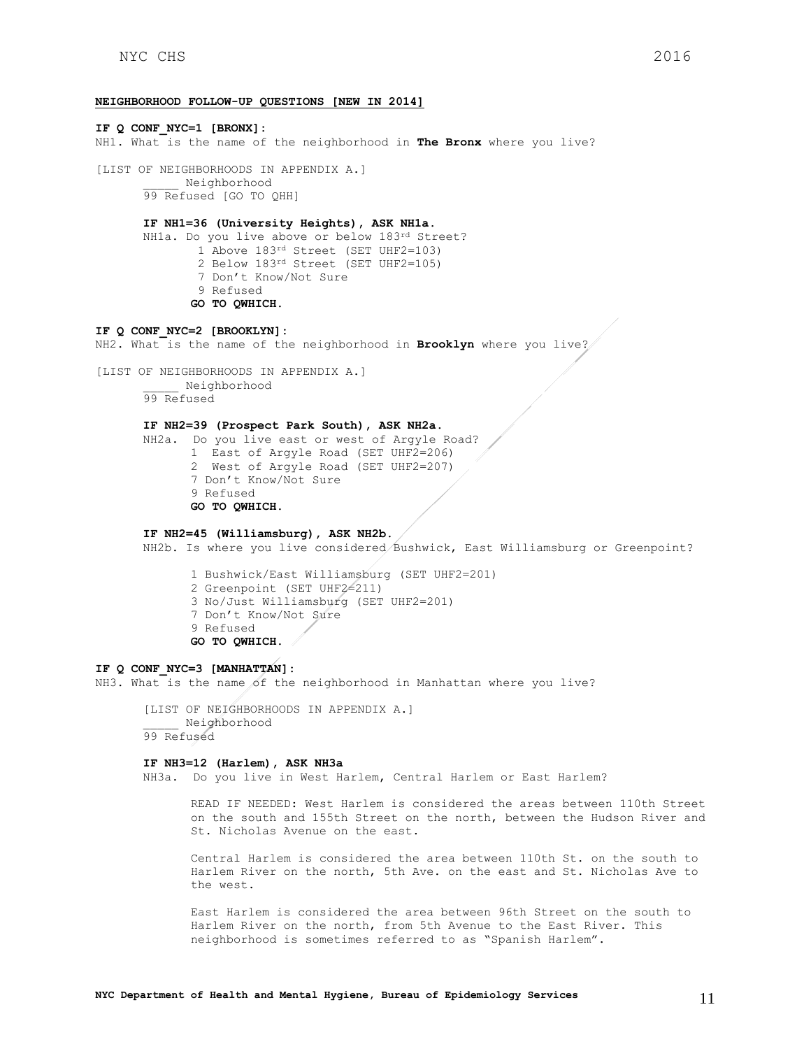#### **NEIGHBORHOOD FOLLOW-UP QUESTIONS [NEW IN 2014]**

**IF Q CONF\_NYC=1 [BRONX]:** NH1. What is the name of the neighborhood in **The Bronx** where you live? [LIST OF NEIGHBORHOODS IN APPENDIX A.] \_\_\_\_\_ Neighborhood 99 Refused [GO TO QHH] **IF NH1=36 (University Heights), ASK NH1a.** NH1a. Do you live above or below 183rd Street? 1 Above 183<sup>rd</sup> Street (SET UHF2=103) 2 Below 183rd Street (SET UHF2=105) 7 Don't Know/Not Sure 9 Refused **GO TO QWHICH. IF Q CONF\_NYC=2 [BROOKLYN]:** NH2. What is the name of the neighborhood in **Brooklyn** where you live? [LIST OF NEIGHBORHOODS IN APPENDIX A.] \_\_\_\_\_ Neighborhood 99 Refused **IF NH2=39 (Prospect Park South), ASK NH2a.** NH2a. Do you live east or west of Argyle Road? 1 East of Argyle Road (SET UHF2=206) 2 West of Argyle Road (SET UHF2=207) 7 Don't Know/Not Sure 9 Refused **GO TO QWHICH. IF NH2=45 (Williamsburg), ASK NH2b.** NH2b. Is where you live considered Bushwick, East Williamsburg or Greenpoint? 1 Bushwick/East Williamsburg (SET UHF2=201)

2 Greenpoint (SET UHF2=211)

- 3 No/Just Williamsburg (SET UHF2=201)
- 7 Don't Know/Not Sure
- 9 Refused **GO TO QWHICH.**

## **IF Q CONF\_NYC=3 [MANHATTAN]:**

NH3. What is the name of the neighborhood in Manhattan where you live?

[LIST OF NEIGHBORHOODS IN APPENDIX A.] \_\_\_\_\_ Neighborhood 99 Refused

#### **IF NH3=12 (Harlem), ASK NH3a**

NH3a. Do you live in West Harlem, Central Harlem or East Harlem?

READ IF NEEDED: West Harlem is considered the areas between 110th Street on the south and 155th Street on the north, between the Hudson River and St. Nicholas Avenue on the east.

Central Harlem is considered the area between 110th St. on the south to Harlem River on the north, 5th Ave. on the east and St. Nicholas Ave to the west.

East Harlem is considered the area between 96th Street on the south to Harlem River on the north, from 5th Avenue to the East River. This neighborhood is sometimes referred to as "Spanish Harlem".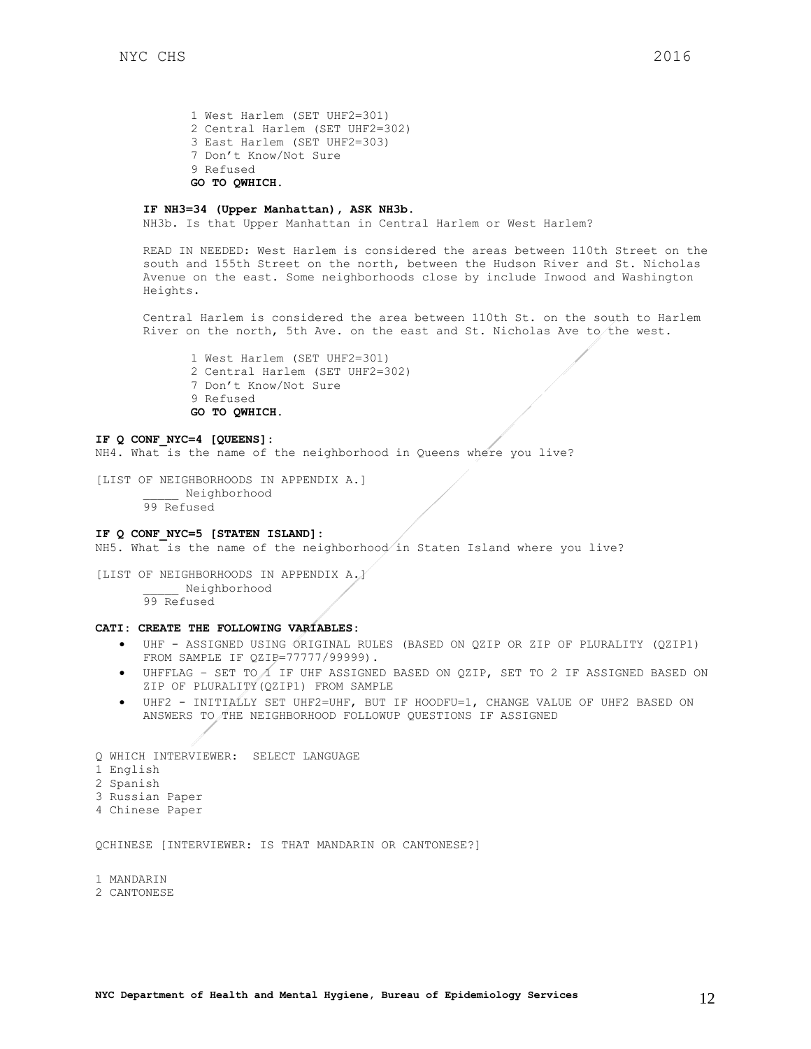1 West Harlem (SET UHF2=301) 2 Central Harlem (SET UHF2=302) 3 East Harlem (SET UHF2=303) 7 Don't Know/Not Sure 9 Refused **GO TO QWHICH.** 

#### **IF NH3=34 (Upper Manhattan), ASK NH3b.**

NH3b. Is that Upper Manhattan in Central Harlem or West Harlem?

READ IN NEEDED: West Harlem is considered the areas between 110th Street on the south and 155th Street on the north, between the Hudson River and St. Nicholas Avenue on the east. Some neighborhoods close by include Inwood and Washington Heights.

Central Harlem is considered the area between 110th St. on the south to Harlem River on the north, 5th Ave. on the east and St. Nicholas Ave to the west.

1 West Harlem (SET UHF2=301) 2 Central Harlem (SET UHF2=302) 7 Don't Know/Not Sure 9 Refused **GO TO QWHICH.** 

#### **IF Q CONF\_NYC=4 [QUEENS]:**

NH4. What is the name of the neighborhood in Queens where you live?

[LIST OF NEIGHBORHOODS IN APPENDIX A.] \_\_\_\_\_ Neighborhood 99 Refused

### **IF Q CONF\_NYC=5 [STATEN ISLAND]:**

NH5. What is the name of the neighborhood in Staten Island where you live?

[LIST OF NEIGHBORHOODS IN APPENDIX A.] \_\_\_\_\_ Neighborhood 99 Refused

## **CATI: CREATE THE FOLLOWING VARIABLES:**

- UHF ASSIGNED USING ORIGINAL RULES (BASED ON QZIP OR ZIP OF PLURALITY (QZIP1) FROM SAMPLE IF QZIP=77777/99999).
- $\bullet$  UHFFLAG SET TO  $\Lambda$  IF UHF ASSIGNED BASED ON QZIP, SET TO 2 IF ASSIGNED BASED ON ZIP OF PLURALITY(QZIP1) FROM SAMPLE
- UHF2 INITIALLY SET UHF2=UHF, BUT IF HOODFU=1, CHANGE VALUE OF UHF2 BASED ON ANSWERS TO THE NEIGHBORHOOD FOLLOWUP QUESTIONS IF ASSIGNED

Q WHICH INTERVIEWER: SELECT LANGUAGE 1 English 2 Spanish 3 Russian Paper 4 Chinese Paper

QCHINESE [INTERVIEWER: IS THAT MANDARIN OR CANTONESE?]

1 MANDARIN

#### 2 CANTONESE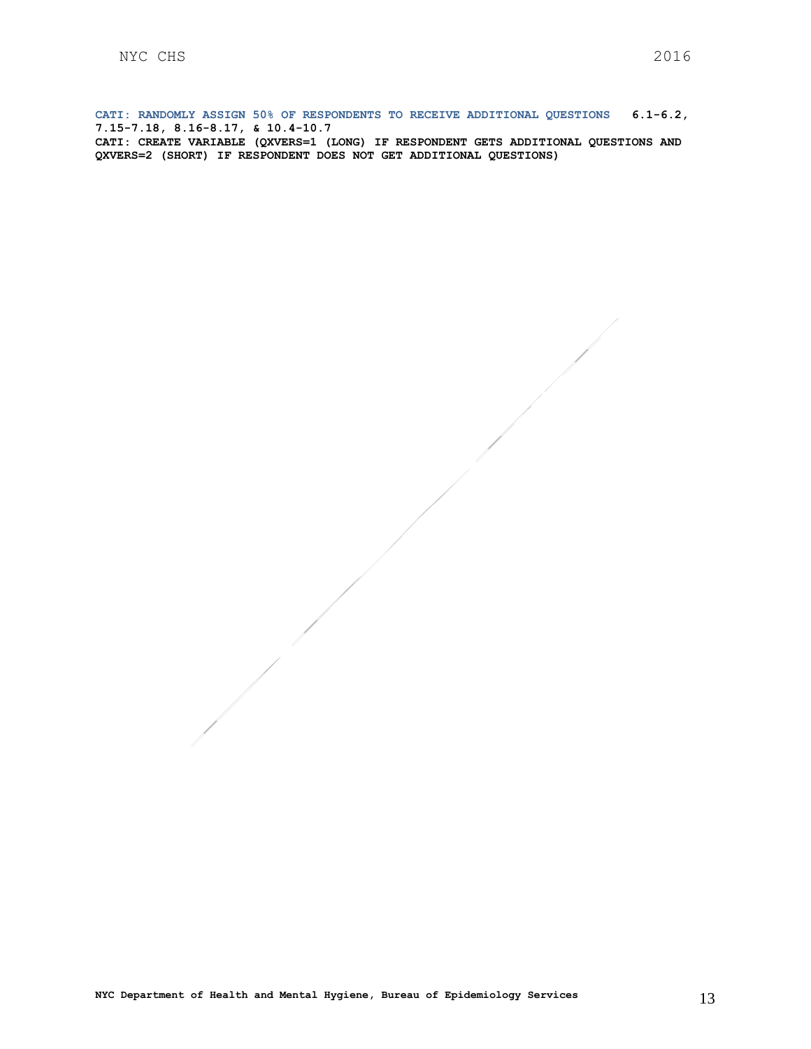**CATI: RANDOMLY ASSIGN 50% OF RESPONDENTS TO RECEIVE ADDITIONAL QUESTIONS 6.1-6.2, 7.15-7.18, 8.16-8.17, & 10.4-10.7 CATI: CREATE VARIABLE (QXVERS=1 (LONG) IF RESPONDENT GETS ADDITIONAL QUESTIONS AND QXVERS=2 (SHORT) IF RESPONDENT DOES NOT GET ADDITIONAL QUESTIONS)**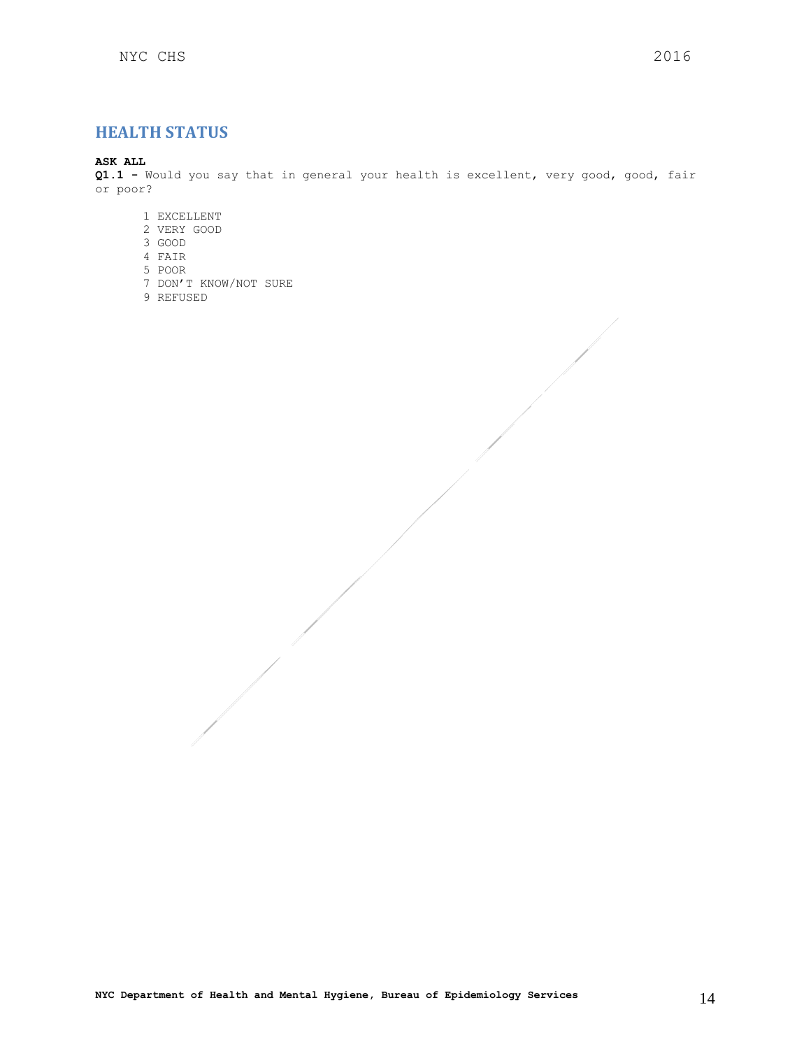## <span id="page-13-0"></span>**HEALTH STATUS**

## **ASK ALL**

**Q1.1 -** Would you say that in general your health is excellent, very good, good, fair or poor?

- 1 EXCELLENT
- 2 VERY GOOD
- 3 GOOD
- 4 FAIR
- 5 POOR
- 7 DON'T KNOW/NOT SURE
- 9 REFUSED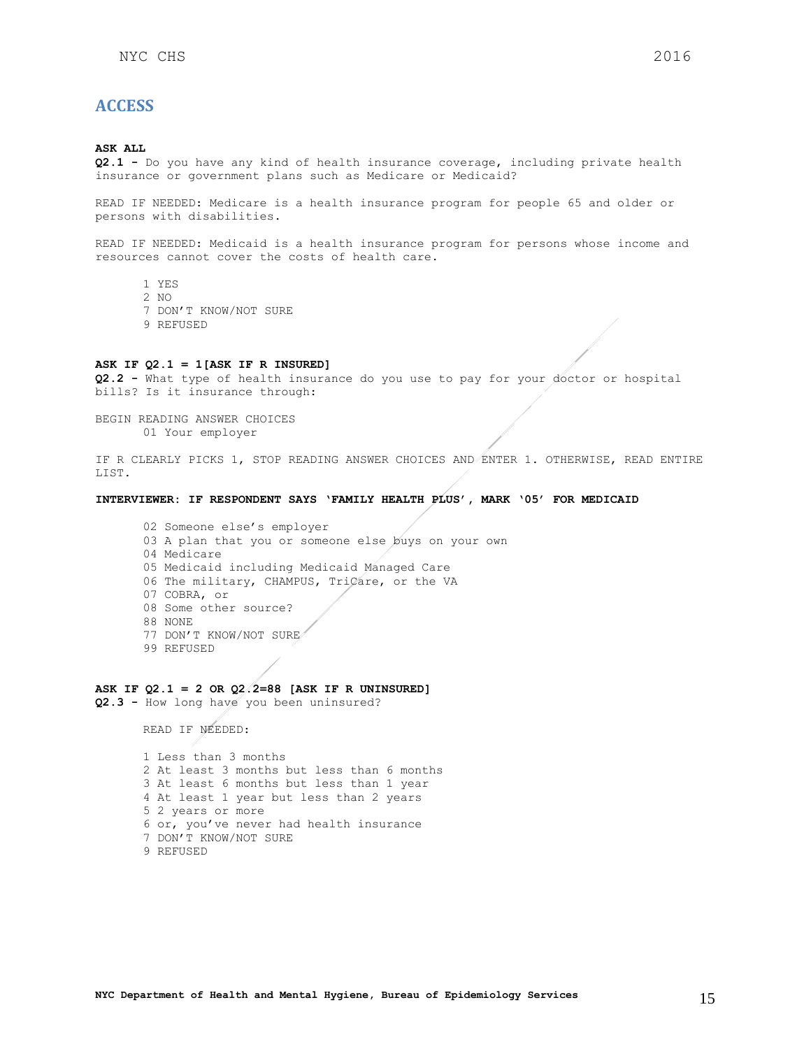## <span id="page-14-0"></span>**ACCESS**

#### **ASK ALL**

**Q2.1 -** Do you have any kind of health insurance coverage, including private health insurance or government plans such as Medicare or Medicaid?

READ IF NEEDED: Medicare is a health insurance program for people 65 and older or persons with disabilities.

READ IF NEEDED: Medicaid is a health insurance program for persons whose income and resources cannot cover the costs of health care.

- 1 YES
- 2 NO
- 7 DON'T KNOW/NOT SURE
- 9 REFUSED

### **ASK IF Q2.1 = 1[ASK IF R INSURED]**

**Q2.2 -** What type of health insurance do you use to pay for your doctor or hospital bills? Is it insurance through:

BEGIN READING ANSWER CHOICES 01 Your employer

IF R CLEARLY PICKS 1, STOP READING ANSWER CHOICES AND ENTER 1. OTHERWISE, READ ENTIRE LIST.

#### **INTERVIEWER: IF RESPONDENT SAYS 'FAMILY HEALTH PLUS', MARK '05' FOR MEDICAID**

02 Someone else's employer 03 A plan that you or someone else buys on your own 04 Medicare 05 Medicaid including Medicaid Managed Care 06 The military, CHAMPUS, TriCare, or the VA 07 COBRA, or 08 Some other source? 88 NONE 77 DON'T KNOW/NOT SURE 99 REFUSED

### **ASK IF Q2.1 = 2 OR Q2.2=88 [ASK IF R UNINSURED]**

**Q2.3 -** How long have you been uninsured?

READ IF NEEDED:

1 Less than 3 months 2 At least 3 months but less than 6 months 3 At least 6 months but less than 1 year 4 At least 1 year but less than 2 years 5 2 years or more 6 or, you've never had health insurance 7 DON'T KNOW/NOT SURE 9 REFUSED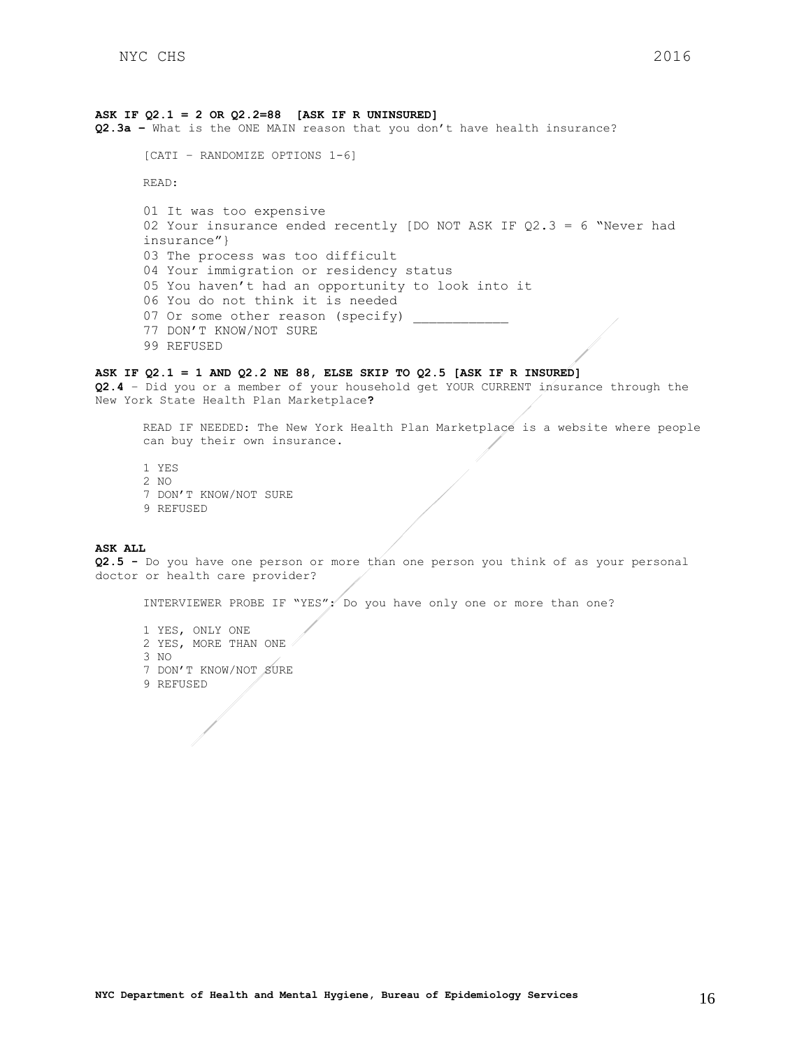### **ASK IF Q2.1 = 2 OR Q2.2=88 [ASK IF R UNINSURED]**

**Q2.3a –** What is the ONE MAIN reason that you don't have health insurance?

```
[CATI – RANDOMIZE OPTIONS 1-6]
```
READ:

```
01 It was too expensive
02 Your insurance ended recently [DO NOT ASK IF Q2.3 = 6 "Never had 
insurance"}
03 The process was too difficult
04 Your immigration or residency status
05 You haven't had an opportunity to look into it
06 You do not think it is needed
07 Or some other reason (specify)
77 DON'T KNOW/NOT SURE
99 REFUSED
```
### **ASK IF Q2.1 = 1 AND Q2.2 NE 88, ELSE SKIP TO Q2.5 [ASK IF R INSURED]**

**Q2.4** – Did you or a member of your household get YOUR CURRENT insurance through the New York State Health Plan Marketplace**?**

READ IF NEEDED: The New York Health Plan Marketplace is a website where people can buy their own insurance.

1 YES 2 NO 7 DON'T KNOW/NOT SURE 9 REFUSED

#### **ASK ALL**

**Q2.5 -** Do you have one person or more than one person you think of as your personal doctor or health care provider?

INTERVIEWER PROBE IF "YES": Do you have only one or more than one?

1 YES, ONLY ONE 2 YES, MORE THAN ONE 3 NO 7 DON'T KNOW/NOT SURE 9 REFUSED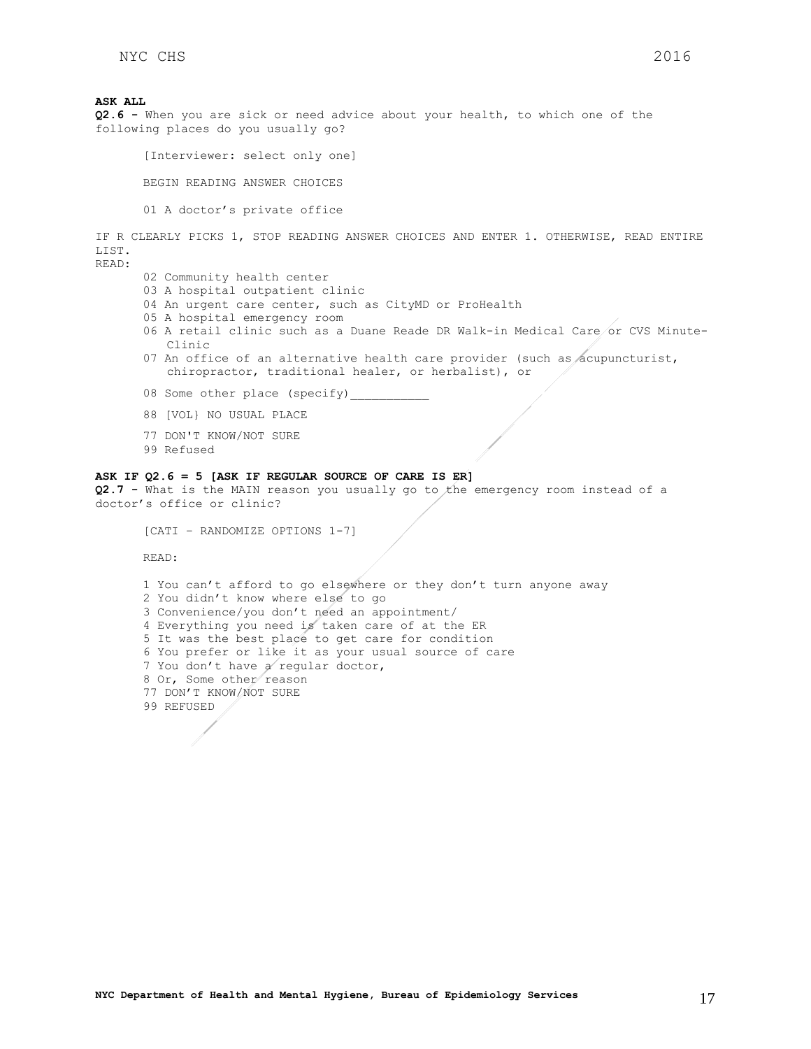**ASK ALL Q2.6 -** When you are sick or need advice about your health, to which one of the following places do you usually go?

[Interviewer: select only one]

BEGIN READING ANSWER CHOICES

01 A doctor's private office

IF R CLEARLY PICKS 1, STOP READING ANSWER CHOICES AND ENTER 1. OTHERWISE, READ ENTIRE LIST.

READ:

- 02 Community health center
- 03 A hospital outpatient clinic
- 04 An urgent care center, such as CityMD or ProHealth
- 05 A hospital emergency room
- 06 A retail clinic such as a Duane Reade DR Walk-in Medical Care or CVS Minute-Clinic
- 07 An office of an alternative health care provider (such as acupuncturist, chiropractor, traditional healer, or herbalist), or
- 08 Some other place (specify)\_
- 88 [VOL} NO USUAL PLACE
- 77 DON'T KNOW/NOT SURE
- 99 Refused

### **ASK IF Q2.6 = 5 [ASK IF REGULAR SOURCE OF CARE IS ER]**

**Q2.7 -** What is the MAIN reason you usually go to the emergency room instead of a doctor's office or clinic?

```
[CATI – RANDOMIZE OPTIONS 1-7]
```
READ:

```
1 You can't afford to go elsewhere or they don't turn anyone away
2 You didn't know where else to go
3 Convenience/you don't need an appointment/
4 Everything you need is taken care of at the ER
5 It was the best place to get care for condition
6 You prefer or like it as your usual source of care
7 You don't have a regular doctor, 
8 Or, Some other reason
77 DON'T KNOW/NOT SURE
99 REFUSED
```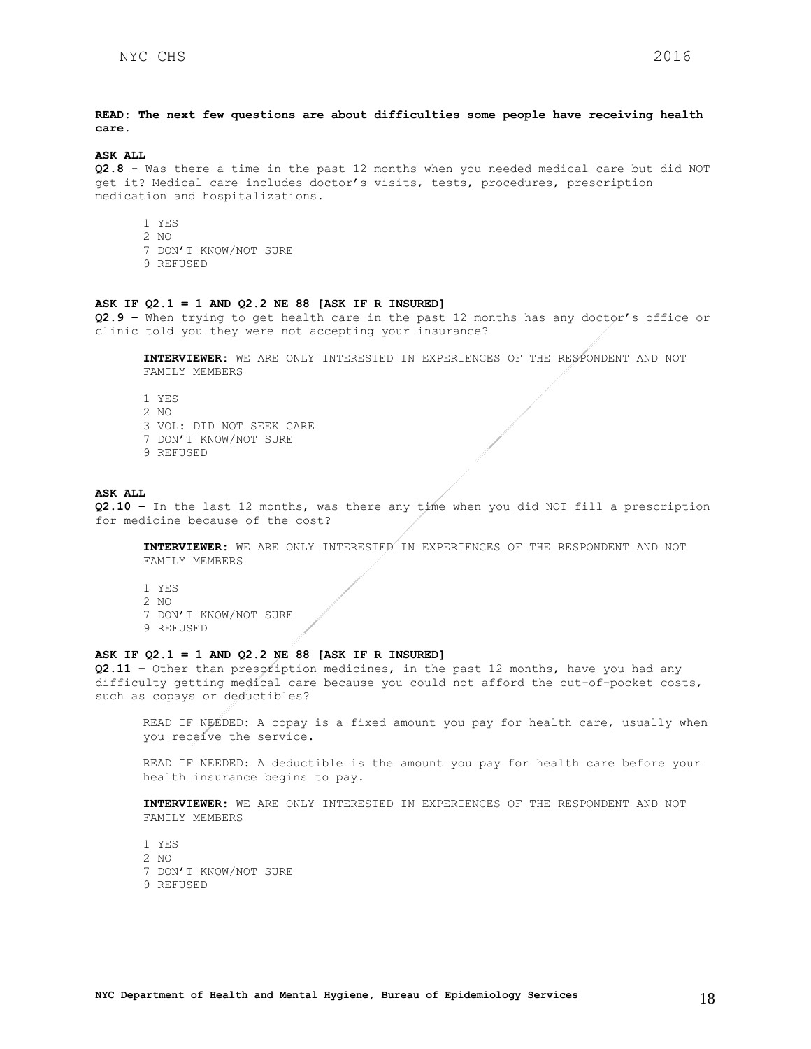**READ: The next few questions are about difficulties some people have receiving health care.**

## **ASK ALL**

**Q2.8 -** Was there a time in the past 12 months when you needed medical care but did NOT get it? Medical care includes doctor's visits, tests, procedures, prescription medication and hospitalizations.

- 1 YES 2 NO
- 7 DON'T KNOW/NOT SURE
- 9 REFUSED

#### **ASK IF Q2.1 = 1 AND Q2.2 NE 88 [ASK IF R INSURED]**

**Q2.9 –** When trying to get health care in the past 12 months has any doctor's office or clinic told you they were not accepting your insurance?

**INTERVIEWER:** WE ARE ONLY INTERESTED IN EXPERIENCES OF THE RESPONDENT AND NOT FAMILY MEMBERS

1 YES 2 NO 3 VOL: DID NOT SEEK CARE 7 DON'T KNOW/NOT SURE 9 REFUSED

#### **ASK ALL**

**Q2.10 –** In the last 12 months, was there any time when you did NOT fill a prescription for medicine because of the cost?

**INTERVIEWER:** WE ARE ONLY INTERESTED IN EXPERIENCES OF THE RESPONDENT AND NOT FAMILY MEMBERS

1 YES 2 NO 7 DON'T KNOW/NOT SURE 9 REFUSED

#### **ASK IF Q2.1 = 1 AND Q2.2 NE 88 [ASK IF R INSURED]**

**Q2.11 –** Other than prescription medicines, in the past 12 months, have you had any difficulty getting medical care because you could not afford the out-of-pocket costs, such as copays or deductibles?

READ IF NEEDED: A copay is a fixed amount you pay for health care, usually when you receive the service.

READ IF NEEDED: A deductible is the amount you pay for health care before your health insurance begins to pay.

**INTERVIEWER:** WE ARE ONLY INTERESTED IN EXPERIENCES OF THE RESPONDENT AND NOT FAMILY MEMBERS

1 YES 2 NO 7 DON'T KNOW/NOT SURE 9 REFUSED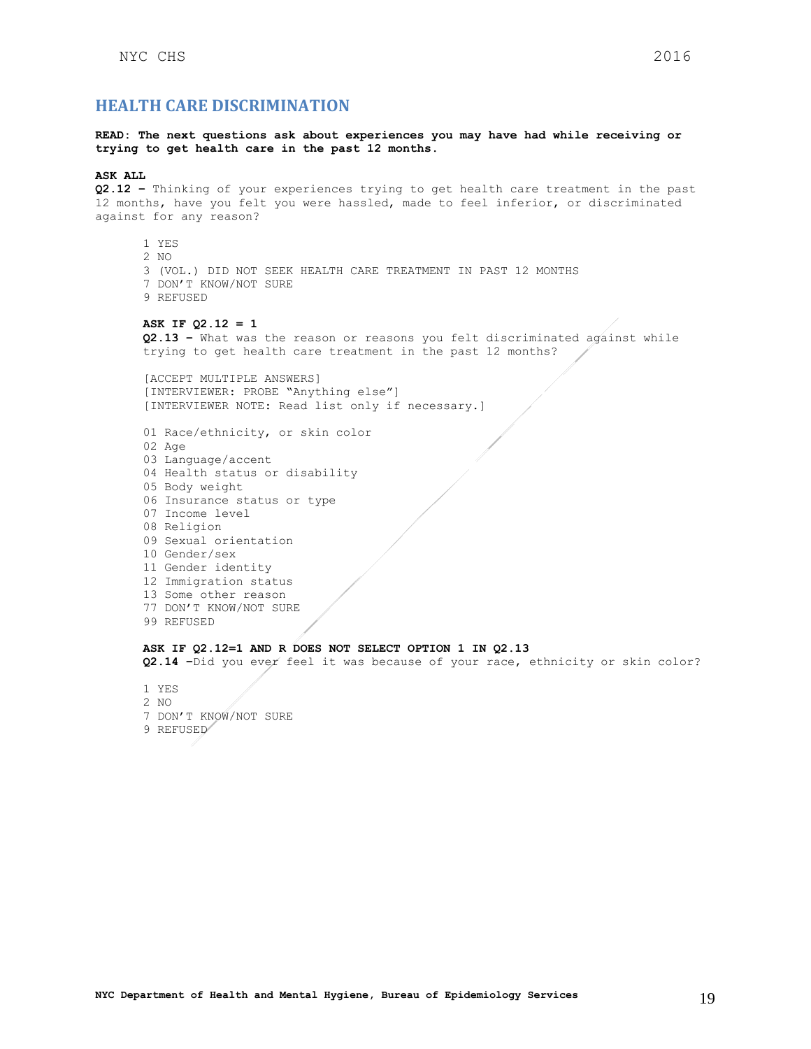## <span id="page-18-0"></span>**HEALTH CARE DISCRIMINATION**

#### **READ: The next questions ask about experiences you may have had while receiving or trying to get health care in the past 12 months.**

#### **ASK ALL**

**Q2.12 –** Thinking of your experiences trying to get health care treatment in the past 12 months, have you felt you were hassled, made to feel inferior, or discriminated against for any reason?

1 YES 2 NO 3 (VOL.) DID NOT SEEK HEALTH CARE TREATMENT IN PAST 12 MONTHS 7 DON'T KNOW/NOT SURE 9 REFUSED

#### **ASK IF Q2.12 = 1**

**Q2.13 –** What was the reason or reasons you felt discriminated against while trying to get health care treatment in the past 12 months?

[ACCEPT MULTIPLE ANSWERS] [INTERVIEWER: PROBE "Anything else"] [INTERVIEWER NOTE: Read list only if necessary.]

01 Race/ethnicity, or skin color 02 Age 03 Language/accent 04 Health status or disability 05 Body weight 06 Insurance status or type 07 Income level 08 Religion 09 Sexual orientation 10 Gender/sex 11 Gender identity 12 Immigration status 13 Some other reason 77 DON'T KNOW/NOT SURE 99 REFUSED

### **ASK IF Q2.12=1 AND R DOES NOT SELECT OPTION 1 IN Q2.13**

**Q2.14 –**Did you ever feel it was because of your race, ethnicity or skin color?

1 YES

- 2 NO
- 7 DON'T KNOW/NOT SURE
- 9 REFUSED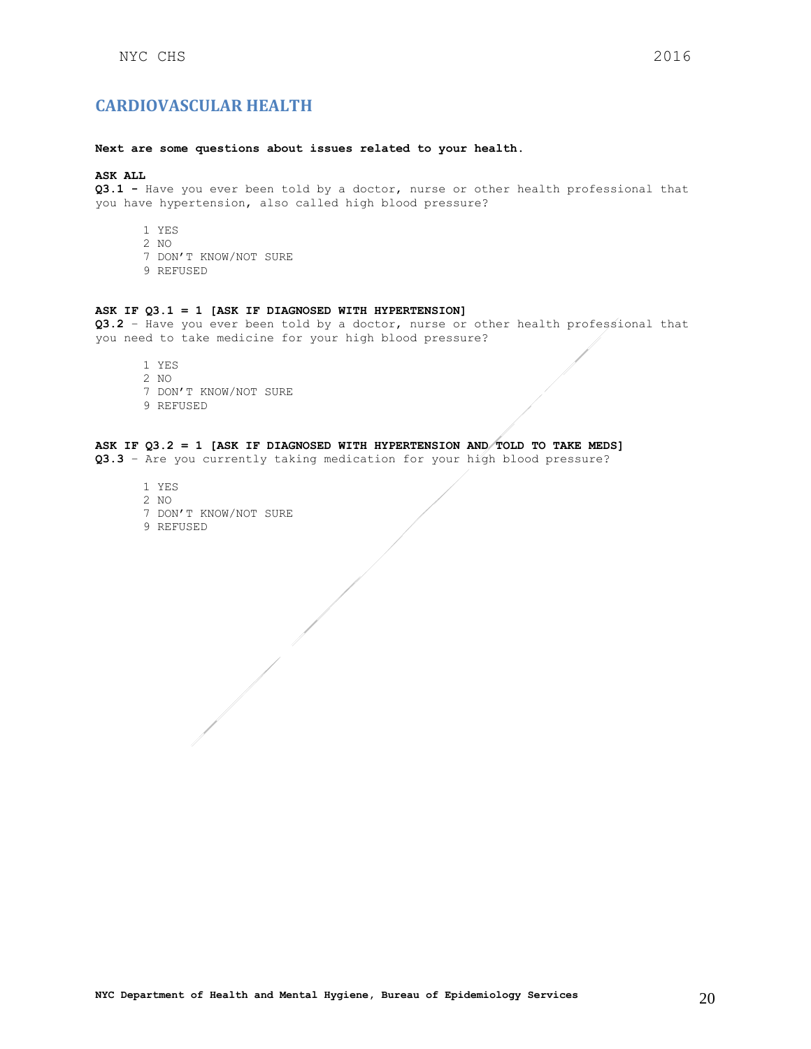#### <span id="page-19-0"></span>**Next are some questions about issues related to your health.**

### **ASK ALL**

**Q3.1 -** Have you ever been told by a doctor, nurse or other health professional that you have hypertension, also called high blood pressure?

- 1 YES
- 2 NO
- 7 DON'T KNOW/NOT SURE
- 9 REFUSED

#### **ASK IF Q3.1 = 1 [ASK IF DIAGNOSED WITH HYPERTENSION]**

**Q3.2** – Have you ever been told by a doctor, nurse or other health professional that you need to take medicine for your high blood pressure?

- 1 YES 2 NO
- 
- 7 DON'T KNOW/NOT SURE
- 9 REFUSED

## **ASK IF Q3.2 = 1 [ASK IF DIAGNOSED WITH HYPERTENSION AND TOLD TO TAKE MEDS]**

**Q3.3** – Are you currently taking medication for your high blood pressure?

1 YES 2 NO 7 DON'T KNOW/NOT SURE 9 REFUSED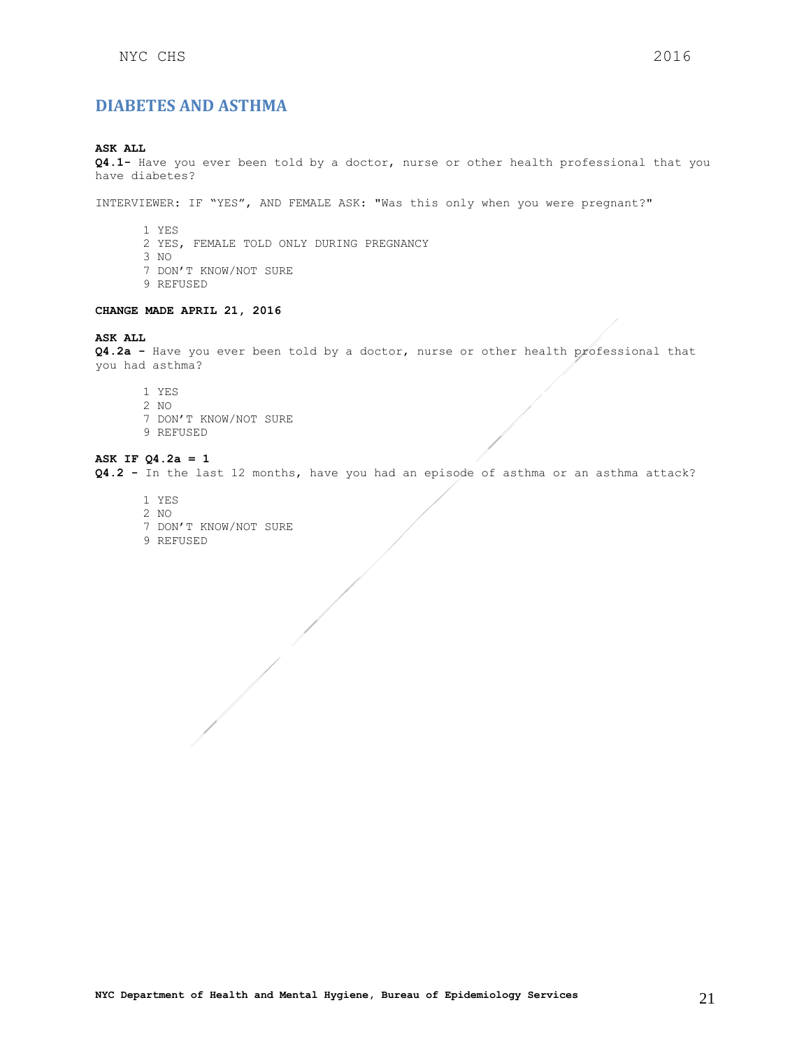## <span id="page-20-0"></span>**DIABETES AND ASTHMA**

## **ASK ALL**

**Q4.1-** Have you ever been told by a doctor, nurse or other health professional that you have diabetes?

INTERVIEWER: IF "YES", AND FEMALE ASK: "Was this only when you were pregnant?"

- 1 YES
- 2 YES, FEMALE TOLD ONLY DURING PREGNANCY
- 3 NO
- 7 DON'T KNOW/NOT SURE
- 9 REFUSED

#### **CHANGE MADE APRIL 21, 2016**

#### **ASK ALL**

**Q4.2a -** Have you ever been told by a doctor, nurse or other health professional that you had asthma?

1 YES 2 NO 7 DON'T KNOW/NOT SURE 9 REFUSED

#### **ASK IF Q4.2a = 1**

**Q4.2 -** In the last 12 months, have you had an episode of asthma or an asthma attack?

1 YES 2 NO 7 DON'T KNOW/NOT SURE 9 REFUSED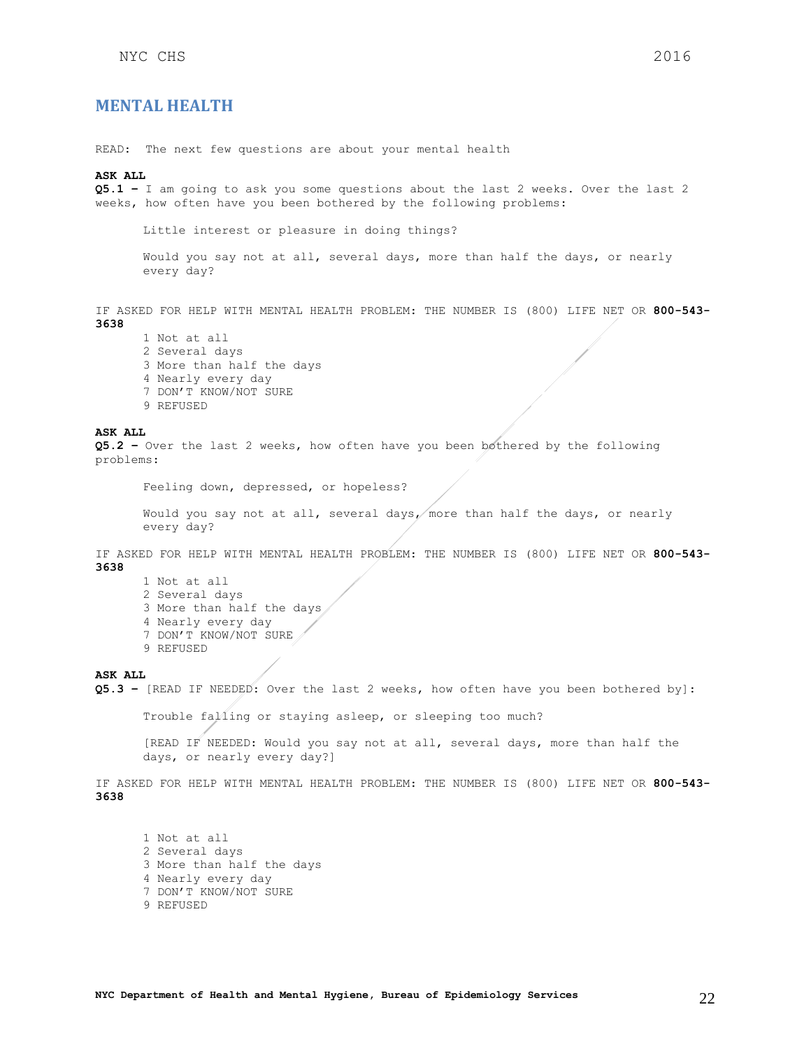## <span id="page-21-0"></span>**MENTAL HEALTH**

READ: The next few questions are about your mental health

#### **ASK ALL**

**Q5.1 –** I am going to ask you some questions about the last 2 weeks. Over the last 2 weeks, how often have you been bothered by the following problems:

Little interest or pleasure in doing things?

Would you say not at all, several days, more than half the days, or nearly every day?

IF ASKED FOR HELP WITH MENTAL HEALTH PROBLEM: THE NUMBER IS (800) LIFE NET OR **800-543- 3638**

1 Not at all 2 Several days 3 More than half the days 4 Nearly every day 7 DON'T KNOW/NOT SURE 9 REFUSED

#### **ASK ALL**

**Q5.2 –** Over the last 2 weeks, how often have you been bothered by the following problems:

Feeling down, depressed, or hopeless?

Would you say not at all, several days, more than half the days, or nearly every day?

IF ASKED FOR HELP WITH MENTAL HEALTH PROBLEM: THE NUMBER IS (800) LIFE NET OR **800-543- 3638**

- 1 Not at all
- 2 Several days
- 3 More than half the days
- 4 Nearly every day
- 7 DON'T KNOW/NOT SURE
- 9 REFUSED

#### **ASK ALL**

**Q5.3 –** [READ IF NEEDED: Over the last 2 weeks, how often have you been bothered by]:

Trouble falling or staying asleep, or sleeping too much? [READ IF NEEDED: Would you say not at all, several days, more than half the days, or nearly every day?]

IF ASKED FOR HELP WITH MENTAL HEALTH PROBLEM: THE NUMBER IS (800) LIFE NET OR **800-543- 3638**

1 Not at all 2 Several days 3 More than half the days 4 Nearly every day 7 DON'T KNOW/NOT SURE 9 REFUSED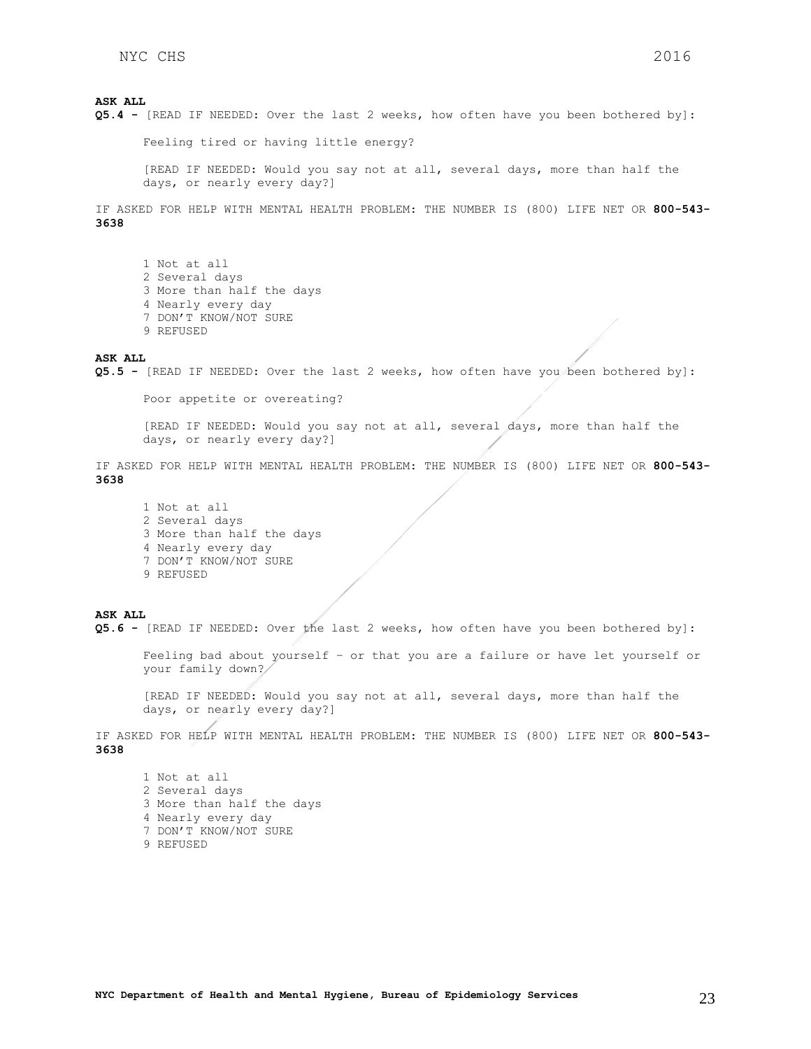Feeling tired or having little energy?

[READ IF NEEDED: Would you say not at all, several days, more than half the days, or nearly every day?]

IF ASKED FOR HELP WITH MENTAL HEALTH PROBLEM: THE NUMBER IS (800) LIFE NET OR **800-543- 3638**

1 Not at all 2 Several days 3 More than half the days 4 Nearly every day 7 DON'T KNOW/NOT SURE 9 REFUSED

#### **ASK ALL**

**Q5.5 -** [READ IF NEEDED: Over the last 2 weeks, how often have you been bothered by]:

Poor appetite or overeating?

[READ IF NEEDED: Would you say not at all, several days, more than half the days, or nearly every day?]

IF ASKED FOR HELP WITH MENTAL HEALTH PROBLEM: THE NUMBER IS (800) LIFE NET OR **800-543- 3638**

1 Not at all 2 Several days 3 More than half the days 4 Nearly every day 7 DON'T KNOW/NOT SURE 9 REFUSED

#### **ASK ALL**

**Q5.6 -** [READ IF NEEDED: Over the last 2 weeks, how often have you been bothered by]:

Feeling bad about yourself – or that you are a failure or have let yourself or your family down?

[READ IF NEEDED: Would you say not at all, several days, more than half the days, or nearly every day?]

IF ASKED FOR HELP WITH MENTAL HEALTH PROBLEM: THE NUMBER IS (800) LIFE NET OR **800-543- 3638**

1 Not at all 2 Several days 3 More than half the days 4 Nearly every day 7 DON'T KNOW/NOT SURE 9 REFUSED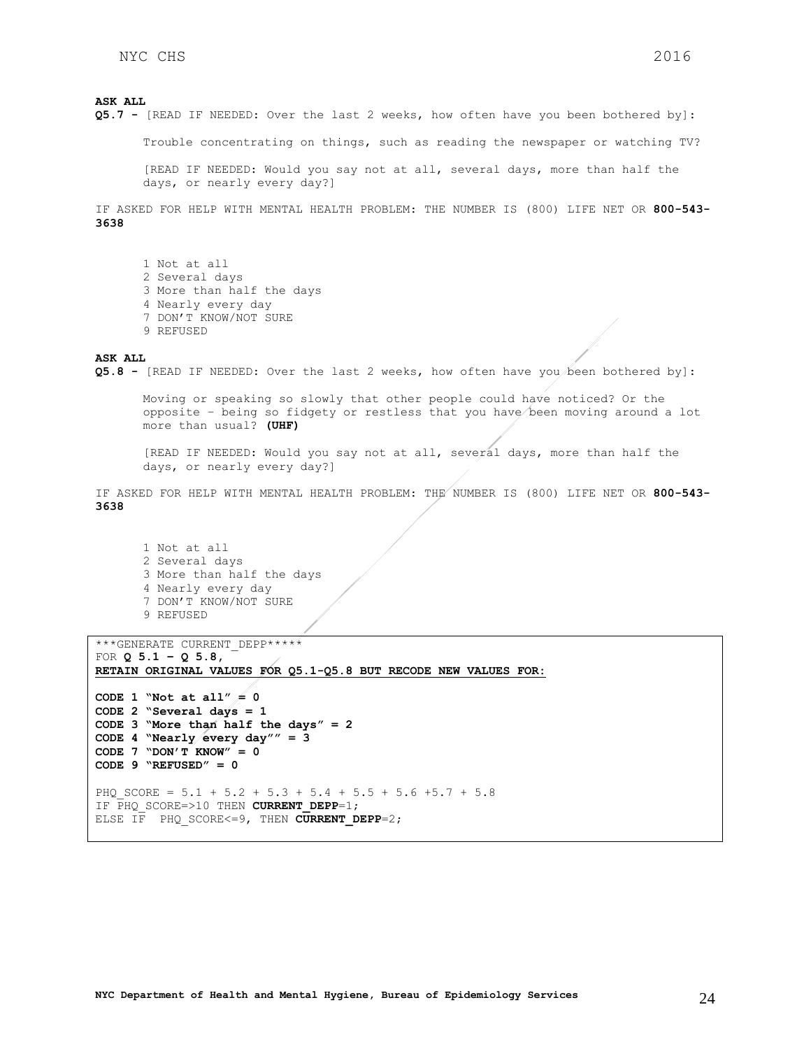Trouble concentrating on things, such as reading the newspaper or watching TV?

[READ IF NEEDED: Would you say not at all, several days, more than half the days, or nearly every day?]

IF ASKED FOR HELP WITH MENTAL HEALTH PROBLEM: THE NUMBER IS (800) LIFE NET OR **800-543- 3638**

1 Not at all 2 Several days 3 More than half the days 4 Nearly every day 7 DON'T KNOW/NOT SURE 9 REFUSED

### **ASK ALL**

**Q5.8 -** [READ IF NEEDED: Over the last 2 weeks, how often have you been bothered by]:

Moving or speaking so slowly that other people could have noticed? Or the opposite – being so fidgety or restless that you have been moving around a lot more than usual? **(UHF)**

[READ IF NEEDED: Would you say not at all, several days, more than half the days, or nearly every day?]

IF ASKED FOR HELP WITH MENTAL HEALTH PROBLEM: THE NUMBER IS (800) LIFE NET OR **800-543- 3638**

1 Not at all 2 Several days 3 More than half the days 4 Nearly every day 7 DON'T KNOW/NOT SURE 9 REFUSED

```
***GENERATE CURRENT_DEPP***** 
FOR Q 5.1 – Q 5.8, 
RETAIN ORIGINAL VALUES FOR Q5.1-Q5.8 BUT RECODE NEW VALUES FOR:
CODE 1 "Not at all<sup>"</sup> = 0
CODE 2 "Several days = 1
CODE 3 "More than half the days" = 2
CODE 4 "Nearly every day"" = 3
CODE 7 "DON'T KNOW" = 0
CODE 9 "REFUSED" = 0 
PHQ SCORE = 5.1 + 5.2 + 5.3 + 5.4 + 5.5 + 5.6 +5.7 + 5.8
IF \overline{PHQ} SCORE=>10 THEN CURRENT DEPP=1;
ELSE IF PHQ SCORE<=9, THEN CURRENT DEPP=2;
```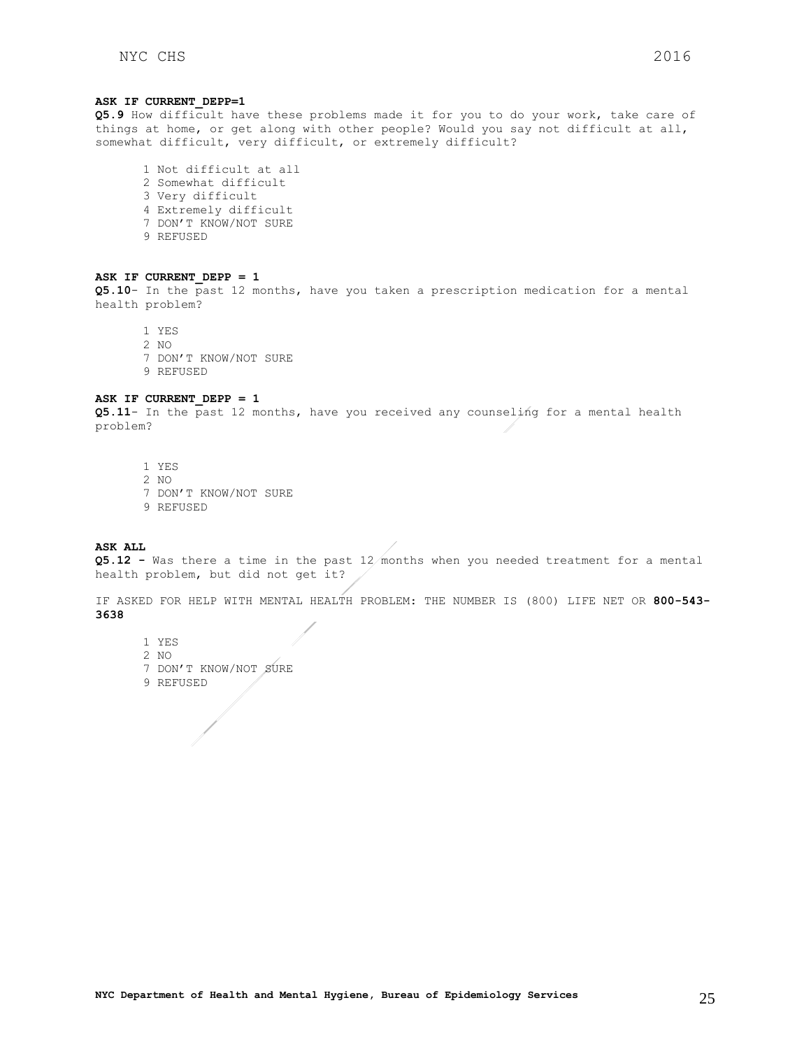#### **ASK IF CURRENT\_DEPP=1**

**Q5.9** How difficult have these problems made it for you to do your work, take care of things at home, or get along with other people? Would you say not difficult at all, somewhat difficult, very difficult, or extremely difficult?

1 Not difficult at all 2 Somewhat difficult 3 Very difficult 4 Extremely difficult 7 DON'T KNOW/NOT SURE 9 REFUSED

#### **ASK IF CURRENT\_DEPP = 1**

**Q5.10**- In the past 12 months, have you taken a prescription medication for a mental health problem?

1 YES 2 NO 7 DON'T KNOW/NOT SURE 9 REFUSED

#### **ASK IF CURRENT\_DEPP = 1**

**Q5.11**- In the past 12 months, have you received any counseling for a mental health problem?

1 YES 2 NO 7 DON'T KNOW/NOT SURE 9 REFUSED

**ASK ALL**

**Q5.12 -** Was there a time in the past 12 months when you needed treatment for a mental health problem, but did not get it?

IF ASKED FOR HELP WITH MENTAL HEALTH PROBLEM: THE NUMBER IS (800) LIFE NET OR **800-543- 3638**

- 1 YES
- 2 NO
- 7 DON'T KNOW/NOT SURE
- 9 REFUSED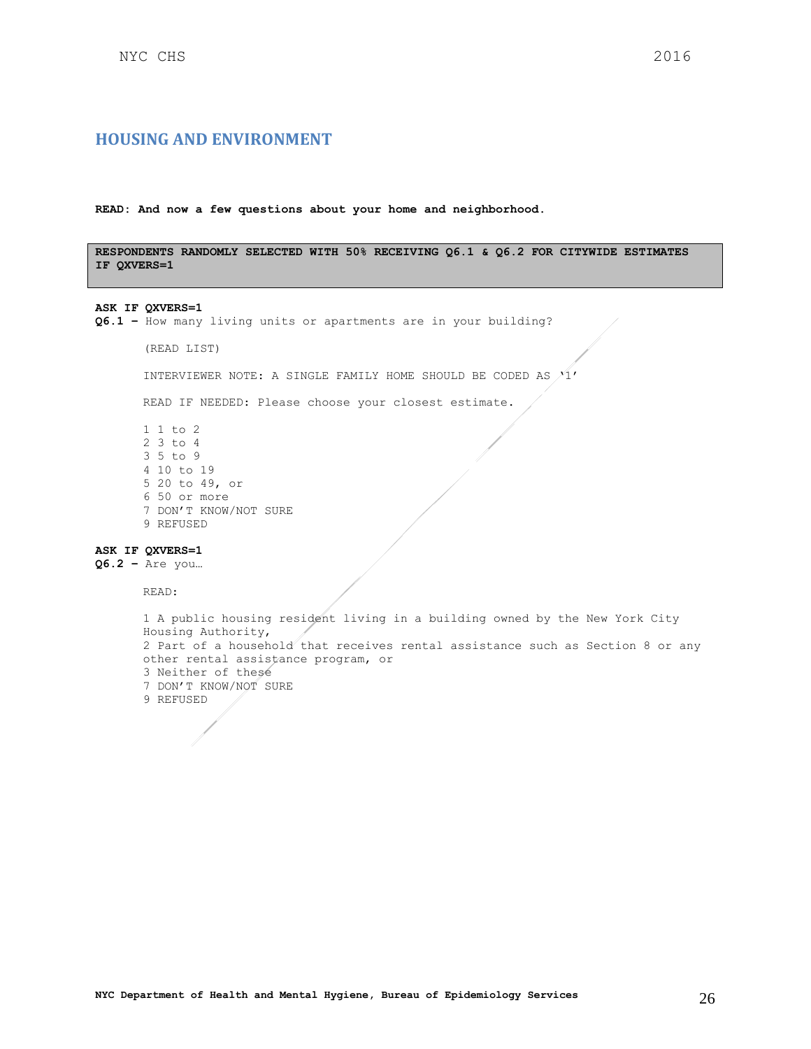## <span id="page-25-0"></span>**HOUSING AND ENVIRONMENT**

**READ: And now a few questions about your home and neighborhood.**

**RESPONDENTS RANDOMLY SELECTED WITH 50% RECEIVING Q6.1 & Q6.2 FOR CITYWIDE ESTIMATES IF QXVERS=1**

#### **ASK IF QXVERS=1**

**Q6.1 –** How many living units or apartments are in your building?

(READ LIST)

INTERVIEWER NOTE: A SINGLE FAMILY HOME SHOULD BE CODED AS  $/1'$ 

READ IF NEEDED: Please choose your closest estimate.

1 1 to 2 2 3 to 4 3 5 to 9 4 10 to 19 5 20 to 49, or 6 50 or more 7 DON'T KNOW/NOT SURE 9 REFUSED

## **ASK IF QXVERS=1**

**Q6.2 –** Are you…

READ:

```
1 A public housing resident living in a building owned by the New York City 
Housing Authority,
2 Part of a household that receives rental assistance such as Section 8 or any 
other rental assistance program, or
3 Neither of these
7 DON'T KNOW/NOT SURE
9 REFUSED
```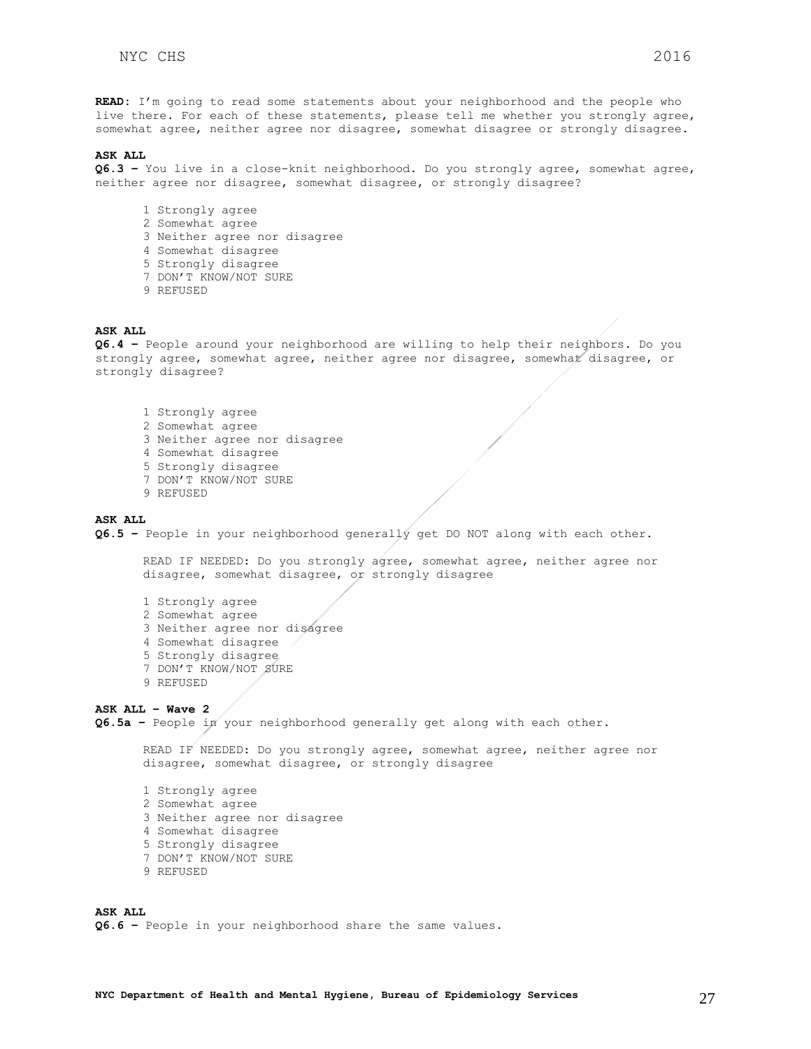**READ:** I'm going to read some statements about your neighborhood and the people who live there. For each of these statements, please tell me whether you strongly agree, somewhat agree, neither agree nor disagree, somewhat disagree or strongly disagree.

#### **ASK ALL**

**Q6.3 –** You live in a close-knit neighborhood. Do you strongly agree, somewhat agree, neither agree nor disagree, somewhat disagree, or strongly disagree?

- 1 Strongly agree
- 2 Somewhat agree
- 3 Neither agree nor disagree
- 4 Somewhat disagree
- 5 Strongly disagree
- 7 DON'T KNOW/NOT SURE
- 9 REFUSED

#### **ASK ALL**

**Q6.4 –** People around your neighborhood are willing to help their neighbors. Do you strongly agree, somewhat agree, neither agree nor disagree, somewhat disagree, or strongly disagree?

- 1 Strongly agree
- 2 Somewhat agree
- 3 Neither agree nor disagree
- 4 Somewhat disagree
- 5 Strongly disagree
- 7 DON'T KNOW/NOT SURE
- 9 REFUSED

#### **ASK ALL**

**Q6.5 –** People in your neighborhood generally get DO NOT along with each other.

READ IF NEEDED: Do you strongly agree, somewhat agree, neither agree nor disagree, somewhat disagree, or strongly disagree

- 1 Strongly agree
- 2 Somewhat agree
- 3 Neither agree nor disagree
- 4 Somewhat disagree
- 5 Strongly disagree
- 7 DON'T KNOW/NOT SURE
- 9 REFUSED

### **ASK ALL – Wave 2**

**Q6.5a –** People in your neighborhood generally get along with each other.

READ IF NEEDED: Do you strongly agree, somewhat agree, neither agree nor disagree, somewhat disagree, or strongly disagree

- 1 Strongly agree 2 Somewhat agree 3 Neither agree nor disagree 4 Somewhat disagree 5 Strongly disagree 7 DON'T KNOW/NOT SURE
- 9 REFUSED

**ASK ALL Q6.6 –** People in your neighborhood share the same values.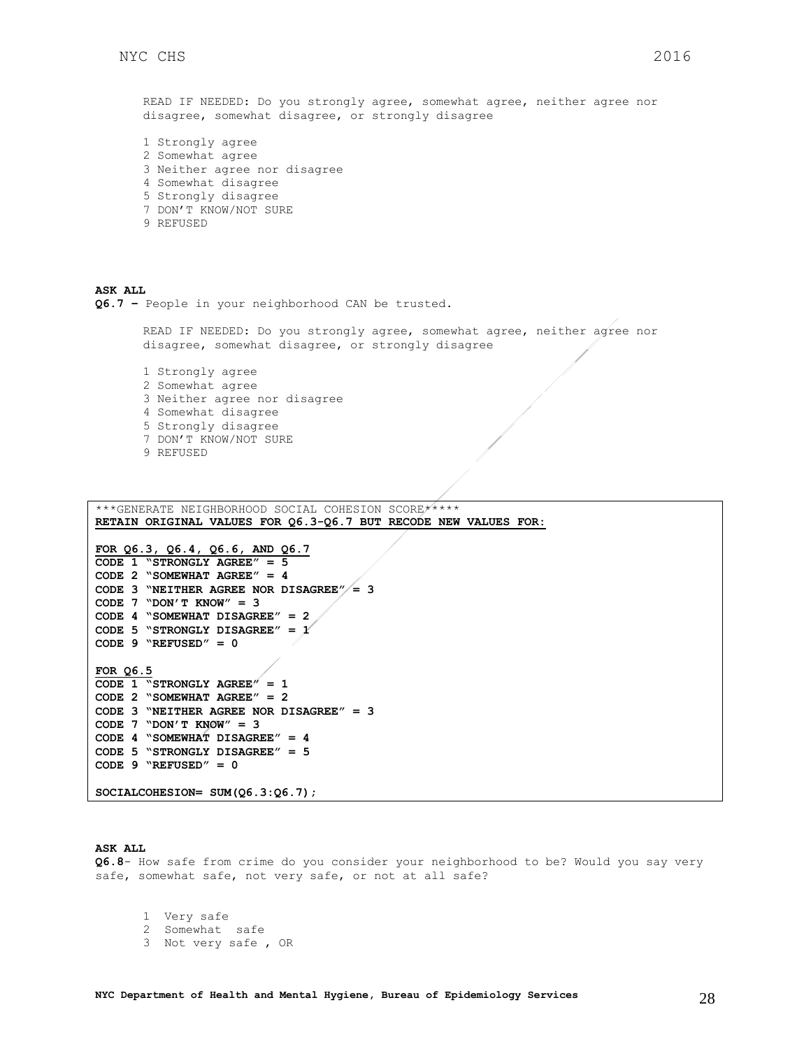READ IF NEEDED: Do you strongly agree, somewhat agree, neither agree nor disagree, somewhat disagree, or strongly disagree

1 Strongly agree 2 Somewhat agree 3 Neither agree nor disagree 4 Somewhat disagree 5 Strongly disagree 7 DON'T KNOW/NOT SURE 9 REFUSED

**ASK ALL Q6.7 –** People in your neighborhood CAN be trusted.

> READ IF NEEDED: Do you strongly agree, somewhat agree, neither agree nor disagree, somewhat disagree, or strongly disagree

1 Strongly agree 2 Somewhat agree 3 Neither agree nor disagree 4 Somewhat disagree 5 Strongly disagree 7 DON'T KNOW/NOT SURE 9 REFUSED

\*\*\*GENERATE NEIGHBORHOOD SOCIAL COHESION SCORE\*\*\*\*\* **RETAIN ORIGINAL VALUES FOR Q6.3-Q6.7 BUT RECODE NEW VALUES FOR:**

```
FOR Q6.3, Q6.4, Q6.6, AND Q6.7
CODE 1 "STRONGLY AGREE" = 5
CODE 2 "SOMEWHAT AGREE" = 4
CODE 3 "NEITHER AGREE NOR DISAGREE" = 3
CODE 7 "DON'T KNOW" = 3
CODE 4 "SOMEWHAT DISAGREE" = 2
CODE 5 "STRONGLY DISAGREE" = 1
CODE 9 "REFUSED" = 0 
FOR Q6.5
CODE 1 "STRONGLY AGREE" = 1
CODE 2 "SOMEWHAT AGREE" = 2
CODE 3 "NEITHER AGREE NOR DISAGREE" = 3
CODE 7 "DON'T KNOW" = 3
CODE 4 "SOMEWHAT DISAGREE" = 4
CODE 5 "STRONGLY DISAGREE" = 5
CODE 9 "REFUSED" = 0
```
**SOCIALCOHESION= SUM(Q6.3:Q6.7);**

#### **ASK ALL**

**Q6.8**- How safe from crime do you consider your neighborhood to be? Would you say very safe, somewhat safe, not very safe, or not at all safe?

1 Very safe 2 Somewhat safe 3 Not very safe , OR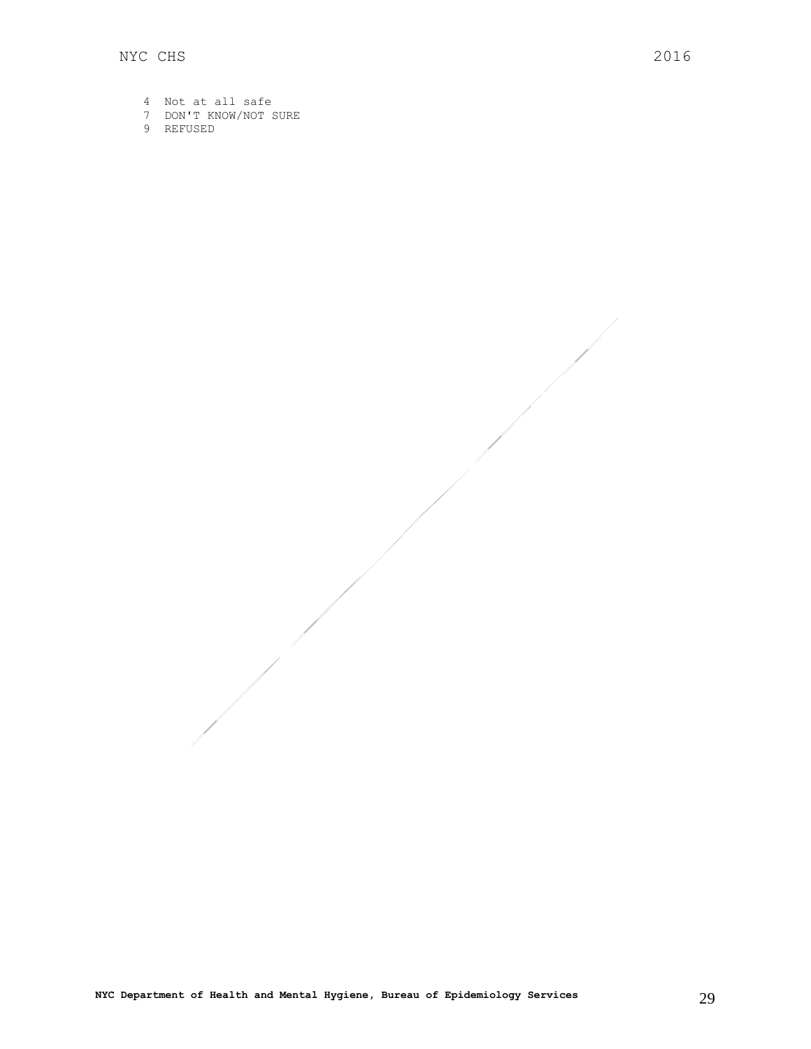- 4 Not at all safe
- 7 DON'T KNOW/NOT SURE
- 9 REFUSED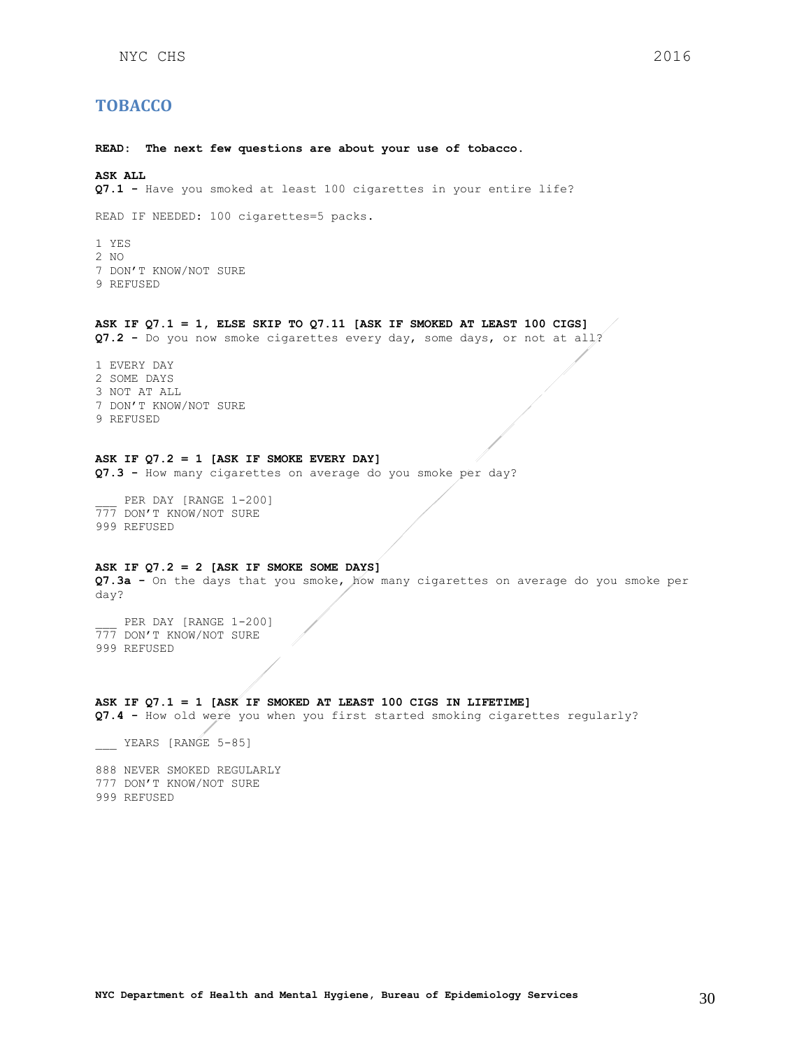## <span id="page-29-0"></span>**TOBACCO**

**READ: The next few questions are about your use of tobacco.** 

#### **ASK ALL**

**Q7.1 -** Have you smoked at least 100 cigarettes in your entire life?

READ IF NEEDED: 100 cigarettes=5 packs.

1 YES 2 NO 7 DON'T KNOW/NOT SURE 9 REFUSED

## **ASK IF Q7.1 = 1, ELSE SKIP TO Q7.11 [ASK IF SMOKED AT LEAST 100 CIGS]**

**Q7.2 -** Do you now smoke cigarettes every day, some days, or not at all?

1 EVERY DAY 2 SOME DAYS 3 NOT AT ALL 7 DON'T KNOW/NOT SURE 9 REFUSED

## **ASK IF Q7.2 = 1 [ASK IF SMOKE EVERY DAY]**

**Q7.3 -** How many cigarettes on average do you smoke per day?

PER DAY [RANGE 1-200] 777 DON'T KNOW/NOT SURE 999 REFUSED

### **ASK IF Q7.2 = 2 [ASK IF SMOKE SOME DAYS]**

**Q7.3a -** On the days that you smoke, how many cigarettes on average do you smoke per day?

PER DAY [RANGE 1-200] 777 DON'T KNOW/NOT SURE 999 REFUSED

#### **ASK IF Q7.1 = 1 [ASK IF SMOKED AT LEAST 100 CIGS IN LIFETIME]**

**Q7.4 -** How old were you when you first started smoking cigarettes regularly?

YEARS [RANGE 5-85]

888 NEVER SMOKED REGULARLY 777 DON'T KNOW/NOT SURE 999 REFUSED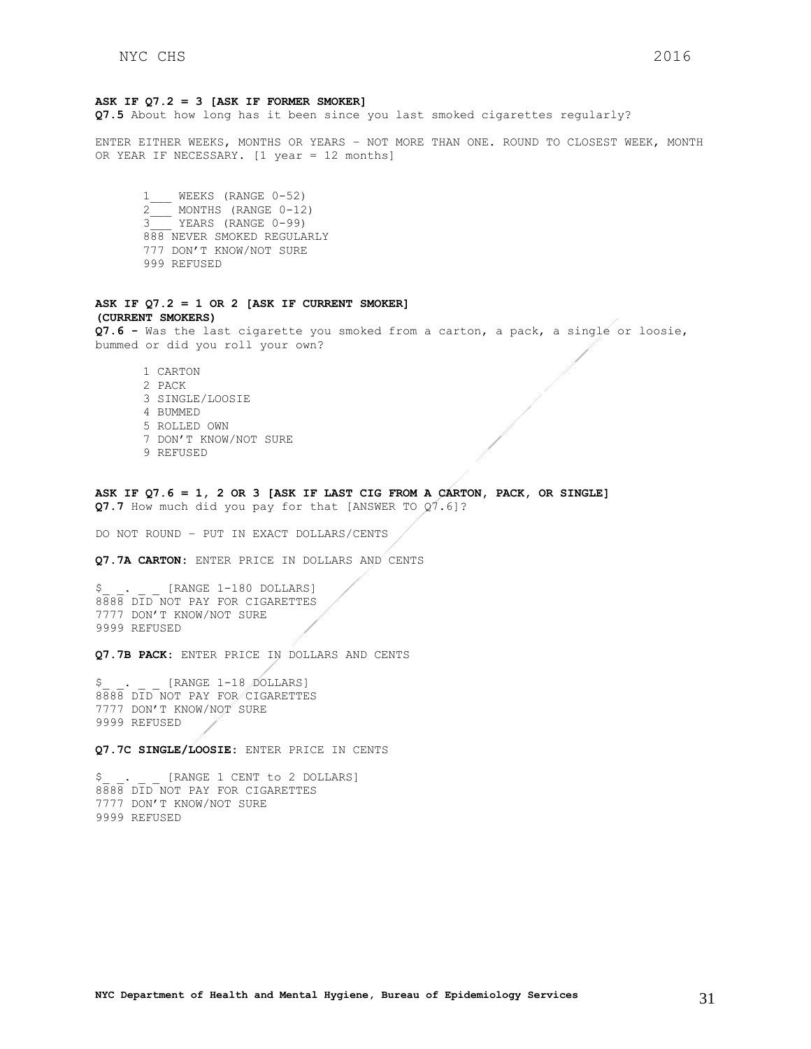#### **ASK IF Q7.2 = 3 [ASK IF FORMER SMOKER]**

**Q7.5** About how long has it been since you last smoked cigarettes regularly?

ENTER EITHER WEEKS, MONTHS OR YEARS – NOT MORE THAN ONE. ROUND TO CLOSEST WEEK, MONTH OR YEAR IF NECESSARY. [1 year = 12 months]

1\_\_\_ WEEKS (RANGE 0-52) 2<sup>1</sup>MONTHS (RANGE 0-12) 3\_\_\_ YEARS (RANGE 0-99) 888 NEVER SMOKED REGULARLY 777 DON'T KNOW/NOT SURE 999 REFUSED

#### **ASK IF Q7.2 = 1 OR 2 [ASK IF CURRENT SMOKER] (CURRENT SMOKERS)**

**Q7.6 -** Was the last cigarette you smoked from a carton, a pack, a single or loosie, bummed or did you roll your own?

- 1 CARTON 2 PACK 3 SINGLE/LOOSIE 4 BUMMED 5 ROLLED OWN 7 DON'T KNOW/NOT SURE 9 REFUSED
- **ASK IF Q7.6 = 1, 2 OR 3 [ASK IF LAST CIG FROM A CARTON, PACK, OR SINGLE]** Q7.7 How much did you pay for that [ANSWER TO Q7.6]?

DO NOT ROUND – PUT IN EXACT DOLLARS/CENTS

**Q7.7A CARTON:** ENTER PRICE IN DOLLARS AND CENTS

[RANGE 1-180 DOLLARS] 8888 DID NOT PAY FOR CIGARETTES 7777 DON'T KNOW/NOT SURE 9999 REFUSED

Q7.7B PACK: ENTER PRICE IN DOLLARS AND CENTS

\$ . [RANGE 1-18 DOLLARS] 8888 DID NOT PAY FOR CIGARETTES 7777 DON'T KNOW/NOT SURE 9999 REFUSED

**Q7.7C SINGLE/LOOSIE:** ENTER PRICE IN CENTS

[RANGE 1 CENT to 2 DOLLARS] 8888 DID NOT PAY FOR CIGARETTES 7777 DON'T KNOW/NOT SURE 9999 REFUSED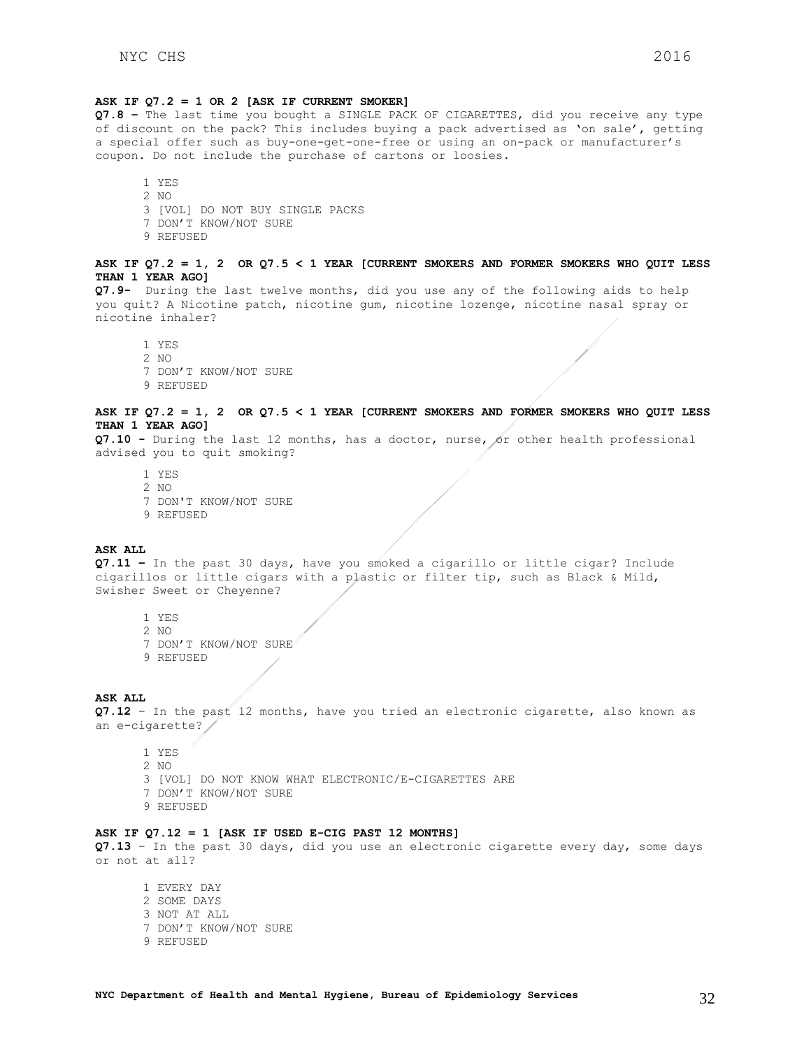#### **ASK IF Q7.2 = 1 OR 2 [ASK IF CURRENT SMOKER]**

**Q7.8 –** The last time you bought a SINGLE PACK OF CIGARETTES, did you receive any type of discount on the pack? This includes buying a pack advertised as 'on sale', getting a special offer such as buy-one-get-one-free or using an on-pack or manufacturer's coupon. Do not include the purchase of cartons or loosies.

- 1 YES 2 NO 3 [VOL] DO NOT BUY SINGLE PACKS 7 DON'T KNOW/NOT SURE 9 REFUSED
- **ASK IF Q7.2 = 1, 2 OR Q7.5 < 1 YEAR [CURRENT SMOKERS AND FORMER SMOKERS WHO QUIT LESS THAN 1 YEAR AGO]**

**Q7.9-** During the last twelve months, did you use any of the following aids to help you quit? A Nicotine patch, nicotine gum, nicotine lozenge, nicotine nasal spray or nicotine inhaler?

1 YES 2  $N<sub>O</sub>$ 7 DON'T KNOW/NOT SURE 9 REFUSED

#### **ASK IF Q7.2 = 1, 2 OR Q7.5 < 1 YEAR [CURRENT SMOKERS AND FORMER SMOKERS WHO QUIT LESS THAN 1 YEAR AGO]**

**Q7.10 -** During the last 12 months, has a doctor, nurse, or other health professional advised you to quit smoking?

- 1 YES
- 2 NO
- 7 DON'T KNOW/NOT SURE
- 9 REFUSED

#### **ASK ALL**

**Q7.11 –** In the past 30 days, have you smoked a cigarillo or little cigar? Include cigarillos or little cigars with a plastic or filter tip, such as Black & Mild, Swisher Sweet or Cheyenne?

- 1 YES
- 2 NO
- 7 DON'T KNOW/NOT SURE
- 9 REFUSED

#### **ASK ALL**

**Q7.12** – In the past 12 months, have you tried an electronic cigarette, also known as an e-cigarette?

- 1 YES 2 NO
- 3 [VOL] DO NOT KNOW WHAT ELECTRONIC/E-CIGARETTES ARE
- 7 DON'T KNOW/NOT SURE
- 9 REFUSED

## **ASK IF Q7.12 = 1 [ASK IF USED E-CIG PAST 12 MONTHS]**

**Q7.13** – In the past 30 days, did you use an electronic cigarette every day, some days or not at all?

1 EVERY DAY 2 SOME DAYS 3 NOT AT ALL 7 DON'T KNOW/NOT SURE 9 REFUSED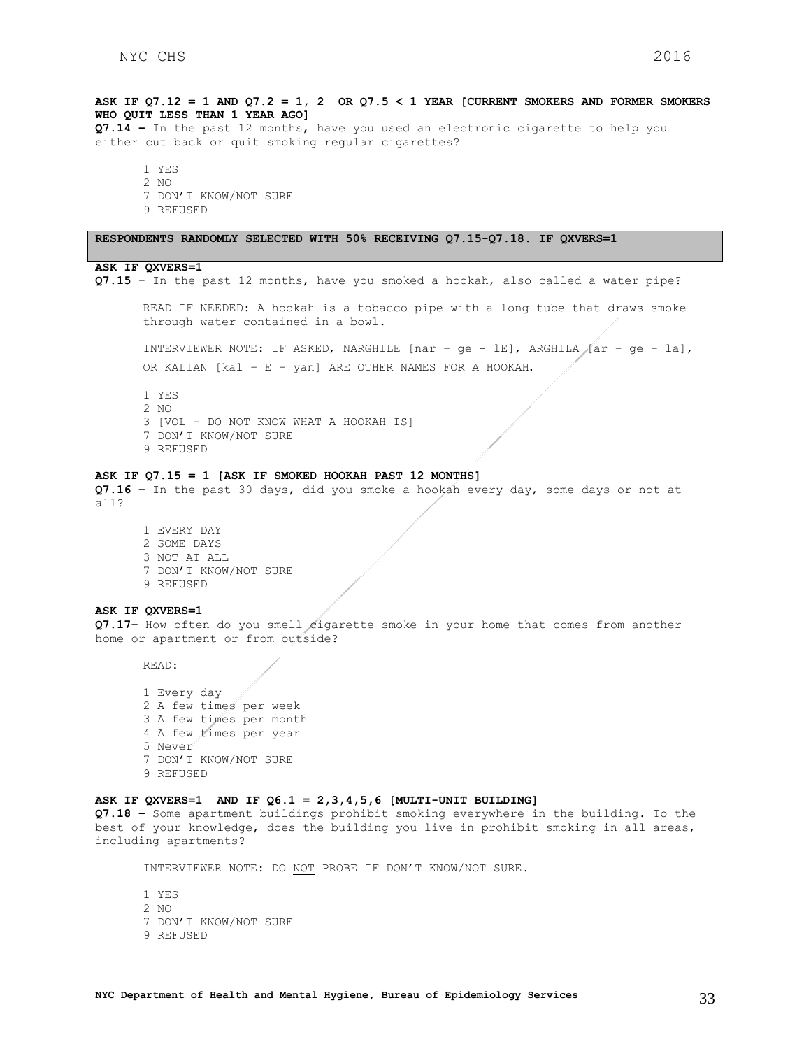**ASK IF Q7.12 = 1 AND Q7.2 = 1, 2 OR Q7.5 < 1 YEAR [CURRENT SMOKERS AND FORMER SMOKERS WHO QUIT LESS THAN 1 YEAR AGO] Q7.14 –** In the past 12 months, have you used an electronic cigarette to help you either cut back or quit smoking regular cigarettes? 1 YES 2 NO 7 DON'T KNOW/NOT SURE 9 REFUSED **RESPONDENTS RANDOMLY SELECTED WITH 50% RECEIVING Q7.15-Q7.18. IF QXVERS=1 ASK IF QXVERS=1 Q7.15** – In the past 12 months, have you smoked a hookah, also called a water pipe? READ IF NEEDED: A hookah is a tobacco pipe with a long tube that draws smoke through water contained in a bowl. INTERVIEWER NOTE: IF ASKED, NARGHILE [nar – ge - lE], ARGHILA [ar – ge – la], OR KALIAN [kal – E – yan] ARE OTHER NAMES FOR A HOOKAH. 1 YES 2 NO 3 [VOL – DO NOT KNOW WHAT A HOOKAH IS] 7 DON'T KNOW/NOT SURE 9 REFUSED **ASK IF Q7.15 = 1 [ASK IF SMOKED HOOKAH PAST 12 MONTHS] Q7.16 –** In the past 30 days, did you smoke a hookah every day, some days or not at all? 1 EVERY DAY 2 SOME DAYS 3 NOT AT ALL 7 DON'T KNOW/NOT SURE 9 REFUSED **ASK IF QXVERS=1 Q7.17** How often do you smell cigarette smoke in your home that comes from another home or apartment or from outside? READ: 1 Every day 2 A few times per week 3 A few times per month 4 A few times per year 5 Never 7 DON'T KNOW/NOT SURE 9 REFUSED **ASK IF QXVERS=1 AND IF Q6.1 = 2,3,4,5,6 [MULTI-UNIT BUILDING] Q7.18 –** Some apartment buildings prohibit smoking everywhere in the building. To the best of your knowledge, does the building you live in prohibit smoking in all areas, including apartments? INTERVIEWER NOTE: DO NOT PROBE IF DON'T KNOW/NOT SURE.

1 YES 2 NO 7 DON'T KNOW/NOT SURE 9 REFUSED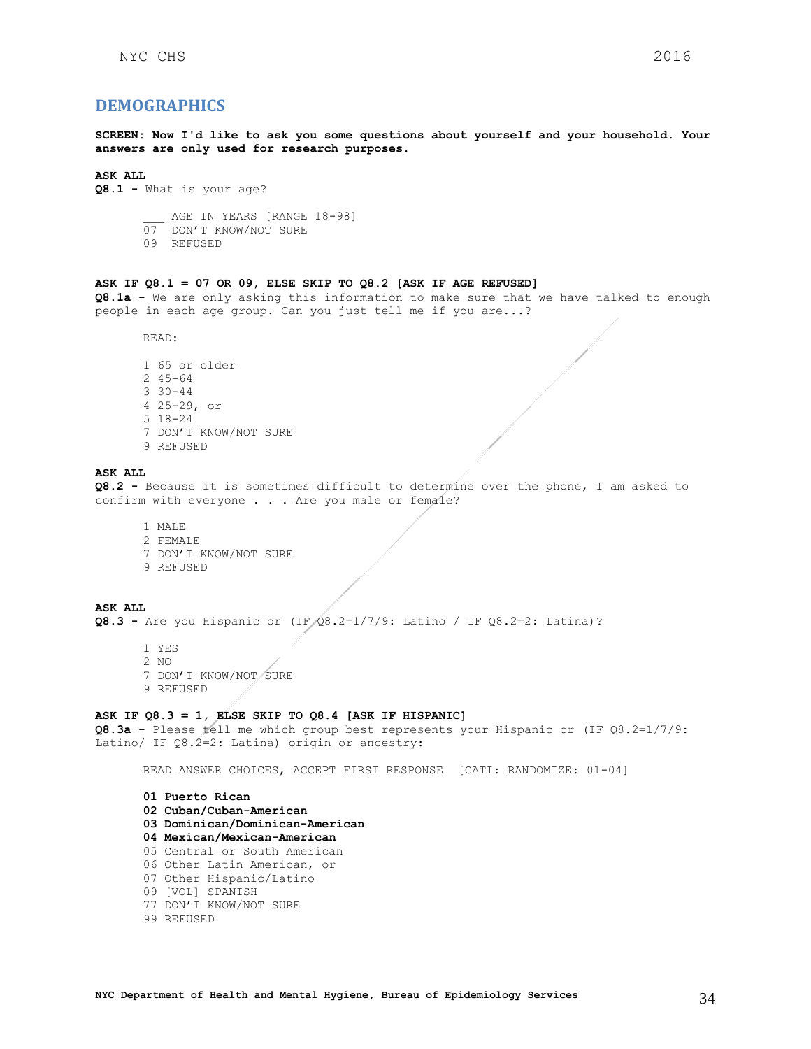## <span id="page-33-0"></span>**DEMOGRAPHICS**

**SCREEN: Now I'd like to ask you some questions about yourself and your household. Your answers are only used for research purposes.**

### **ASK ALL**

```
Q8.1 - What is your age?
```
AGE IN YEARS [RANGE 18-98] 07 DON'T KNOW/NOT SURE 09 REFUSED

### **ASK IF Q8.1 = 07 OR 09, ELSE SKIP TO Q8.2 [ASK IF AGE REFUSED]**

**Q8.1a -** We are only asking this information to make sure that we have talked to enough people in each age group. Can you just tell me if you are...?

READ:

1 65 or older 2 45-64 3 30-44 4 25-29, or 5 18-24 7 DON'T KNOW/NOT SURE 9 REFUSED

#### **ASK ALL**

**Q8.2 -** Because it is sometimes difficult to determine over the phone, I am asked to confirm with everyone  $\ldots$  . Are you male or female?

1 MALE 2 FEMALE 7 DON'T KNOW/NOT SURE 9 REFUSED

**ASK ALL Q8.3 -** Are you Hispanic or (IF Q8.2=1/7/9: Latino / IF Q8.2=2: Latina)?

- 1 YES 2 NO 7 DON'T KNOW/NOT SURE
- 9 REFUSED
- 

#### **ASK IF Q8.3 = 1, ELSE SKIP TO Q8.4 [ASK IF HISPANIC]**

**Q8.3a -** Please tell me which group best represents your Hispanic or (IF Q8.2=1/7/9: Latino/ IF Q8.2=2: Latina) origin or ancestry:

READ ANSWER CHOICES, ACCEPT FIRST RESPONSE [CATI: RANDOMIZE: 01-04]

**01 Puerto Rican 02 Cuban/Cuban-American 03 Dominican/Dominican-American 04 Mexican/Mexican-American**  05 Central or South American 06 Other Latin American, or 07 Other Hispanic/Latino 09 [VOL] SPANISH 77 DON'T KNOW/NOT SURE 99 REFUSED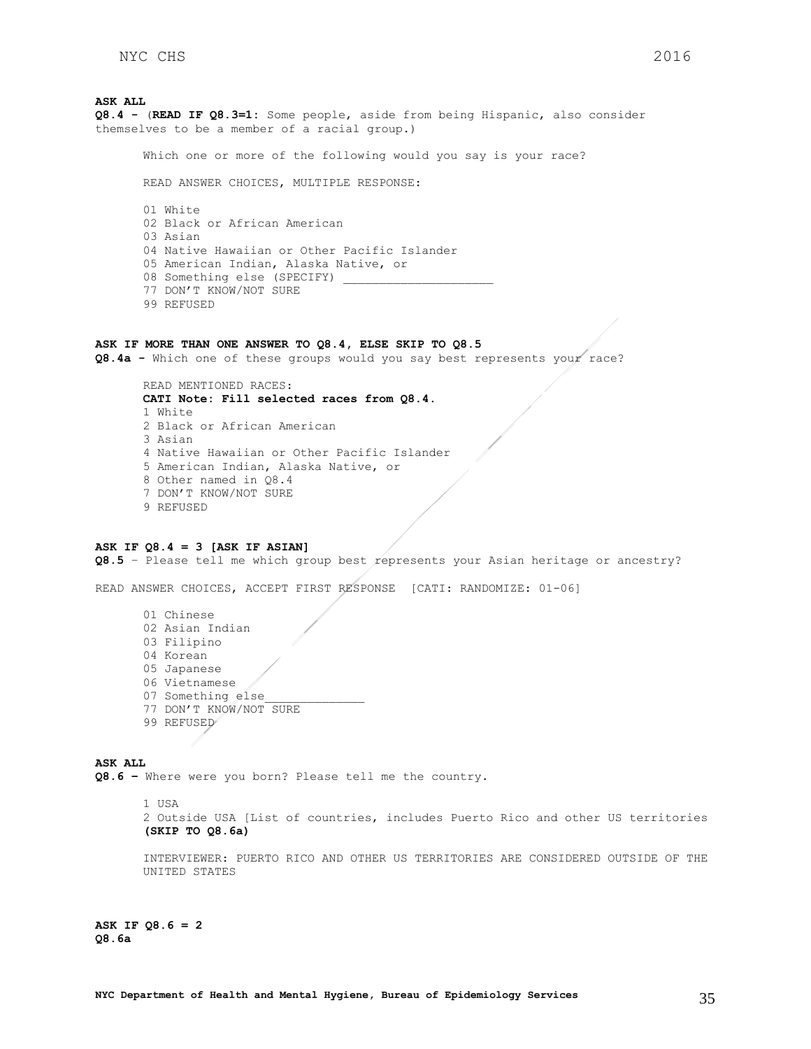**ASK ALL Q8.4 -** (**READ IF Q8.3=1:** Some people, aside from being Hispanic, also consider themselves to be a member of a racial group.)

Which one or more of the following would you say is your race?

READ ANSWER CHOICES, MULTIPLE RESPONSE:

01 White 02 Black or African American 03 Asian 04 Native Hawaiian or Other Pacific Islander 05 American Indian, Alaska Native, or 08 Something else (SPECIFY) 77 DON'T KNOW/NOT SURE 99 REFUSED

### **ASK IF MORE THAN ONE ANSWER TO Q8.4, ELSE SKIP TO Q8.5**

**Q8.4a -** Which one of these groups would you say best represents your race?

READ MENTIONED RACES: **CATI Note: Fill selected races from Q8.4.** 1 White 2 Black or African American 3 Asian 4 Native Hawaiian or Other Pacific Islander 5 American Indian, Alaska Native, or 8 Other named in Q8.4 7 DON'T KNOW/NOT SURE 9 REFUSED

## **ASK IF Q8.4 = 3 [ASK IF ASIAN]**

**Q8.5** – Please tell me which group best represents your Asian heritage or ancestry?

READ ANSWER CHOICES, ACCEPT FIRST RESPONSE [CATI: RANDOMIZE: 01-06]

01 Chinese 02 Asian Indian 03 Filipino 04 Korean 05 Japanese 06 Vietnamese 07 Something else 77 DON'T KNOW/NOT SURE 99 REFUSED

**ASK ALL Q8.6 –** Where were you born? Please tell me the country.

1 USA

2 Outside USA [List of countries, includes Puerto Rico and other US territories **(SKIP TO Q8.6a)**

INTERVIEWER: PUERTO RICO AND OTHER US TERRITORIES ARE CONSIDERED OUTSIDE OF THE UNITED STATES

**ASK IF Q8.6 = 2 Q8.6a**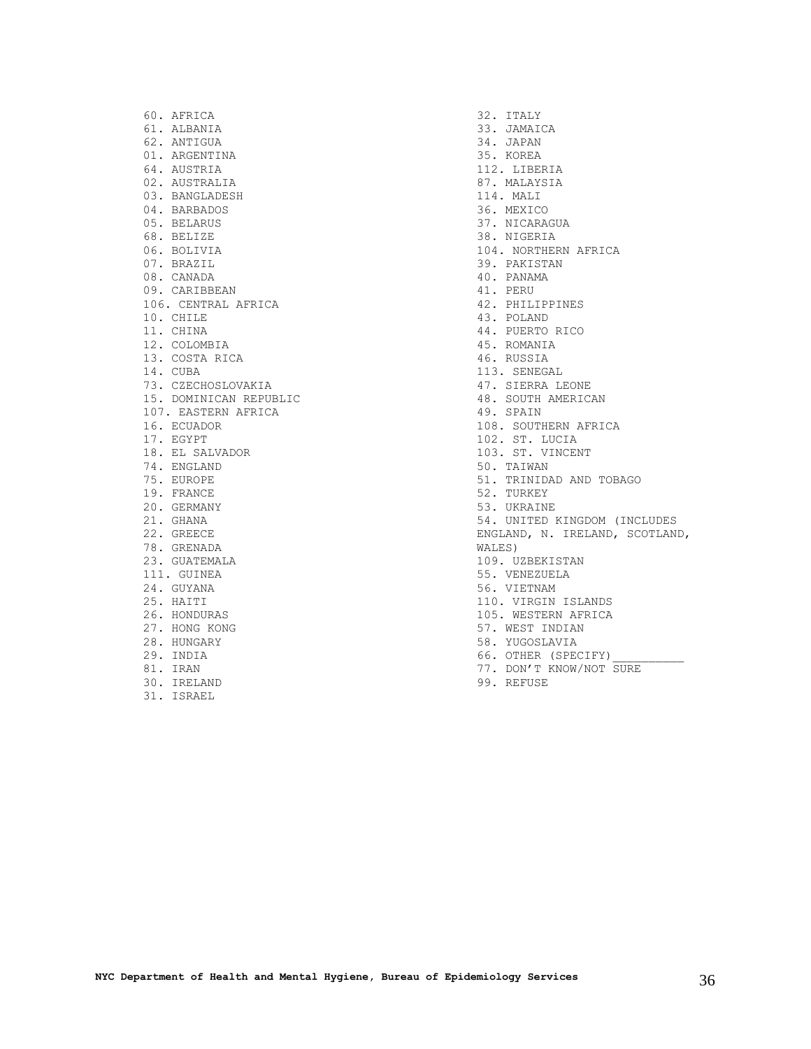60. AFRICA 61. ALBANIA 62. ANTIGUA 01. ARGENTINA 64. AUSTRIA 02. AUSTRALIA 03. BANGLADESH 04. BARBADOS 05. BELARUS 68. BELIZE 06. BOLIVIA 07. BRAZIL 08. CANADA 09. CARIBBEAN 106. CENTRAL AFRICA 10. CHILE 11. CHINA 12. COLOMBIA 13. COSTA RICA 14. CUBA 73. CZECHOSLOVAKIA 15. DOMINICAN REPUBLIC 107. EASTERN AFRICA 16. ECUADOR 17. EGYPT 18. EL SALVADOR 74. ENGLAND 75. EUROPE 19. FRANCE 20. GERMANY 21. GHANA 22. GREECE 78. GRENADA 23. GUATEMALA 111. GUINEA 24. GUYANA 25. HAITI 26. HONDURAS 27. HONG KONG 28. HUNGARY 29. INDIA 81. IRAN 30. IRELAND

31. ISRAEL

32. ITALY 33. JAMAICA 34. JAPAN 35. KOREA 112. LIBERIA 87. MALAYSIA 114. MALI 36. MEXICO 37. NICARAGUA 38. NIGERIA 104. NORTHERN AFRICA 39. PAKISTAN 40. PANAMA 41. PERU 42. PHILIPPINES 43. POLAND 44. PUERTO RICO 45. ROMANIA 46. RUSSIA 113. SENEGAL 47. SIERRA LEONE 48. SOUTH AMERICAN 49. SPAIN 108. SOUTHERN AFRICA 102. ST. LUCIA 103. ST. VINCENT 50. TAIWAN 51. TRINIDAD AND TOBAGO 52. TURKEY 53. UKRAINE 54. UNITED KINGDOM (INCLUDES ENGLAND, N. IRELAND, SCOTLAND, WALES) 109. UZBEKISTAN 55. VENEZUELA 56. VIETNAM 110. VIRGIN ISLANDS 105. WESTERN AFRICA 57. WEST INDIAN 58. YUGOSLAVIA 66. OTHER (SPECIFY) 77. DON'T KNOW/NOT SURE

99. REFUSE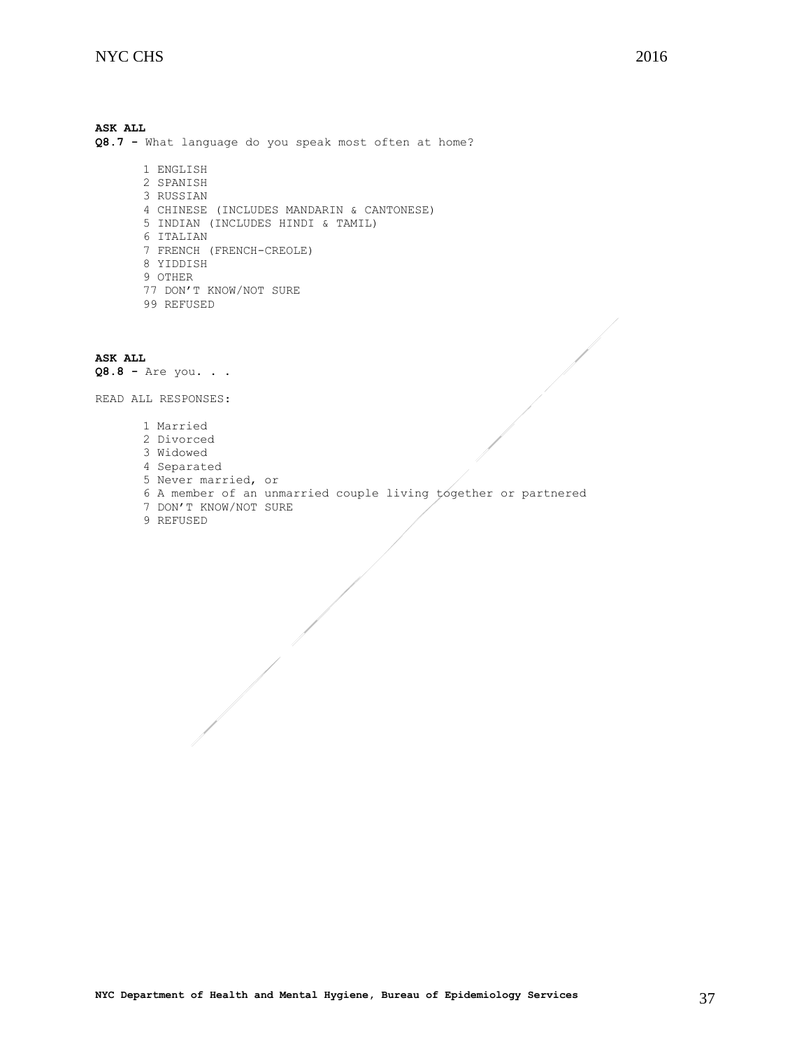**ASK ALL Q8.7 -** What language do you speak most often at home? 1 ENGLISH 2 SPANISH 3 RUSSIAN 4 CHINESE (INCLUDES MANDARIN & CANTONESE) 5 INDIAN (INCLUDES HINDI & TAMIL) 6 ITALIAN 7 FRENCH (FRENCH-CREOLE) 8 YIDDISH 9 OTHER

- 77 DON'T KNOW/NOT SURE
- 99 REFUSED

**ASK ALL Q8.8 -** Are you. . .

READ ALL RESPONSES:

- 1 Married
- 2 Divorced
- 3 Widowed
- 4 Separated
- 5 Never married, or
- 6 A member of an unmarried couple living together or partnered
- 7 DON'T KNOW/NOT SURE
- 9 REFUSED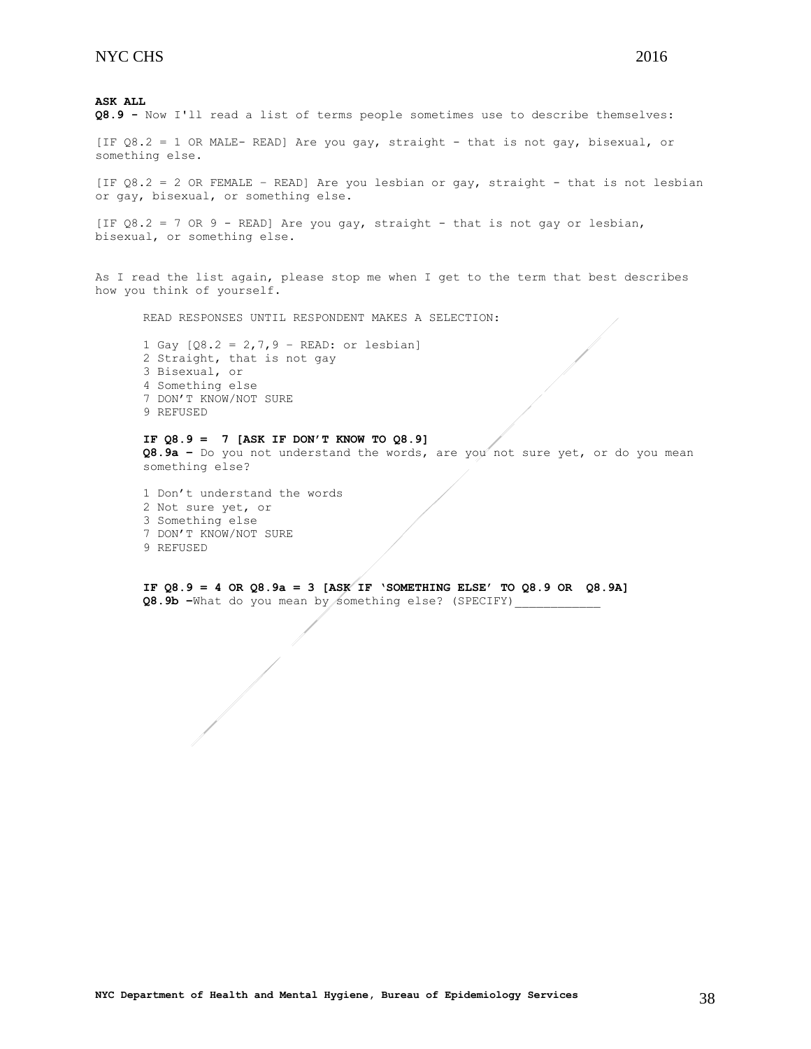[IF Q8.2 = 1 OR MALE- READ] Are you gay, straight - that is not gay, bisexual, or something else.

[IF Q8.2 = 2 OR FEMALE – READ] Are you lesbian or gay, straight - that is not lesbian or gay, bisexual, or something else.

[IF  $Q8.2 = 7$  OR 9 - READ] Are you gay, straight - that is not gay or lesbian, bisexual, or something else.

As I read the list again, please stop me when I get to the term that best describes how you think of yourself.

READ RESPONSES UNTIL RESPONDENT MAKES A SELECTION:

1 Gay  $[Q8.2 = 2, 7, 9 - READ:$  or lesbian] 2 Straight, that is not gay 3 Bisexual, or 4 Something else 7 DON'T KNOW/NOT SURE 9 REFUSED

## **IF Q8.9 = 7 [ASK IF DON'T KNOW TO Q8.9]**

**Q8.9a –** Do you not understand the words, are you not sure yet, or do you mean something else?

1 Don't understand the words 2 Not sure yet, or 3 Something else 7 DON'T KNOW/NOT SURE 9 REFUSED

**IF Q8.9 = 4 OR Q8.9a = 3 [ASK IF 'SOMETHING ELSE' TO Q8.9 OR Q8.9A] Q8.9b –**What do you mean by something else? (SPECIFY)\_\_\_\_\_\_\_\_\_\_\_\_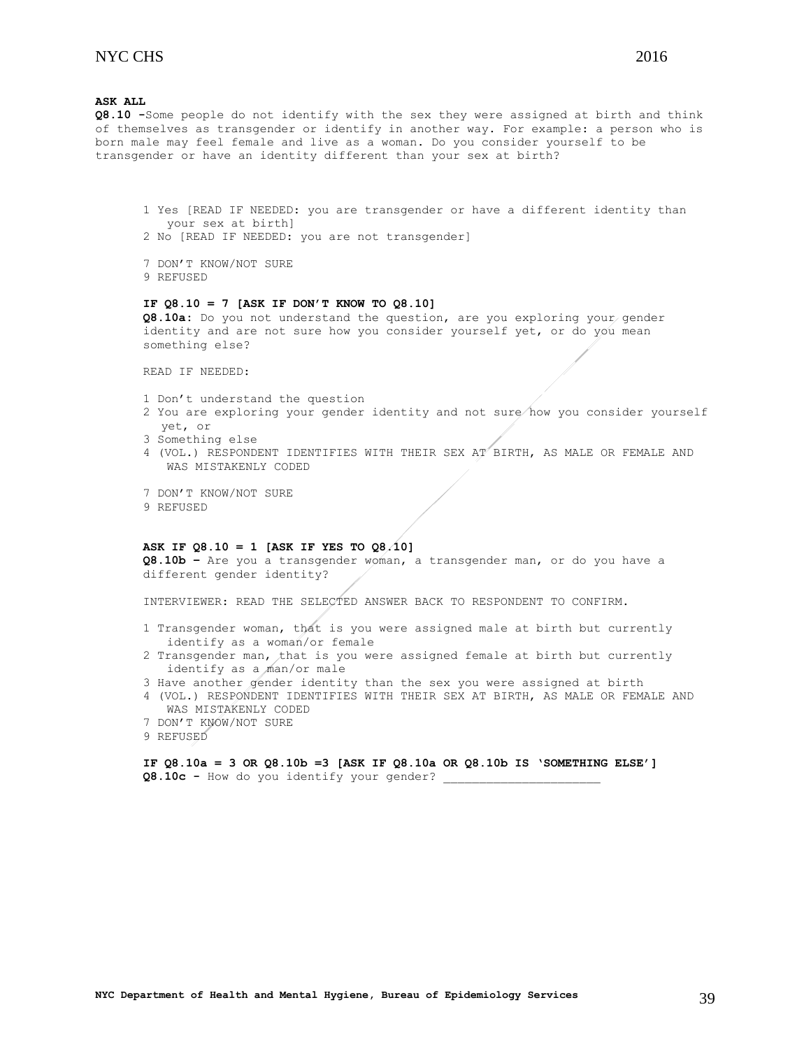**Q8.10 -**Some people do not identify with the sex they were assigned at birth and think of themselves as transgender or identify in another way. For example: a person who is born male may feel female and live as a woman. Do you consider yourself to be transgender or have an identity different than your sex at birth?

- 1 Yes [READ IF NEEDED: you are transgender or have a different identity than your sex at birth]
- 2 No [READ IF NEEDED: you are not transgender]
- 7 DON'T KNOW/NOT SURE 9 REFUSED

### **IF Q8.10 = 7 [ASK IF DON'T KNOW TO Q8.10]**

**Q8.10a:** Do you not understand the question, are you exploring your gender identity and are not sure how you consider yourself yet, or do you mean something else?

READ IF NEEDED:

- 1 Don't understand the question
- 2 You are exploring your gender identity and not sure how you consider yourself yet, or
- 3 Something else
- 4 (VOL.) RESPONDENT IDENTIFIES WITH THEIR SEX AT BIRTH, AS MALE OR FEMALE AND WAS MISTAKENLY CODED
- 7 DON'T KNOW/NOT SURE 9 REFUSED

## **ASK IF Q8.10 = 1 [ASK IF YES TO Q8.10]**

**Q8.10b –** Are you a transgender woman, a transgender man, or do you have a different gender identity?

INTERVIEWER: READ THE SELECTED ANSWER BACK TO RESPONDENT TO CONFIRM.

- 1 Transgender woman, that is you were assigned male at birth but currently identify as a woman/or female
- 2 Transgender man, that is you were assigned female at birth but currently identify as a man/or male
- 3 Have another gender identity than the sex you were assigned at birth
- 4 (VOL.) RESPONDENT IDENTIFIES WITH THEIR SEX AT BIRTH, AS MALE OR FEMALE AND WAS MISTAKENLY CODED
- 7 DON'T KNOW/NOT SURE
- 9 REFUSED

**IF Q8.10a = 3 OR Q8.10b =3 [ASK IF Q8.10a OR Q8.10b IS 'SOMETHING ELSE'] Q8.10c -** How do you identify your gender? \_\_\_\_\_\_\_\_\_\_\_\_\_\_\_\_\_\_\_\_\_\_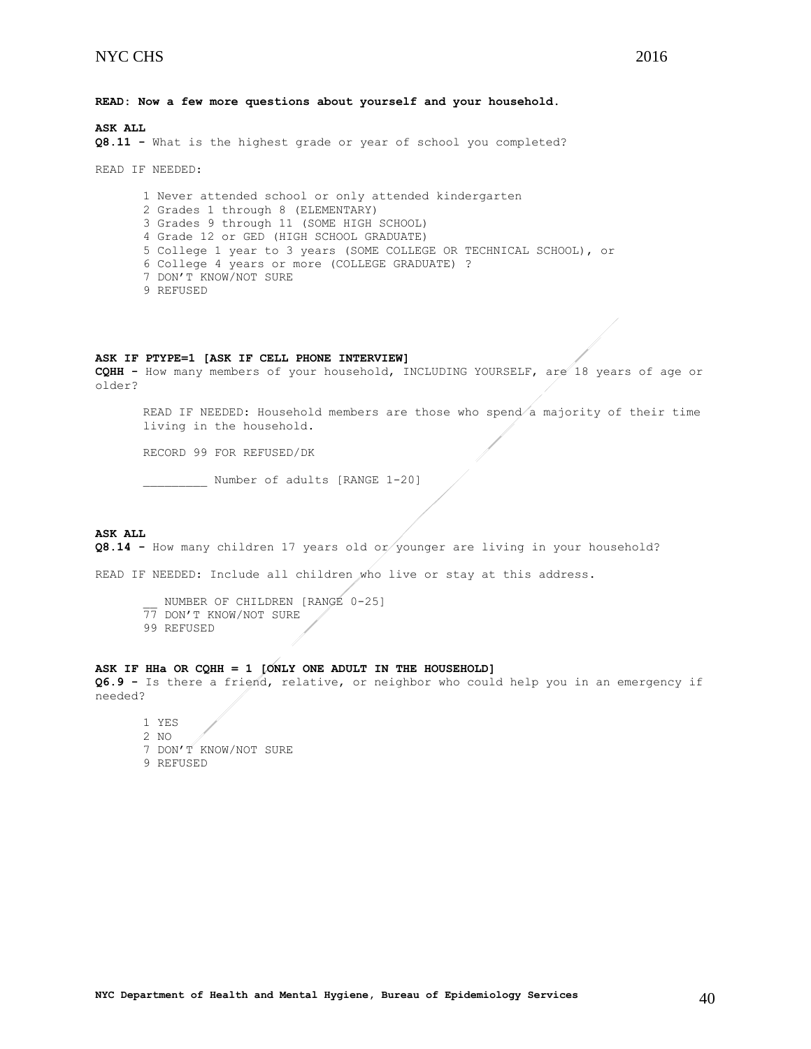**Q8.11 -** What is the highest grade or year of school you completed?

READ IF NEEDED:

1 Never attended school or only attended kindergarten 2 Grades 1 through 8 (ELEMENTARY) 3 Grades 9 through 11 (SOME HIGH SCHOOL) 4 Grade 12 or GED (HIGH SCHOOL GRADUATE) 5 College 1 year to 3 years (SOME COLLEGE OR TECHNICAL SCHOOL), or 6 College 4 years or more (COLLEGE GRADUATE) ? 7 DON'T KNOW/NOT SURE 9 REFUSED

#### **ASK IF PTYPE=1 [ASK IF CELL PHONE INTERVIEW]**

**CQHH -** How many members of your household, INCLUDING YOURSELF, are 18 years of age or older?

READ IF NEEDED: Household members are those who spend a majority of their time living in the household.

RECORD 99 FOR REFUSED/DK

\_\_\_\_\_\_\_\_\_ Number of adults [RANGE 1-20]

#### **ASK ALL**

**Q8.14** - How many children 17 years old or younger are living in your household?

READ IF NEEDED: Include all children who live or stay at this address.

NUMBER OF CHILDREN [RANGE 0-25] 77 DON'T KNOW/NOT SURE 99 REFUSED

#### **ASK IF HHa OR CQHH = 1 [ONLY ONE ADULT IN THE HOUSEHOLD]**

**Q6.9 -** Is there a friend, relative, or neighbor who could help you in an emergency if needed?

1 YES 2 NO 7 DON'T KNOW/NOT SURE 9 REFUSED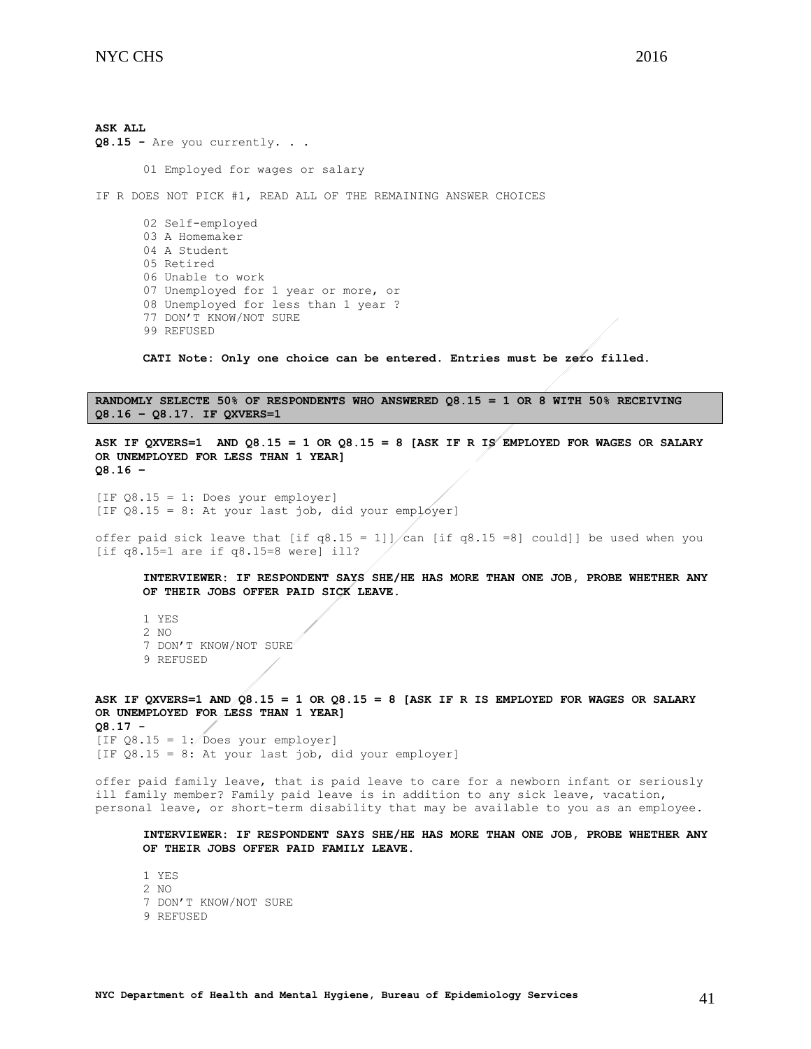**ASK ALL Q8.15 -** Are you currently. . . 01 Employed for wages or salary IF R DOES NOT PICK #1, READ ALL OF THE REMAINING ANSWER CHOICES 02 Self-employed 03 A Homemaker 04 A Student 05 Retired 06 Unable to work 07 Unemployed for 1 year or more, or 08 Unemployed for less than 1 year ? 77 DON'T KNOW/NOT SURE 99 REFUSED

**CATI Note: Only one choice can be entered. Entries must be zero filled.**

**RANDOMLY SELECTE 50% OF RESPONDENTS WHO ANSWERED Q8.15 = 1 OR 8 WITH 50% RECEIVING Q8.16 – Q8.17. IF QXVERS=1**

ASK IF QXVERS=1 AND  $Q8.15 = 1$  OR  $Q8.15 = 8$  [ASK IF R IS<sup>2</sup> EMPLOYED FOR WAGES OR SALARY **OR UNEMPLOYED FOR LESS THAN 1 YEAR] Q8.16 –**

 $[IF Q8.15 = 1: Does your employer]$ [IF  $Q8.15 = 8$ : At your last job, did your employer]

offer paid sick leave that [if q8.15 = 1]]/can [if q8.15 =8] could]] be used when you [if  $q8.15=1$  are if  $q8.15=8$  were] ill?

**INTERVIEWER: IF RESPONDENT SAYS SHE/HE HAS MORE THAN ONE JOB, PROBE WHETHER ANY OF THEIR JOBS OFFER PAID SICK LEAVE.**

1 YES 2 NO 7 DON'T KNOW/NOT SURE 9 REFUSED

**ASK IF QXVERS=1 AND Q8.15 = 1 OR Q8.15 = 8 [ASK IF R IS EMPLOYED FOR WAGES OR SALARY OR UNEMPLOYED FOR LESS THAN 1 YEAR] Q8.17 -** [IF  $Q8.15 = 1$ : Does your employer] [IF Q8.15 = 8: At your last job, did your employer]

offer paid family leave, that is paid leave to care for a newborn infant or seriously ill family member? Family paid leave is in addition to any sick leave, vacation, personal leave, or short-term disability that may be available to you as an employee.

**INTERVIEWER: IF RESPONDENT SAYS SHE/HE HAS MORE THAN ONE JOB, PROBE WHETHER ANY OF THEIR JOBS OFFER PAID FAMILY LEAVE.**

1 YES 2 NO 7 DON'T KNOW/NOT SURE 9 REFUSED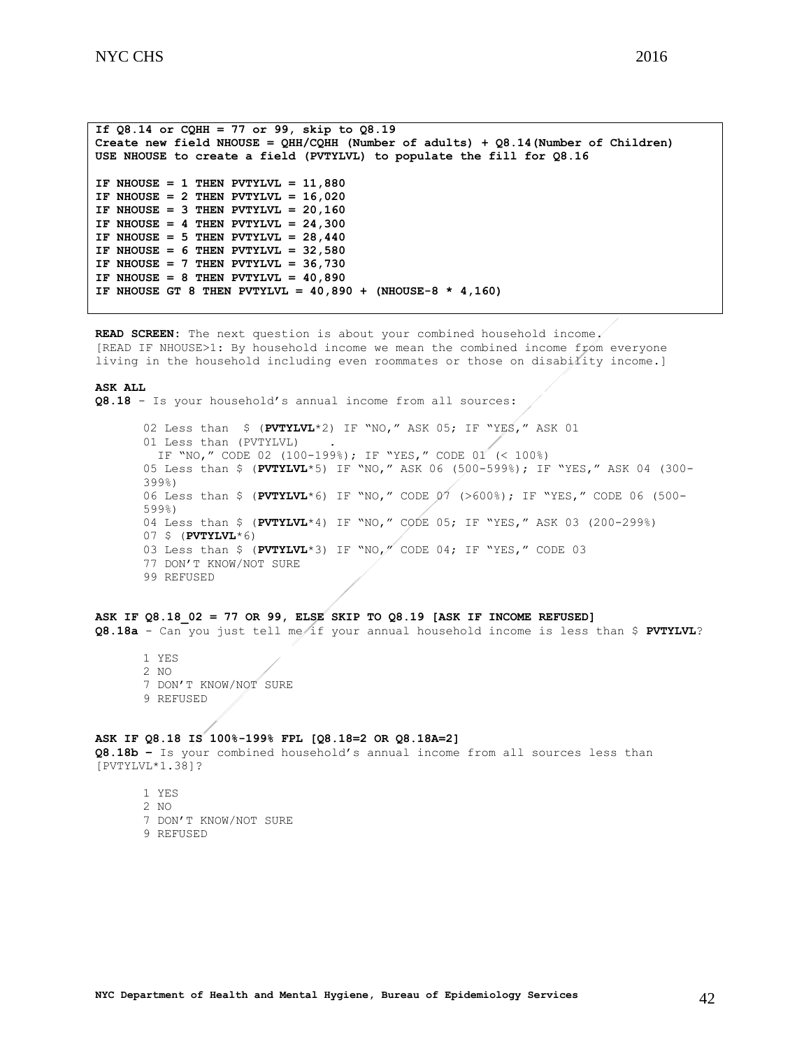```
If Q8.14 or CQHH = 77 or 99, skip to Q8.19
Create new field NHOUSE = QHH/CQHH (Number of adults) + Q8.14(Number of Children)
USE NHOUSE to create a field (PVTYLVL) to populate the fill for Q8.16
IF NHOUSE = 1 THEN PVTYLVL = 11,880
IF NHOUSE = 2 THEN PVTYLVL = 16,020
IF NHOUSE = 3 THEN PVTYLVL = 20,160
IF NHOUSE = 4 THEN PVTYLVL = 24,300
IF NHOUSE = 5 THEN PVTYLVL = 28,440
IF NHOUSE = 6 THEN PVTYLVL = 32,580
IF NHOUSE = 7 THEN PVTYLVL = 36,730
IF NHOUSE = 8 THEN PVTYLVL = 40,890
IF NHOUSE GT 8 THEN PVTYLVL = 40,890 + (NHOUSE-8 * 4,160)
```
**READ SCREEN:** The next question is about your combined household income. [READ IF NHOUSE>1: By household income we mean the combined income from everyone living in the household including even roommates or those on disability income.]

#### **ASK ALL**

**Q8.18** - Is your household's annual income from all sources:

02 Less than \$ (**PVTYLVL**\*2) IF "NO," ASK 05; IF "YES," ASK 01 01 Less than (PVTYLVL) IF "NO," CODE 02 (100-199%); IF "YES," CODE 01 (< 100%) 05 Less than \$ (**PVTYLVL**\*5) IF "NO," ASK 06 (500-599%); IF "YES," ASK 04 (300- 399%) 06 Less than \$ (**PVTYLVL**\*6) IF "NO," CODE 07 (>600%); IF "YES," CODE 06 (500- 599%) 04 Less than \$ (**PVTYLVL**\*4) IF "NO," CODE 05; IF "YES," ASK 03 (200-299%) 07 \$ (**PVTYLVL**\*6) 03 Less than \$ (**PVTYLVL**\*3) IF "NO," CODE 04; IF "YES," CODE 03 77 DON'T KNOW/NOT SURE 99 REFUSED

#### **ASK IF Q8.18\_02 = 77 OR 99, ELSE SKIP TO Q8.19 [ASK IF INCOME REFUSED]**

**Q8.18a** - Can you just tell me if your annual household income is less than \$ **PVTYLVL**?

1 YES 2 NO 7 DON'T KNOW/NOT SURE 9 REFUSED

### **ASK IF Q8.18 IS 100%-199% FPL [Q8.18=2 OR Q8.18A=2]**

**Q8.18b –** Is your combined household's annual income from all sources less than [PVTYLVL\*1.38]?

1 YES 2 NO 7 DON'T KNOW/NOT SURE 9 REFUSED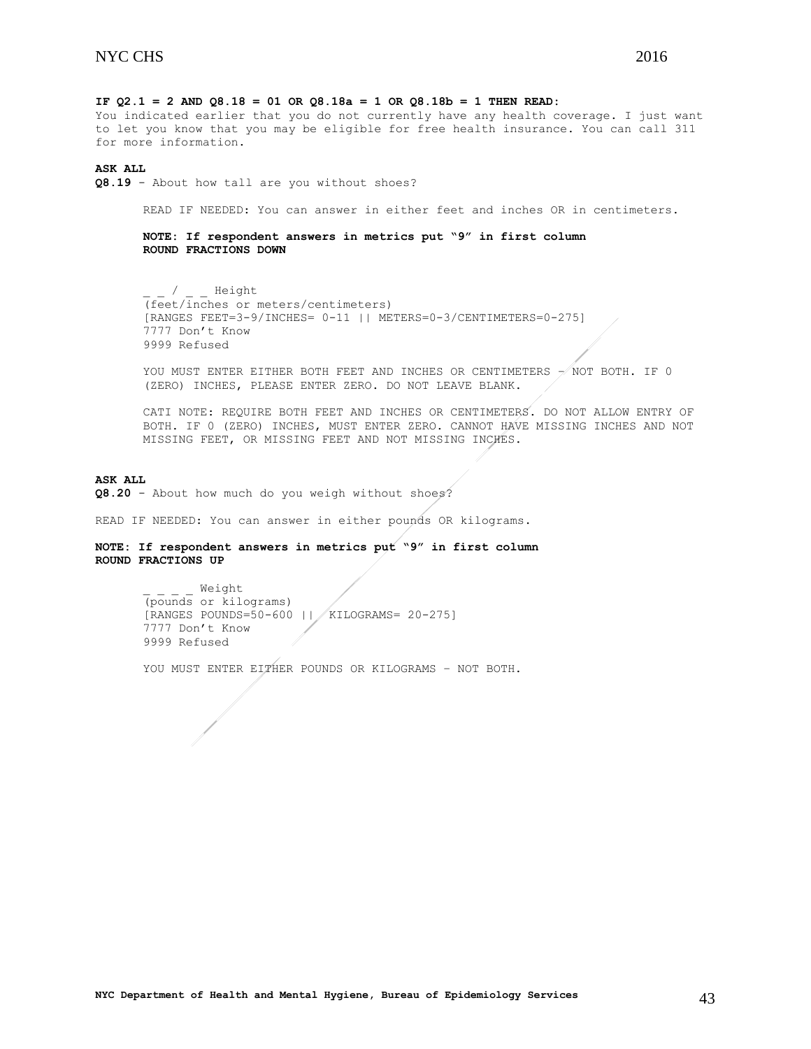**IF Q2.1 = 2 AND Q8.18 = 01 OR Q8.18a = 1 OR Q8.18b = 1 THEN READ:** 

You indicated earlier that you do not currently have any health coverage. I just want to let you know that you may be eligible for free health insurance. You can call 311 for more information.

#### **ASK ALL**

**Q8.19** - About how tall are you without shoes?

READ IF NEEDED: You can answer in either feet and inches OR in centimeters.

**NOTE: If respondent answers in metrics put "9" in first column ROUND FRACTIONS DOWN**

/ Height (feet/inches or meters/centimeters) [RANGES FEET=3-9/INCHES= 0-11 || METERS=0-3/CENTIMETERS=0-275] 7777 Don't Know 9999 Refused

YOU MUST ENTER EITHER BOTH FEET AND INCHES OR CENTIMETERS - NOT BOTH. IF 0 (ZERO) INCHES, PLEASE ENTER ZERO. DO NOT LEAVE BLANK.

CATI NOTE: REQUIRE BOTH FEET AND INCHES OR CENTIMETERS. DO NOT ALLOW ENTRY OF BOTH. IF 0 (ZERO) INCHES, MUST ENTER ZERO. CANNOT HAVE MISSING INCHES AND NOT MISSING FEET, OR MISSING FEET AND NOT MISSING INCHES.

#### **ASK ALL**

**Q8.20** - About how much do you weigh without shoes?

READ IF NEEDED: You can answer in either pounds OR kilograms.

## **NOTE: If respondent answers in metrics put "9" in first column ROUND FRACTIONS UP**

\_ \_ \_ \_ Weight (pounds or kilograms) [RANGES POUNDS=50-600 || KILOGRAMS= 20-275] 7777 Don't Know 9999 Refused

YOU MUST ENTER EITHER POUNDS OR KILOGRAMS - NOT BOTH.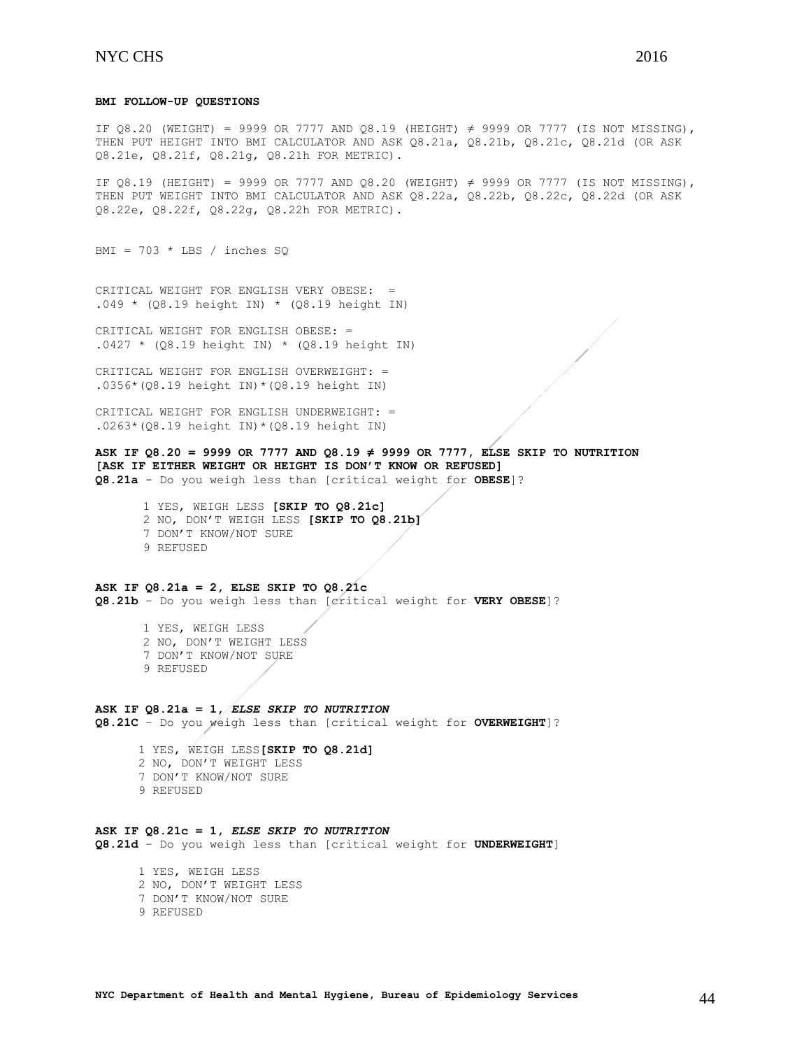### **BMI FOLLOW-UP QUESTIONS**

IF 08.20 (WEIGHT) = 9999 OR 7777 AND 08.19 (HEIGHT)  $\neq$  9999 OR 7777 (IS NOT MISSING), THEN PUT HEIGHT INTO BMI CALCULATOR AND ASK Q8.21a, Q8.21b, Q8.21c, Q8.21d (OR ASK Q8.21e, Q8.21f, Q8.21g, Q8.21h FOR METRIC).

IF Q8.19 (HEIGHT) = 9999 OR 7777 AND Q8.20 (WEIGHT) ≠ 9999 OR 7777 (IS NOT MISSING), THEN PUT WEIGHT INTO BMI CALCULATOR AND ASK Q8.22a, Q8.22b, Q8.22c, Q8.22d (OR ASK Q8.22e, Q8.22f, Q8.22g, Q8.22h FOR METRIC).

BMI =  $703 * LBS / inches SQ$ 

CRITICAL WEIGHT FOR ENGLISH VERY OBESE: =  $.049 * (Q8.19 \text{ height IN}) * (Q8.19 \text{ height IN})$ 

CRITICAL WEIGHT FOR ENGLISH OBESE: =  $.0427 * (Q8.19 \text{ height} \text{IN}) * (Q8.19 \text{ height} \text{IN})$ 

CRITICAL WEIGHT FOR ENGLISH OVERWEIGHT: = .0356\*(Q8.19 height IN)\*(Q8.19 height IN)

CRITICAL WEIGHT FOR ENGLISH UNDERWEIGHT: = .0263\*(Q8.19 height IN)\*(Q8.19 height IN)

## **ASK IF Q8.20 = 9999 OR 7777 AND Q8.19 ≠ 9999 OR 7777, ELSE SKIP TO NUTRITION [ASK IF EITHER WEIGHT OR HEIGHT IS DON'T KNOW OR REFUSED]**

**Q8.21a** - Do you weigh less than [critical weight for **OBESE**]?

1 YES, WEIGH LESS **[SKIP TO Q8.21c]** 2 NO, DON'T WEIGH LESS **[SKIP TO Q8.21b]** 7 DON'T KNOW/NOT SURE 9 REFUSED

#### **ASK IF Q8.21a = 2, ELSE SKIP TO Q8.21c Q8.21b** – Do you weigh less than [critical weight for **VERY OBESE**]?

- 1 YES, WEIGH LESS 2 NO, DON'T WEIGHT LESS
- 7 DON'T KNOW/NOT SURE
- 9 REFUSED

#### **ASK IF Q8.21a = 1,** *ELSE SKIP TO NUTRITION* **Q8.21C** – Do you weigh less than [critical weight for **OVERWEIGHT**]?

 1 YES, WEIGH LESS**[SKIP TO Q8.21d]** 2 NO, DON'T WEIGHT LESS 7 DON'T KNOW/NOT SURE 9 REFUSED

## **ASK IF Q8.21c = 1,** *ELSE SKIP TO NUTRITION*

**Q8.21d** – Do you weigh less than [critical weight for **UNDERWEIGHT**]

- 1 YES, WEIGH LESS 2 NO, DON'T WEIGHT LESS 7 DON'T KNOW/NOT SURE
- 
- 9 REFUSED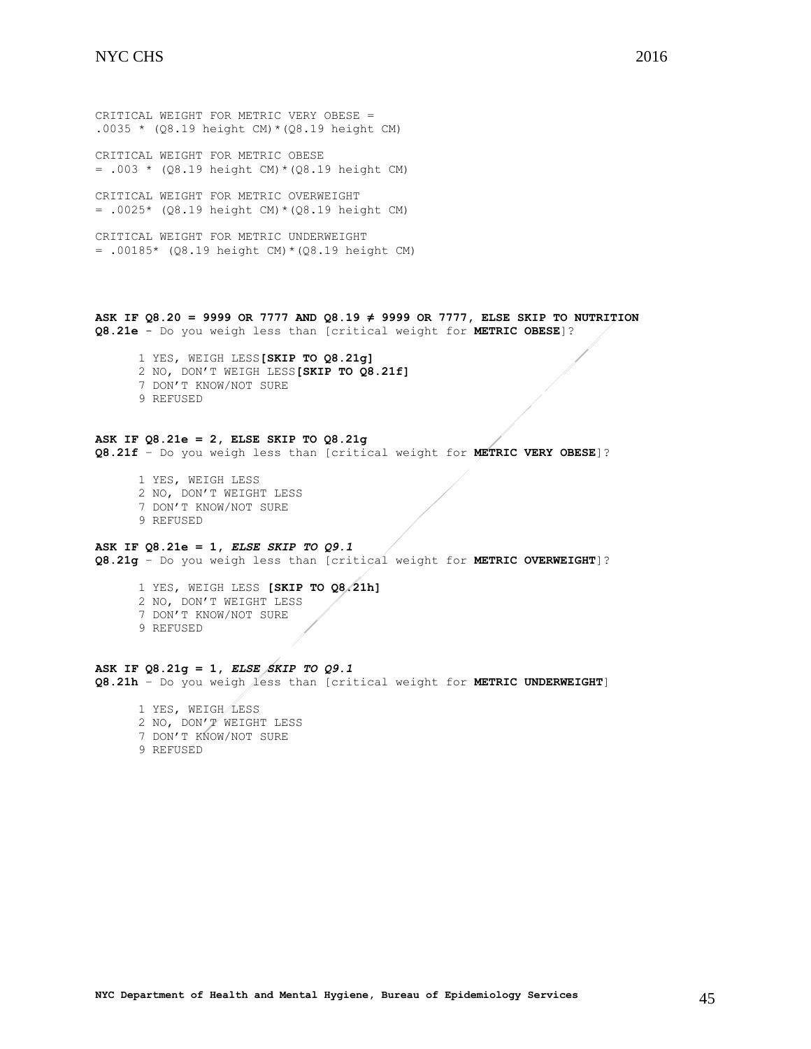CRITICAL WEIGHT FOR METRIC VERY OBESE = .0035 \*  $(Q8.19 \text{ height } CM) * (Q8.19 \text{ height } CM)$ 

CRITICAL WEIGHT FOR METRIC OBESE  $= .003 * (Q8.19 \text{ height CM}) * (Q8.19 \text{ height CM})$ 

CRITICAL WEIGHT FOR METRIC OVERWEIGHT  $= .0025*$  (Q8.19 height CM) \* (Q8.19 height CM)

CRITICAL WEIGHT FOR METRIC UNDERWEIGHT = .00185\* (Q8.19 height CM)\*(Q8.19 height CM)

**ASK IF Q8.20 = 9999 OR 7777 AND Q8.19 ≠ 9999 OR 7777, ELSE SKIP TO NUTRITION Q8.21e** - Do you weigh less than [critical weight for **METRIC OBESE**]?

 1 YES, WEIGH LESS**[SKIP TO Q8.21g]** 2 NO, DON'T WEIGH LESS**[SKIP TO Q8.21f]** 7 DON'T KNOW/NOT SURE 9 REFUSED

**ASK IF Q8.21e = 2, ELSE SKIP TO Q8.21g Q8.21f** – Do you weigh less than [critical weight for **METRIC VERY OBESE**]?

 1 YES, WEIGH LESS 2 NO, DON'T WEIGHT LESS 7 DON'T KNOW/NOT SURE 9 REFUSED

## **ASK IF Q8.21e = 1,** *ELSE SKIP TO Q9.1*

**Q8.21g** – Do you weigh less than [critical weight for **METRIC OVERWEIGHT**]?

 1 YES, WEIGH LESS **[SKIP TO Q8.21h]** 2 NO, DON'T WEIGHT LESS 7 DON'T KNOW/NOT SURE 9 REFUSED

**ASK IF Q8.21g = 1,** *ELSE SKIP TO Q9.1* **Q8.21h** – Do you weigh less than [critical weight for **METRIC UNDERWEIGHT**]

 1 YES, WEIGH LESS 2 NO, DON'T WEIGHT LESS 7 DON'T KNOW/NOT SURE 9 REFUSED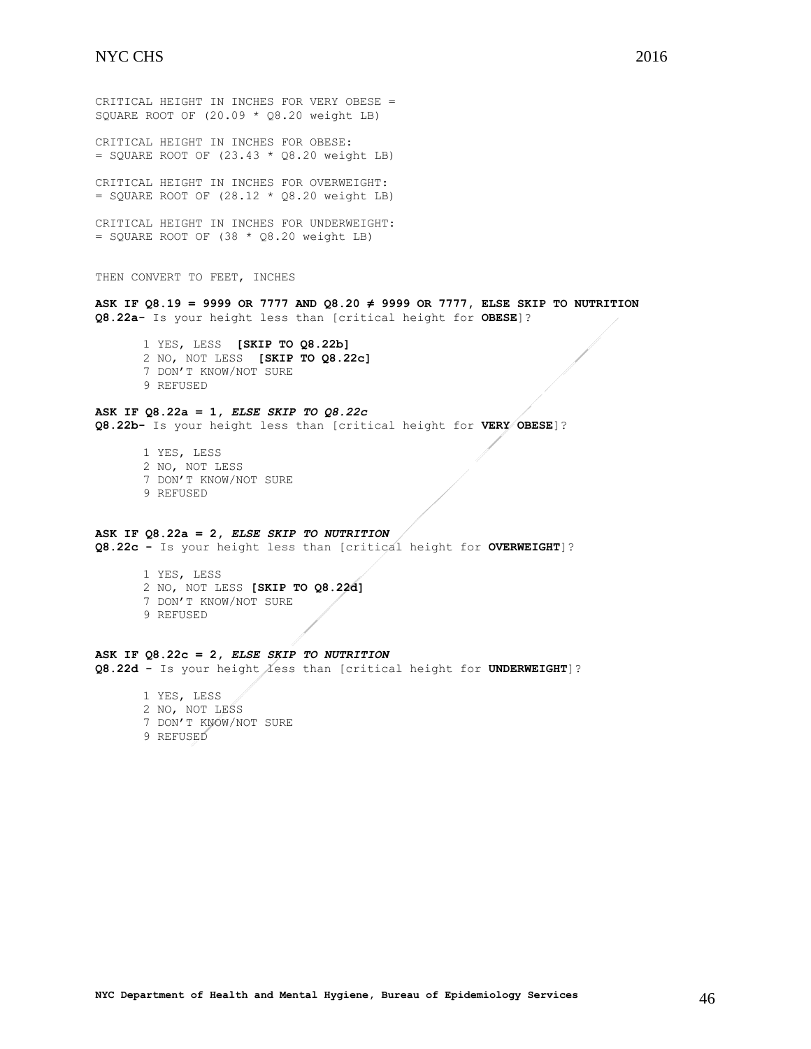CRITICAL HEIGHT IN INCHES FOR VERY OBESE = SQUARE ROOT OF (20.09 \* Q8.20 weight LB) CRITICAL HEIGHT IN INCHES FOR OBESE:  $=$  SQUARE ROOT OF (23.43  $*$  Q8.20 weight LB) CRITICAL HEIGHT IN INCHES FOR OVERWEIGHT:  $=$  SQUARE ROOT OF (28.12  $*$  Q8.20 weight LB) CRITICAL HEIGHT IN INCHES FOR UNDERWEIGHT:  $=$  SQUARE ROOT OF (38  $*$  Q8.20 weight LB) THEN CONVERT TO FEET, INCHES **ASK IF Q8.19 = 9999 OR 7777 AND Q8.20 ≠ 9999 OR 7777, ELSE SKIP TO NUTRITION Q8.22a-** Is your height less than [critical height for **OBESE**]? 1 YES, LESS **[SKIP TO Q8.22b]** 2 NO, NOT LESS **[SKIP TO Q8.22c]** 7 DON'T KNOW/NOT SURE 9 REFUSED **ASK IF Q8.22a = 1,** *ELSE SKIP TO Q8.22c* **Q8.22b-** Is your height less than [critical height for **VERY OBESE**]? 1 YES, LESS 2 NO, NOT LESS 7 DON'T KNOW/NOT SURE 9 REFUSED **ASK IF Q8.22a = 2,** *ELSE SKIP TO NUTRITION* **Q8.22c -** Is your height less than [critical height for **OVERWEIGHT**]?

1 YES, LESS 2 NO, NOT LESS **[SKIP TO Q8.22d]** 7 DON'T KNOW/NOT SURE 9 REFUSED

#### **ASK IF Q8.22c = 2,** *ELSE SKIP TO NUTRITION*

Q8.22d - Is your height less than [critical height for UNDERWEIGHT]?

1 YES, LESS 2 NO, NOT LESS 7 DON'T KNOW/NOT SURE 9 REFUSED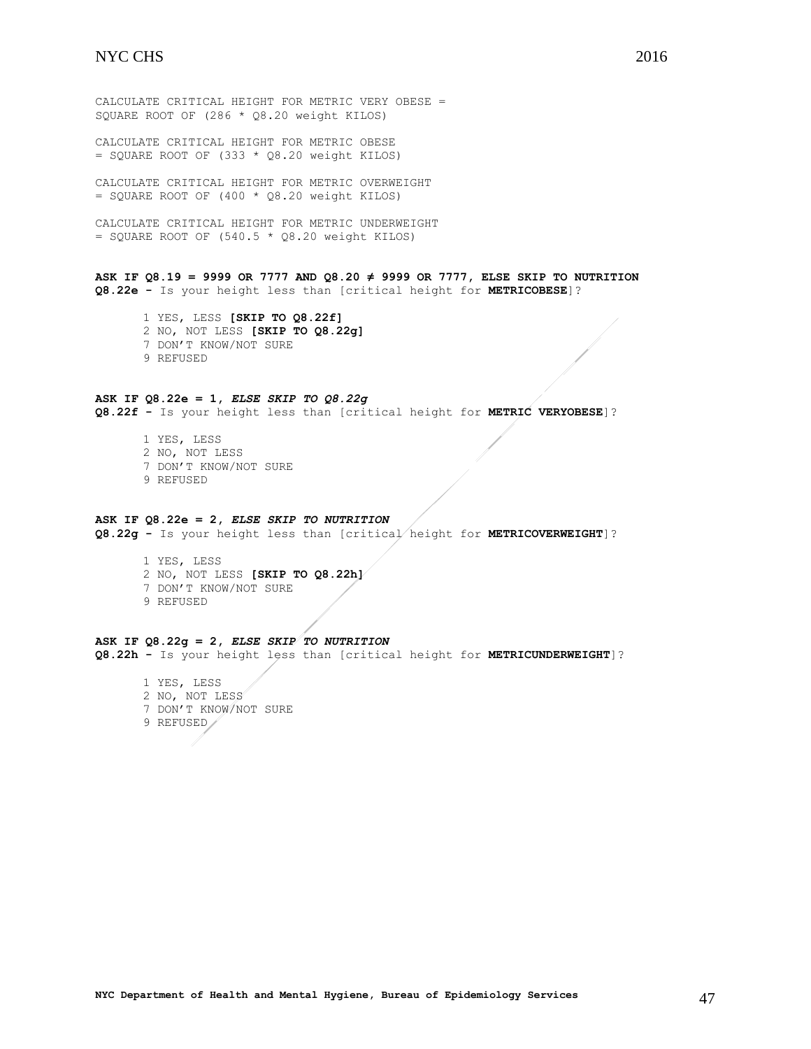CALCULATE CRITICAL HEIGHT FOR METRIC OBESE  $=$  SQUARE ROOT OF (333  $*$  Q8.20 weight KILOS)

CALCULATE CRITICAL HEIGHT FOR METRIC OVERWEIGHT  $=$  SQUARE ROOT OF (400  $*$  Q8.20 weight KILOS)

CALCULATE CRITICAL HEIGHT FOR METRIC UNDERWEIGHT  $=$  SQUARE ROOT OF (540.5  $*$  Q8.20 weight KILOS)

**ASK IF Q8.19 = 9999 OR 7777 AND Q8.20 ≠ 9999 OR 7777, ELSE SKIP TO NUTRITION Q8.22e -** Is your height less than [critical height for **METRICOBESE**]?

1 YES, LESS **[SKIP TO Q8.22f]** 2 NO, NOT LESS **[SKIP TO Q8.22g]** 7 DON'T KNOW/NOT SURE 9 REFUSED

## **ASK IF Q8.22e = 1,** *ELSE SKIP TO Q8.22g*

**Q8.22f -** Is your height less than [critical height for **METRIC VERYOBESE**]?

1 YES, LESS 2 NO, NOT LESS 7 DON'T KNOW/NOT SURE 9 REFUSED

#### **ASK IF Q8.22e = 2,** *ELSE SKIP TO NUTRITION*

**Q8.22g -** Is your height less than [critical height for **METRICOVERWEIGHT**]?

1 YES, LESS 2 NO, NOT LESS **[SKIP TO Q8.22h]** 7 DON'T KNOW/NOT SURE 9 REFUSED

## **ASK IF Q8.22g = 2,** *ELSE SKIP TO NUTRITION* **Q8.22h -** Is your height less than [critical height for **METRICUNDERWEIGHT**]?

1 YES, LESS 2 NO, NOT LESS 7 DON'T KNOW/NOT SURE 9 REFUSED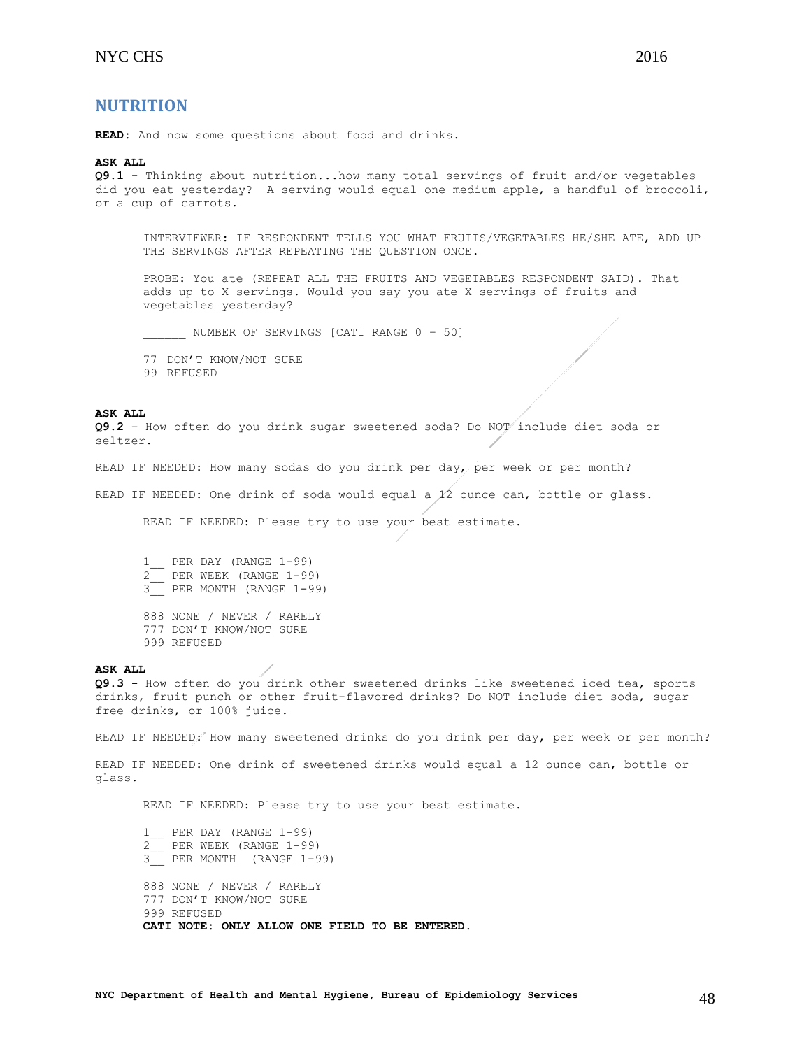<span id="page-47-0"></span>**READ:** And now some questions about food and drinks.

#### **ASK ALL**

**Q9.1 -** Thinking about nutrition...how many total servings of fruit and/or vegetables did you eat yesterday? A serving would equal one medium apple, a handful of broccoli, or a cup of carrots.

INTERVIEWER: IF RESPONDENT TELLS YOU WHAT FRUITS/VEGETABLES HE/SHE ATE, ADD UP THE SERVINGS AFTER REPEATING THE QUESTION ONCE.

PROBE: You ate (REPEAT ALL THE FRUITS AND VEGETABLES RESPONDENT SAID). That adds up to X servings. Would you say you ate X servings of fruits and vegetables yesterday?

NUMBER OF SERVINGS [CATI RANGE 0 - 50]

77 DON'T KNOW/NOT SURE

99 REFUSED

#### **ASK ALL**

**Q9.2** – How often do you drink sugar sweetened soda? Do NOT include diet soda or seltzer.

READ IF NEEDED: How many sodas do you drink per day, per week or per month?

READ IF NEEDED: One drink of soda would equal a 12 ounce can, bottle or glass.

READ IF NEEDED: Please try to use your best estimate.

1\_\_ PER DAY (RANGE 1-99) 2\_\_ PER WEEK (RANGE 1-99) 3\_\_ PER MONTH (RANGE 1-99)

888 NONE / NEVER / RARELY 777 DON'T KNOW/NOT SURE 999 REFUSED

#### **ASK ALL**

**Q9.3 -** How often do you drink other sweetened drinks like sweetened iced tea, sports drinks, fruit punch or other fruit-flavored drinks? Do NOT include diet soda, sugar free drinks, or 100% juice.

READ IF NEEDED: How many sweetened drinks do you drink per day, per week or per month?

READ IF NEEDED: One drink of sweetened drinks would equal a 12 ounce can, bottle or glass.

READ IF NEEDED: Please try to use your best estimate.

 $1$ <sup>-99</sup> 2\_\_ PER WEEK (RANGE 1-99)  $\frac{2}{3}$  PER MONTH (RANGE 1-99) 888 NONE / NEVER / RARELY 777 DON'T KNOW/NOT SURE 999 REFUSED **CATI NOTE: ONLY ALLOW ONE FIELD TO BE ENTERED.**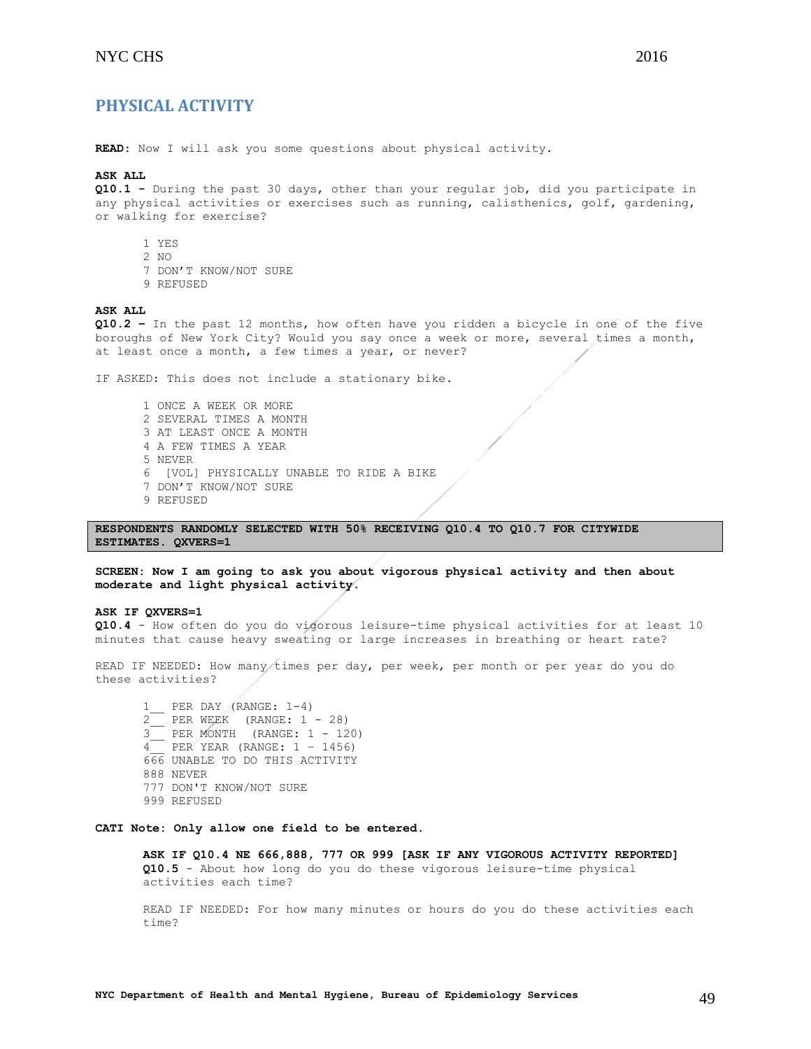## <span id="page-48-0"></span>**PHYSICAL ACTIVITY**

**READ**: Now I will ask you some questions about physical activity.

#### **ASK ALL**

**Q10.1 -** During the past 30 days, other than your regular job, did you participate in any physical activities or exercises such as running, calisthenics, golf, gardening, or walking for exercise?

- 1 YES
- 2 NO
- 7 DON'T KNOW/NOT SURE
- 9 REFUSED

#### **ASK ALL**

**Q10.2 –** In the past 12 months, how often have you ridden a bicycle in one of the five boroughs of New York City? Would you say once a week or more, several times a month, at least once a month, a few times a year, or never?

IF ASKED: This does not include a stationary bike.

1 ONCE A WEEK OR MORE 2 SEVERAL TIMES A MONTH 3 AT LEAST ONCE A MONTH 4 A FEW TIMES A YEAR 5 NEVER 6 [VOL] PHYSICALLY UNABLE TO RIDE A BIKE 7 DON'T KNOW/NOT SURE 9 REFUSED

**RESPONDENTS RANDOMLY SELECTED WITH 50% RECEIVING Q10.4 TO Q10.7 FOR CITYWIDE ESTIMATES. QXVERS=1**

**SCREEN: Now I am going to ask you about vigorous physical activity and then about moderate and light physical activity.**

### **ASK IF QXVERS=1**

**Q10.4** - How often do you do vigorous leisure-time physical activities for at least 10 minutes that cause heavy sweating or large increases in breathing or heart rate?

READ IF NEEDED: How many times per day, per week, per month or per year do you do these activities?

1\_\_ PER DAY (RANGE: 1-4) 2\_\_ PER WEEK (RANGE: 1 - 28) 3\_\_ PER MONTH (RANGE: 1 - 120)  $\frac{3}{4}$  PER YEAR (RANGE:  $1 - 1456$ ) 666 UNABLE TO DO THIS ACTIVITY 888 NEVER 777 DON'T KNOW/NOT SURE 999 REFUSED

**CATI Note: Only allow one field to be entered.**

**ASK IF Q10.4 NE 666,888, 777 OR 999 [ASK IF ANY VIGOROUS ACTIVITY REPORTED] Q10.5** - About how long do you do these vigorous leisure-time physical activities each time?

READ IF NEEDED: For how many minutes or hours do you do these activities each time?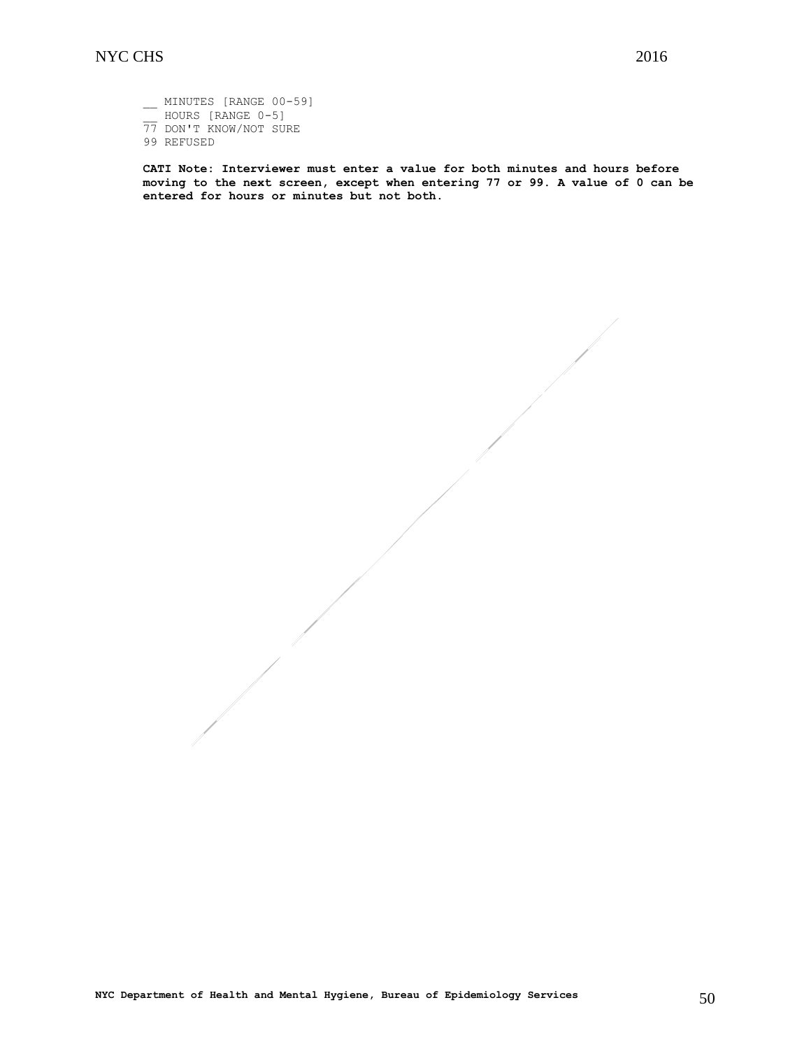\_\_ MINUTES [RANGE 00-59] \_\_ HOURS [RANGE 0-5] 77 DON'T KNOW/NOT SURE 99 REFUSED

**CATI Note: Interviewer must enter a value for both minutes and hours before moving to the next screen, except when entering 77 or 99. A value of 0 can be entered for hours or minutes but not both.**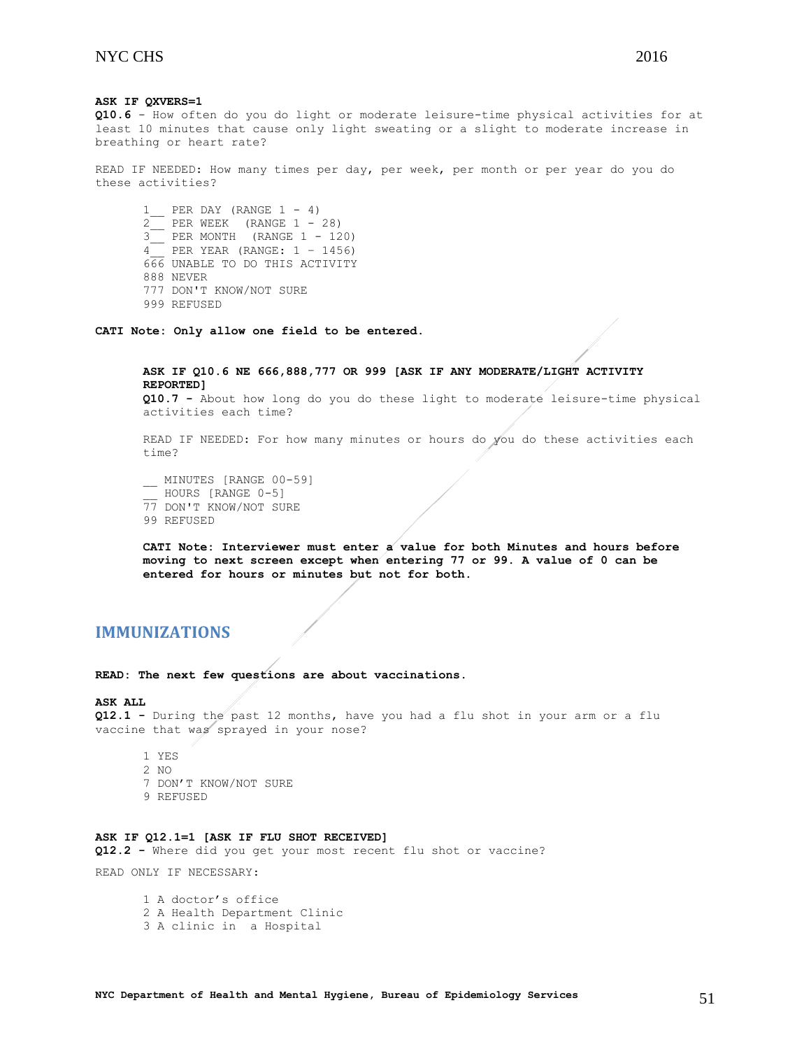**ASK IF QXVERS=1 Q10.6** - How often do you do light or moderate leisure-time physical activities for at least 10 minutes that cause only light sweating or a slight to moderate increase in breathing or heart rate?

READ IF NEEDED: How many times per day, per week, per month or per year do you do these activities?

 $1$ <sub>\_\_</sub> PER DAY (RANGE  $1 - 4$ )  $2$  PER WEEK (RANGE  $1 - 28$ ) 3\_\_ PER MONTH (RANGE 1 - 120)  $\frac{3}{4}$  PER YEAR (RANGE: 1 – 1456) 666 UNABLE TO DO THIS ACTIVITY 888 NEVER 777 DON'T KNOW/NOT SURE 999 REFUSED

**CATI Note: Only allow one field to be entered.**

**ASK IF Q10.6 NE 666,888,777 OR 999 [ASK IF ANY MODERATE/LIGHT ACTIVITY REPORTED] Q10.7 -** About how long do you do these light to moderate leisure-time physical activities each time?

READ IF NEEDED: For how many minutes or hours do you do these activities each time?

\_\_ MINUTES [RANGE 00-59] HOURS [RANGE 0-5] 77 DON'T KNOW/NOT SURE 99 REFUSED

**CATI Note: Interviewer must enter a value for both Minutes and hours before moving to next screen except when entering 77 or 99. A value of 0 can be entered for hours or minutes but not for both.**

## <span id="page-50-0"></span>**IMMUNIZATIONS**

**READ: The next few questions are about vaccinations.**

#### **ASK ALL**

**Q12.1 -** During the past 12 months, have you had a flu shot in your arm or a flu vaccine that was sprayed in your nose?

- 1 YES
- 2 NO
- 7 DON'T KNOW/NOT SURE
- 9 REFUSED

### **ASK IF Q12.1=1 [ASK IF FLU SHOT RECEIVED]**

**Q12.2 -** Where did you get your most recent flu shot or vaccine?

READ ONLY IF NECESSARY:

1 A doctor's office 2 A Health Department Clinic 3 A clinic in a Hospital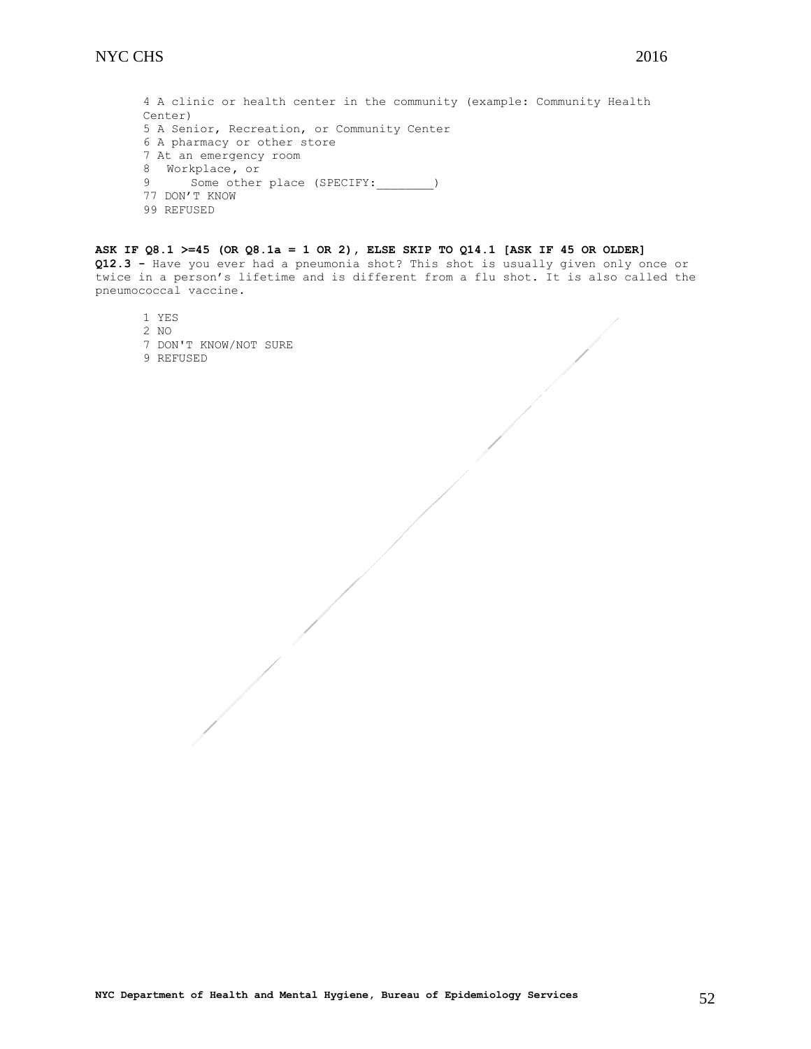4 A clinic or health center in the community (example: Community Health Center) 5 A Senior, Recreation, or Community Center 6 A pharmacy or other store 7 At an emergency room 8 Workplace**,** or 9 Some other place (SPECIFY: \_\_\_\_\_\_\_\_) 77 DON'T KNOW 99 REFUSED

## **ASK IF Q8.1 >=45 (OR Q8.1a = 1 OR 2), ELSE SKIP TO Q14.1 [ASK IF 45 OR OLDER]**

**Q12.3 -** Have you ever had a pneumonia shot? This shot is usually given only once or twice in a person's lifetime and is different from a flu shot. It is also called the pneumococcal vaccine.

1 YES

- 2 NO
- 7 DON'T KNOW/NOT SURE
- 9 REFUSED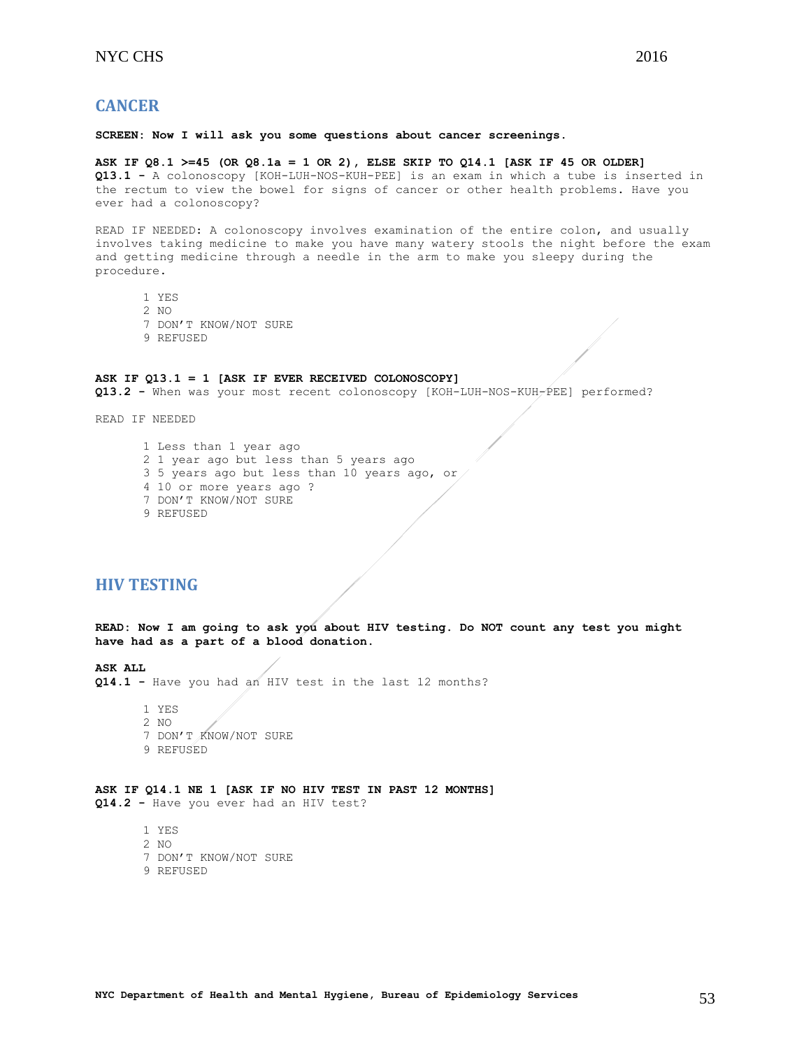## <span id="page-52-0"></span>**CANCER**

#### **SCREEN: Now I will ask you some questions about cancer screenings.**

**ASK IF Q8.1 >=45 (OR Q8.1a = 1 OR 2), ELSE SKIP TO Q14.1 [ASK IF 45 OR OLDER] Q13.1 -** A colonoscopy [KOH-LUH-NOS-KUH-PEE] is an exam in which a tube is inserted in the rectum to view the bowel for signs of cancer or other health problems. Have you ever had a colonoscopy?

READ IF NEEDED: A colonoscopy involves examination of the entire colon, and usually involves taking medicine to make you have many watery stools the night before the exam and getting medicine through a needle in the arm to make you sleepy during the procedure.

- 1 YES
- 2 NO
- 7 DON'T KNOW/NOT SURE
- 9 REFUSED

#### **ASK IF Q13.1 = 1 [ASK IF EVER RECEIVED COLONOSCOPY]**

**Q13.2 -** When was your most recent colonoscopy [KOH-LUH-NOS-KUH-PEE] performed?

READ IF NEEDED

1 Less than 1 year ago 2 1 year ago but less than 5 years ago 3 5 years ago but less than 10 years ago, or 4 10 or more years ago ? 7 DON'T KNOW/NOT SURE 9 REFUSED

## <span id="page-52-1"></span>**HIV TESTING**

**READ: Now I am going to ask you about HIV testing. Do NOT count any test you might have had as a part of a blood donation.**

**ASK ALL** 

**Q14.1 -** Have you had an HIV test in the last 12 months?

1 YES 2 NO 7 DON'T KNOW/NOT SURE 9 REFUSED

#### **ASK IF Q14.1 NE 1 [ASK IF NO HIV TEST IN PAST 12 MONTHS] Q14.2 -** Have you ever had an HIV test?

1 YES

- 2 NO
- 7 DON'T KNOW/NOT SURE
- 9 REFUSED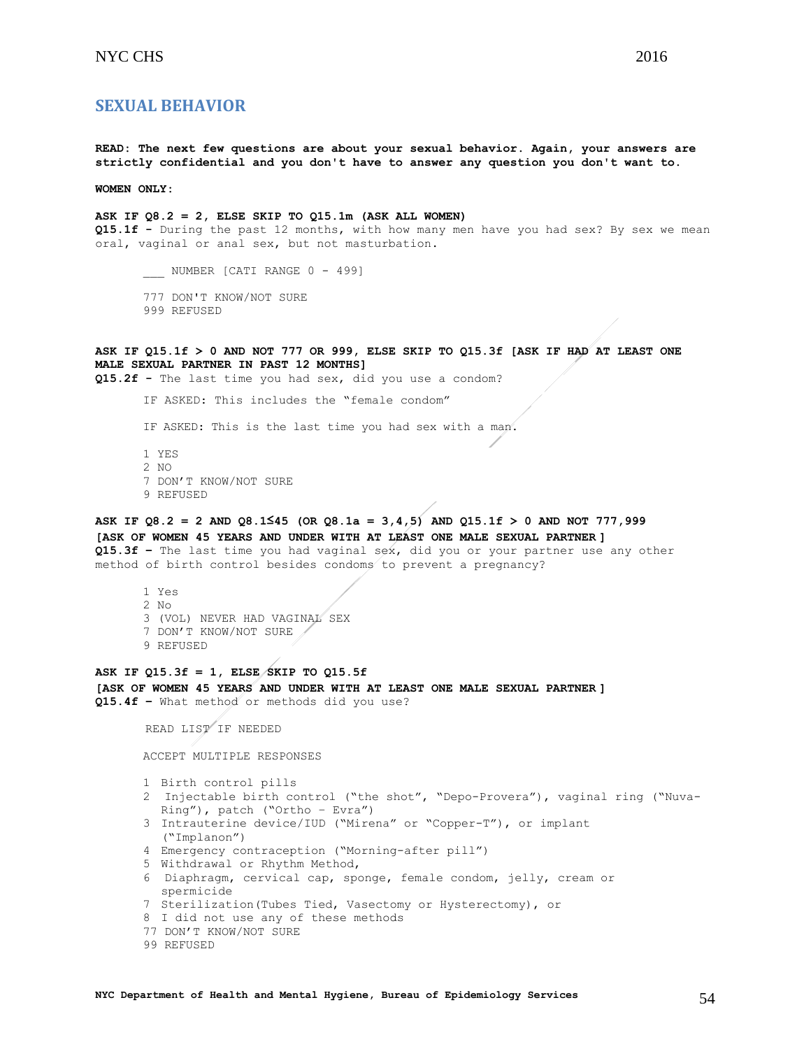## NYC CHS 2016

## <span id="page-53-0"></span>**SEXUAL BEHAVIOR**

**READ: The next few questions are about your sexual behavior. Again, your answers are strictly confidential and you don't have to answer any question you don't want to.**

**WOMEN ONLY:**

**ASK IF Q8.2 = 2, ELSE SKIP TO Q15.1m (ASK ALL WOMEN) Q15.1f -** During the past 12 months, with how many men have you had sex? By sex we mean oral, vaginal or anal sex, but not masturbation.

\_\_\_\_ NUMBER [CATI RANGE 0 - 499]

- 777 DON'T KNOW/NOT SURE
- 999 REFUSED

**ASK IF Q15.1f > 0 AND NOT 777 OR 999, ELSE SKIP TO Q15.3f [ASK IF HAD AT LEAST ONE MALE SEXUAL PARTNER IN PAST 12 MONTHS]**

**Q15.2f -** The last time you had sex, did you use a condom?

IF ASKED: This includes the "female condom"

IF ASKED: This is the last time you had sex with a man.

1 YES 2  $N<sub>O</sub>$ 7 DON'T KNOW/NOT SURE 9 REFUSED

## **ASK IF Q8.2 = 2 AND Q8.1≤45 (OR Q8.1a = 3,4,5) AND Q15.1f > 0 AND NOT 777,999**

**[ASK OF WOMEN 45 YEARS AND UNDER WITH AT LEAST ONE MALE SEXUAL PARTNER ] Q15.3f –** The last time you had vaginal sex, did you or your partner use any other method of birth control besides condoms to prevent a pregnancy?

1 Yes 2 No 3 (VOL) NEVER HAD VAGINAL SEX 7 DON'T KNOW/NOT SURE 9 REFUSED

## **ASK IF Q15.3f = 1, ELSE SKIP TO Q15.5f [ASK OF WOMEN 45 YEARS AND UNDER WITH AT LEAST ONE MALE SEXUAL PARTNER ] Q15.4f –** What method or methods did you use?

READ LIST IF NEEDED

ACCEPT MULTIPLE RESPONSES

1 Birth control pills

- 2 Injectable birth control ("the shot", "Depo-Provera"), vaginal ring ("Nuva-Ring"), patch ("Ortho – Evra")
- 3 Intrauterine device/IUD ("Mirena" or "Copper-T"), or implant ("Implanon")
- 4 Emergency contraception ("Morning-after pill")
- 5 Withdrawal or Rhythm Method,
- 6 Diaphragm, cervical cap, sponge, female condom, jelly, cream or spermicide
- 7 Sterilization(Tubes Tied, Vasectomy or Hysterectomy), or
- 8 I did not use any of these methods
- 77 DON'T KNOW/NOT SURE
- 99 REFUSED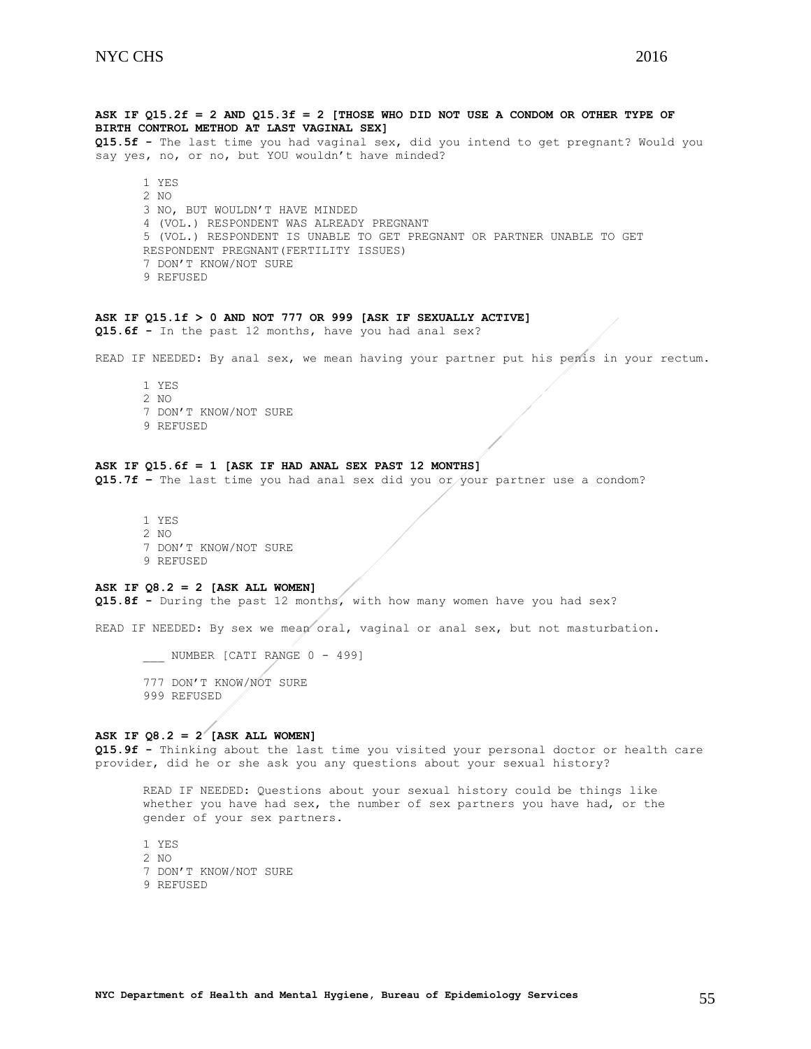**ASK IF Q15.2f = 2 AND Q15.3f = 2 [THOSE WHO DID NOT USE A CONDOM OR OTHER TYPE OF BIRTH CONTROL METHOD AT LAST VAGINAL SEX]** 

**Q15.5f -** The last time you had vaginal sex, did you intend to get pregnant? Would you say yes, no, or no, but YOU wouldn't have minded?

1 YES 2 NO 3 NO, BUT WOULDN'T HAVE MINDED 4 (VOL.) RESPONDENT WAS ALREADY PREGNANT 5 (VOL.) RESPONDENT IS UNABLE TO GET PREGNANT OR PARTNER UNABLE TO GET RESPONDENT PREGNANT(FERTILITY ISSUES) 7 DON'T KNOW/NOT SURE 9 REFUSED

## **ASK IF Q15.1f > 0 AND NOT 777 OR 999 [ASK IF SEXUALLY ACTIVE]**

**Q15.6f -** In the past 12 months, have you had anal sex?

READ IF NEEDED: By anal sex, we mean having your partner put his penis in your rectum.

1 YES 2 NO 7 DON'T KNOW/NOT SURE 9 REFUSED

## **ASK IF Q15.6f = 1 [ASK IF HAD ANAL SEX PAST 12 MONTHS]**

**Q15.7f –** The last time you had anal sex did you or your partner use a condom?

1 YES 2 NO 7 DON'T KNOW/NOT SURE 9 REFUSED

#### **ASK IF Q8.2 = 2 [ASK ALL WOMEN]**

**Q15.8f -** During the past 12 months, with how many women have you had sex?

READ IF NEEDED: By sex we mean oral, vaginal or anal sex, but not masturbation.

NUMBER [CATI RANGE 0 - 499]

777 DON'T KNOW/NOT SURE 999 REFUSED

## ASK IF  $Q8.2 = 2^{7}$  [ASK ALL WOMEN]

**Q15.9f -** Thinking about the last time you visited your personal doctor or health care provider, did he or she ask you any questions about your sexual history?

READ IF NEEDED: Questions about your sexual history could be things like whether you have had sex, the number of sex partners you have had, or the gender of your sex partners.

1 YES 2 NO 7 DON'T KNOW/NOT SURE 9 REFUSED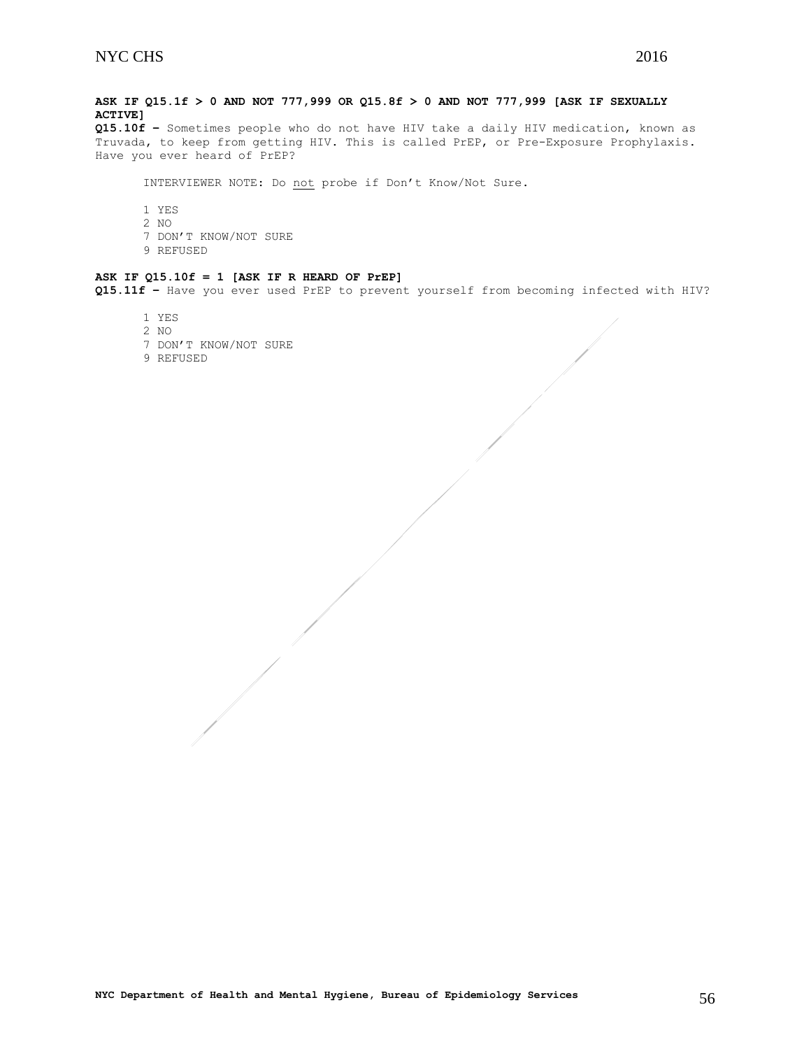**ASK IF Q15.1f > 0 AND NOT 777,999 OR Q15.8f > 0 AND NOT 777,999 [ASK IF SEXUALLY ACTIVE]**

**Q15.10f –** Sometimes people who do not have HIV take a daily HIV medication, known as Truvada, to keep from getting HIV. This is called PrEP, or Pre-Exposure Prophylaxis. Have you ever heard of PrEP?

INTERVIEWER NOTE: Do not probe if Don't Know/Not Sure.

1 YES 2 NO 7 DON'T KNOW/NOT SURE 9 REFUSED

#### **ASK IF Q15.10f = 1 [ASK IF R HEARD OF PrEP]**

**Q15.11f –** Have you ever used PrEP to prevent yourself from becoming infected with HIV?

- 1 YES
- 2 NO
- 7 DON'T KNOW/NOT SURE
- 9 REFUSED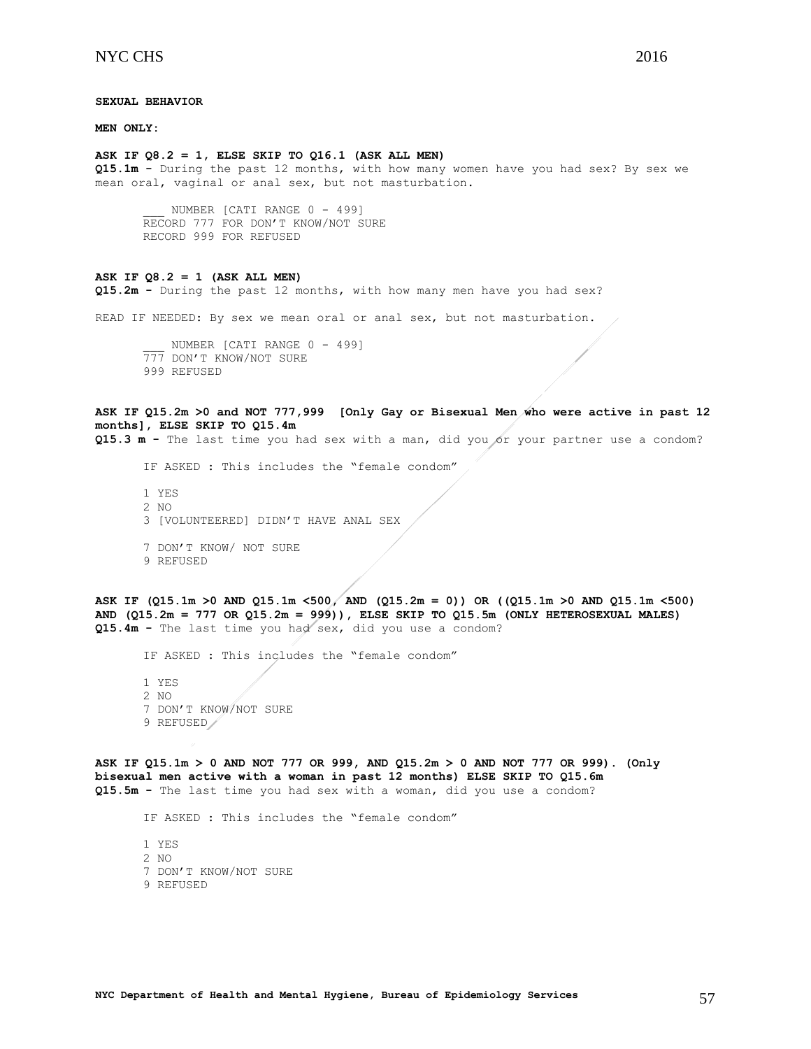**MEN ONLY:**

#### **ASK IF Q8.2 = 1, ELSE SKIP TO Q16.1 (ASK ALL MEN)**

**Q15.1m -** During the past 12 months, with how many women have you had sex? By sex we mean oral, vaginal or anal sex, but not masturbation.

NUMBER [CATI RANGE 0 - 499] RECORD 777 FOR DON'T KNOW/NOT SURE RECORD 999 FOR REFUSED

#### **ASK IF Q8.2 = 1 (ASK ALL MEN)**

**Q15.2m -** During the past 12 months, with how many men have you had sex?

READ IF NEEDED: By sex we mean oral or anal sex, but not masturbation.

NUMBER [CATI RANGE 0 - 499] 777 DON'T KNOW/NOT SURE 999 REFUSED

## **ASK IF Q15.2m >0 and NOT 777,999 [Only Gay or Bisexual Men who were active in past 12 months], ELSE SKIP TO Q15.4m**

**Q15.3 m -** The last time you had sex with a man, did you or your partner use a condom?

IF ASKED : This includes the "female condom"

1 YES 2 NO 3 [VOLUNTEERED] DIDN'T HAVE ANAL SEX 7 DON'T KNOW/ NOT SURE 9 REFUSED

**ASK IF (Q15.1m >0 AND Q15.1m <500, AND (Q15.2m = 0)) OR ((Q15.1m >0 AND Q15.1m <500) AND (Q15.2m = 777 OR Q15.2m = 999)), ELSE SKIP TO Q15.5m (ONLY HETEROSEXUAL MALES) Q15.4m -** The last time you had sex, did you use a condom?

IF ASKED : This includes the "female condom"

1 YES 2 NO 7 DON'T KNOW/NOT SURE 9 REFUSED

**ASK IF Q15.1m > 0 AND NOT 777 OR 999, AND Q15.2m > 0 AND NOT 777 OR 999). (Only bisexual men active with a woman in past 12 months) ELSE SKIP TO Q15.6m Q15.5m -** The last time you had sex with a woman, did you use a condom?

IF ASKED : This includes the "female condom"

1 YES 2 NO 7 DON'T KNOW/NOT SURE 9 REFUSED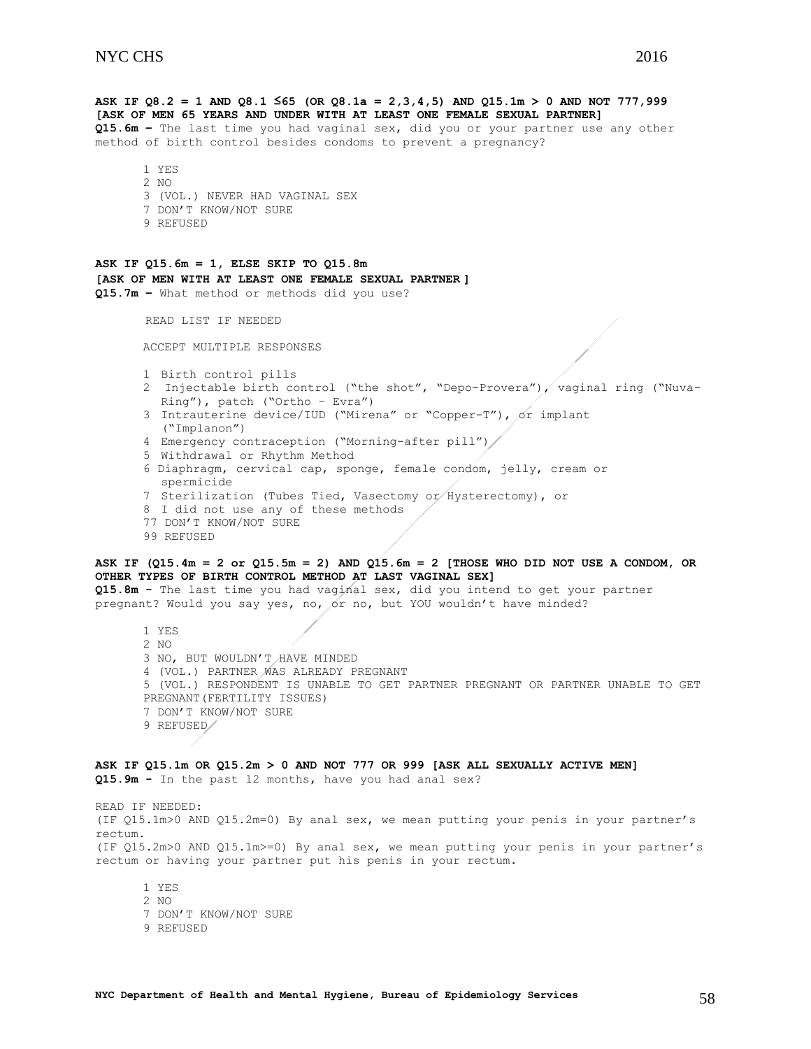**ASK IF Q8.2 = 1 AND Q8.1 ≤65 (OR Q8.1a = 2,3,4,5) AND Q15.1m > 0 AND NOT 777,999 [ASK OF MEN 65 YEARS AND UNDER WITH AT LEAST ONE FEMALE SEXUAL PARTNER] Q15.6m –** The last time you had vaginal sex, did you or your partner use any other method of birth control besides condoms to prevent a pregnancy? 1 YES 2 NO 3 (VOL.) NEVER HAD VAGINAL SEX 7 DON'T KNOW/NOT SURE 9 REFUSED **ASK IF Q15.6m = 1, ELSE SKIP TO Q15.8m [ASK OF MEN WITH AT LEAST ONE FEMALE SEXUAL PARTNER ] Q15.7m –** What method or methods did you use? READ LIST IF NEEDED ACCEPT MULTIPLE RESPONSES 1 Birth control pills 2 Injectable birth control ("the shot", "Depo-Provera"), vaginal ring ("Nuva-Ring"), patch ("Ortho – Evra") 3 Intrauterine device/IUD ("Mirena" or "Copper-T"), or implant ("Implanon") 4 Emergency contraception ("Morning-after pill")/ 5 Withdrawal or Rhythm Method 6 Diaphragm, cervical cap, sponge, female condom, jelly, cream or spermicide 7 Sterilization (Tubes Tied, Vasectomy or Hysterectomy), or 8 I did not use any of these methods 77 DON'T KNOW/NOT SURE 99 REFUSED **ASK IF (Q15.4m = 2 or Q15.5m = 2) AND Q15.6m = 2 [THOSE WHO DID NOT USE A CONDOM, OR OTHER TYPES OF BIRTH CONTROL METHOD AT LAST VAGINAL SEX] Q15.8m -** The last time you had vaginal sex, did you intend to get your partner pregnant? Would you say yes, no, or no, but YOU wouldn't have minded? 1 YES 2 NO 3 NO, BUT WOULDN'T HAVE MINDED 4 (VOL.) PARTNER WAS ALREADY PREGNANT 5 (VOL.) RESPONDENT IS UNABLE TO GET PARTNER PREGNANT OR PARTNER UNABLE TO GET PREGNANT(FERTILITY ISSUES) 7 DON'T KNOW/NOT SURE 9 REFUSED **ASK IF Q15.1m OR Q15.2m > 0 AND NOT 777 OR 999 [ASK ALL SEXUALLY ACTIVE MEN] Q15.9m -** In the past 12 months, have you had anal sex?

READ IF NEEDED: (IF Q15.1m>0 AND Q15.2m=0) By anal sex, we mean putting your penis in your partner's rectum. (IF Q15.2m>0 AND Q15.1m>=0) By anal sex, we mean putting your penis in your partner's rectum or having your partner put his penis in your rectum.

1 YES 2 NO 7 DON'T KNOW/NOT SURE 9 REFUSED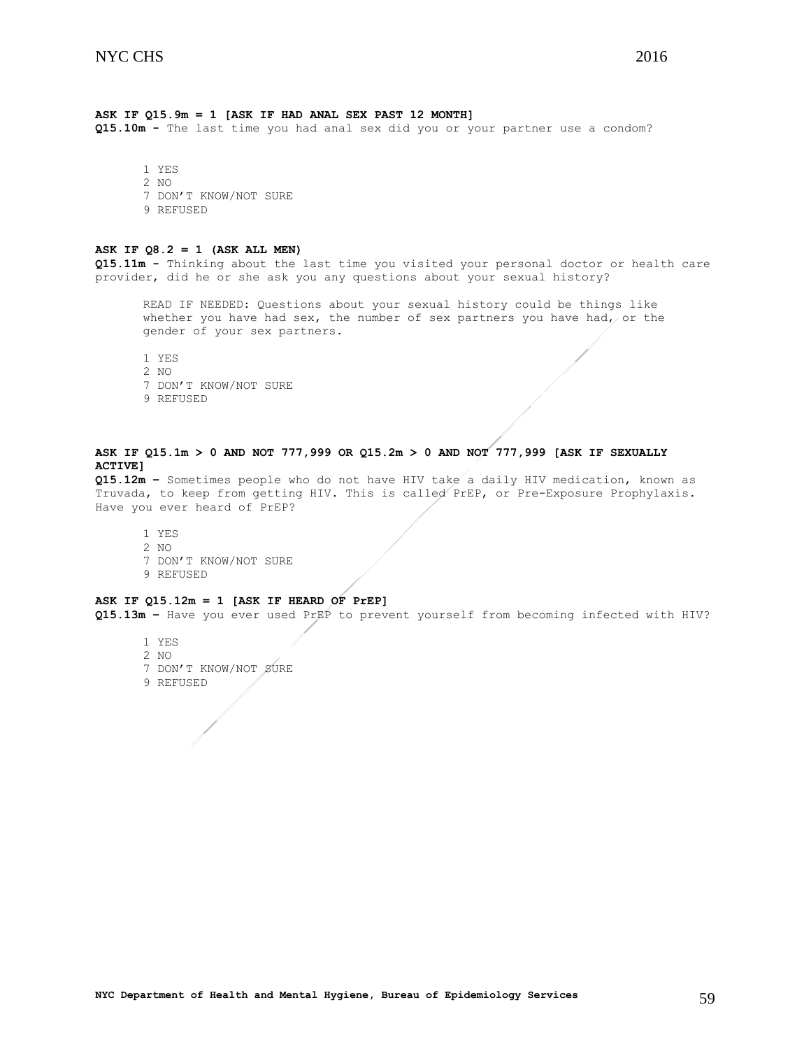## **ASK IF Q15.9m = 1 [ASK IF HAD ANAL SEX PAST 12 MONTH]**

**Q15.10m -** The last time you had anal sex did you or your partner use a condom?

1 YES 2 NO 7 DON'T KNOW/NOT SURE 9 REFUSED

### **ASK IF Q8.2 = 1 (ASK ALL MEN)**

**Q15.11m -** Thinking about the last time you visited your personal doctor or health care provider, did he or she ask you any questions about your sexual history?

READ IF NEEDED: Questions about your sexual history could be things like whether you have had sex, the number of sex partners you have had, or the gender of your sex partners.

1 YES 2 NO 7 DON'T KNOW/NOT SURE 9 REFUSED

## **ASK IF Q15.1m > 0 AND NOT 777,999 OR Q15.2m > 0 AND NOT 777,999 [ASK IF SEXUALLY ACTIVE]**

**Q15.12m –** Sometimes people who do not have HIV take a daily HIV medication, known as Truvada, to keep from getting HIV. This is called PrEP, or Pre-Exposure Prophylaxis. Have you ever heard of PrEP?

1 YES 2 NO 7 DON'T KNOW/NOT SURE 9 REFUSED

### **ASK IF Q15.12m = 1 [ASK IF HEARD OF PrEP]**

**Q15.13m –** Have you ever used PrEP to prevent yourself from becoming infected with HIV?

- 1 YES 2 NO
- 7 DON'T KNOW/NOT SURE
- 9 REFUSED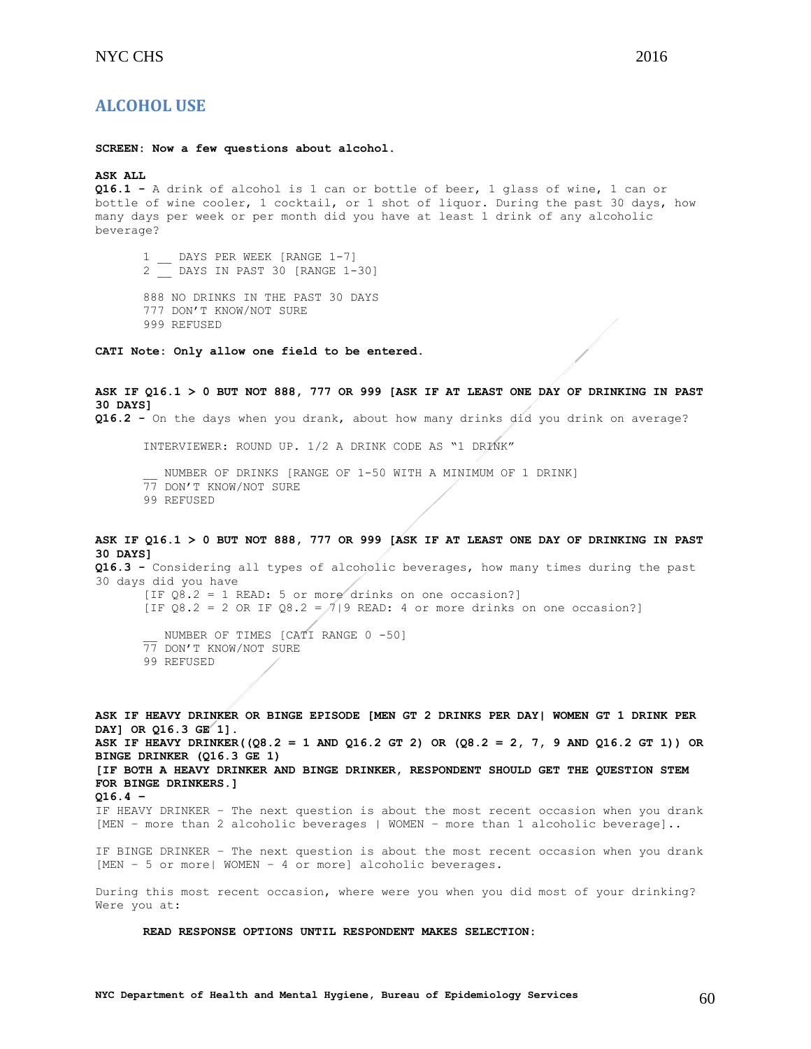## <span id="page-59-0"></span>**ALCOHOL USE**

**SCREEN: Now a few questions about alcohol.**

### **ASK ALL**

**Q16.1 -** A drink of alcohol is 1 can or bottle of beer, 1 glass of wine, 1 can or bottle of wine cooler, 1 cocktail, or 1 shot of liquor. During the past 30 days, how many days per week or per month did you have at least 1 drink of any alcoholic beverage?

1 DAYS PER WEEK [RANGE 1-7] 2 \_\_ DAYS IN PAST 30 [RANGE 1-30]

888 NO DRINKS IN THE PAST 30 DAYS 777 DON'T KNOW/NOT SURE 999 REFUSED

**CATI Note: Only allow one field to be entered.**

**ASK IF Q16.1 > 0 BUT NOT 888, 777 OR 999 [ASK IF AT LEAST ONE DAY OF DRINKING IN PAST 30 DAYS] Q16.2 -** On the days when you drank, about how many drinks did you drink on average?

INTERVIEWER: ROUND UP. 1/2 A DRINK CODE AS "1 DRINK"

NUMBER OF DRINKS [RANGE OF 1-50 WITH A MINIMUM OF 1 DRINK] 77 DON'T KNOW/NOT SURE

99 REFUSED

## **ASK IF Q16.1 > 0 BUT NOT 888, 777 OR 999 [ASK IF AT LEAST ONE DAY OF DRINKING IN PAST 30 DAYS]**

**Q16.3 -** Considering all types of alcoholic beverages, how many times during the past 30 days did you have [IF  $08.2 = 1$  READ: 5 or more drinks on one occasion?] [IF Q8.2 = 2 OR IF Q8.2 =  $7/9$  READ: 4 or more drinks on one occasion?] NUMBER OF TIMES [CATI RANGE 0 -50] 77 DON'T KNOW/NOT SURE 99 REFUSED

**ASK IF HEAVY DRINKER OR BINGE EPISODE [MEN GT 2 DRINKS PER DAY| WOMEN GT 1 DRINK PER DAY] OR Q16.3 GE 1]. ASK IF HEAVY DRINKER((Q8.2 = 1 AND Q16.2 GT 2) OR (Q8.2 = 2, 7, 9 AND Q16.2 GT 1)) OR BINGE DRINKER (Q16.3 GE 1) [IF BOTH A HEAVY DRINKER AND BINGE DRINKER, RESPONDENT SHOULD GET THE QUESTION STEM FOR BINGE DRINKERS.] Q16.4 –** IF HEAVY DRINKER – The next question is about the most recent occasion when you drank [MEN - more than 2 alcoholic beverages | WOMEN - more than 1 alcoholic beverage]..

IF BINGE DRINKER – The next question is about the most recent occasion when you drank [MEN – 5 or more| WOMEN – 4 or more] alcoholic beverages.

During this most recent occasion, where were you when you did most of your drinking? Were you at:

#### **READ RESPONSE OPTIONS UNTIL RESPONDENT MAKES SELECTION:**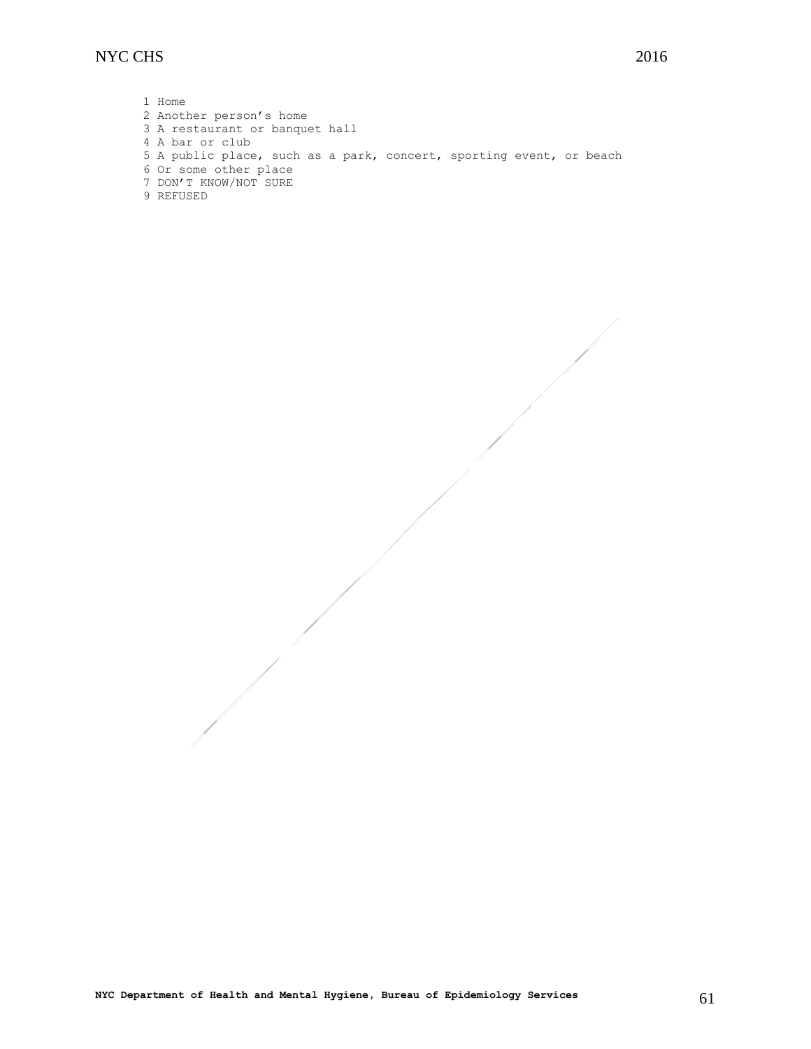## NYC CHS<sup>2016</sup>

1 Home 2 Another person's home 3 A restaurant or banquet hall 4 A bar or club 5 A public place, such as a park, concert, sporting event, or beach 6 Or some other place 7 DON'T KNOW/NOT SURE 9 REFUSED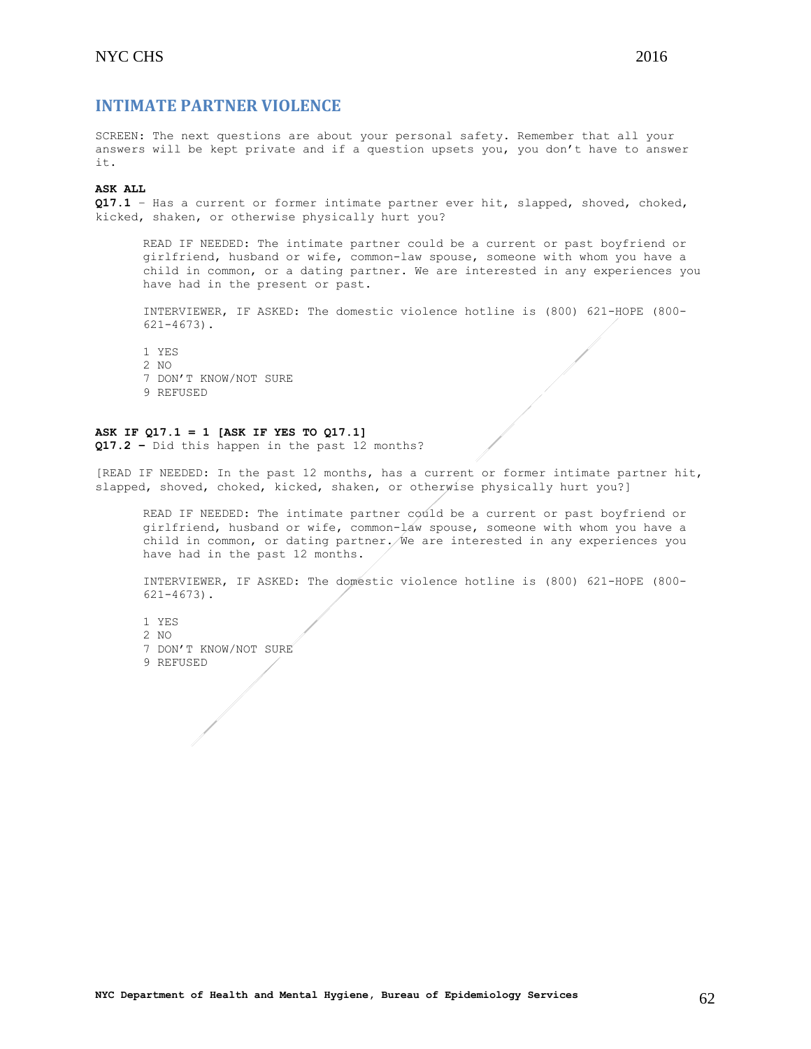<span id="page-61-0"></span>SCREEN: The next questions are about your personal safety. Remember that all your answers will be kept private and if a question upsets you, you don't have to answer it.

## **ASK ALL**

**Q17.1** – Has a current or former intimate partner ever hit, slapped, shoved, choked, kicked, shaken, or otherwise physically hurt you?

READ IF NEEDED: The intimate partner could be a current or past boyfriend or girlfriend, husband or wife, common-law spouse, someone with whom you have a child in common, or a dating partner. We are interested in any experiences you have had in the present or past.

INTERVIEWER, IF ASKED: The domestic violence hotline is (800) 621-HOPE (800- 621-4673).

1 YES  $2 NQ$ 7 DON'T KNOW/NOT SURE 9 REFUSED

#### **ASK IF Q17.1 = 1 [ASK IF YES TO Q17.1]**

**Q17.2 –** Did this happen in the past 12 months?

[READ IF NEEDED: In the past 12 months, has a current or former intimate partner hit, slapped, shoved, choked, kicked, shaken, or otherwise physically hurt you?]

READ IF NEEDED: The intimate partner could be a current or past boyfriend or girlfriend, husband or wife, common-law spouse, someone with whom you have a child in common, or dating partner. We are interested in any experiences you have had in the past 12 months.

INTERVIEWER, IF ASKED: The domestic violence hotline is (800) 621-HOPE (800- 621-4673).

1 YES 2 NO 7 DON'T KNOW/NOT SURE 9 REFUSED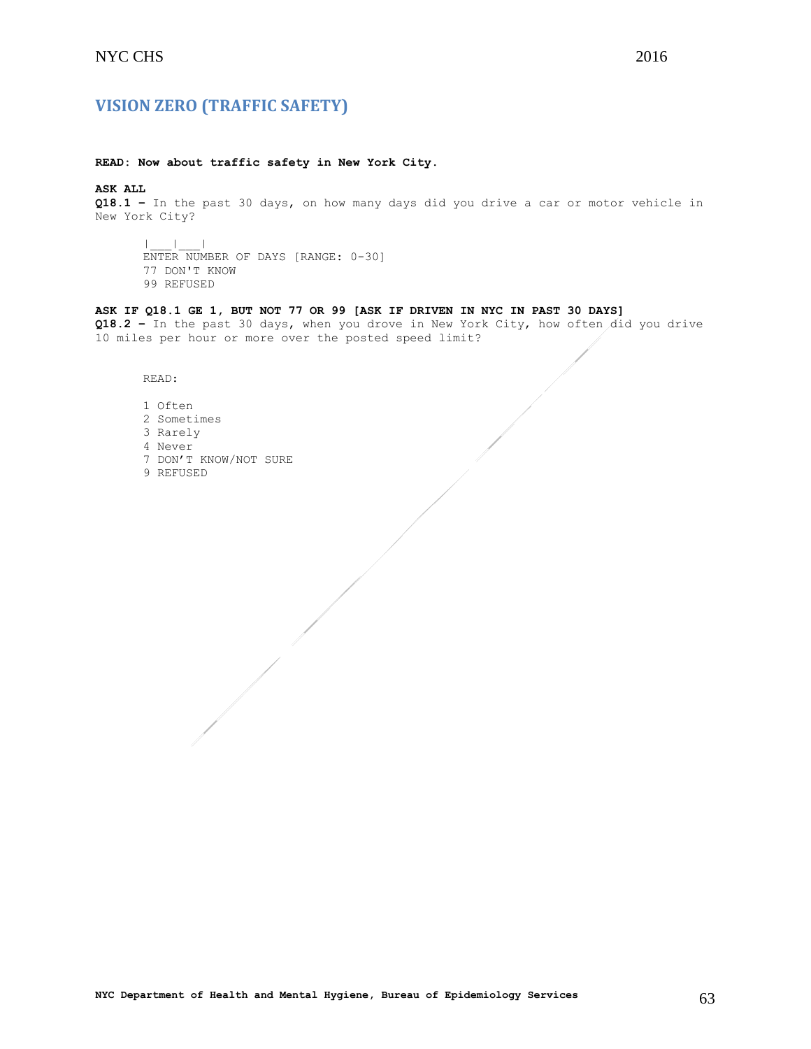## <span id="page-62-0"></span>**VISION ZERO (TRAFFIC SAFETY)**

## **READ: Now about traffic safety in New York City.**

**ASK ALL**

**Q18.1 –** In the past 30 days, on how many days did you drive a car or motor vehicle in New York City?

|\_\_\_|\_\_\_| ENTER NUMBER OF DAYS [RANGE: 0-30] 77 DON'T KNOW 99 REFUSED

## **ASK IF Q18.1 GE 1, BUT NOT 77 OR 99 [ASK IF DRIVEN IN NYC IN PAST 30 DAYS]**

**Q18.2 –** In the past 30 days, when you drove in New York City, how often did you drive 10 miles per hour or more over the posted speed limit?

READ:

- 1 Often 2 Sometimes 3 Rarely 4 Never 7 DON'T KNOW/NOT SURE
- 9 REFUSED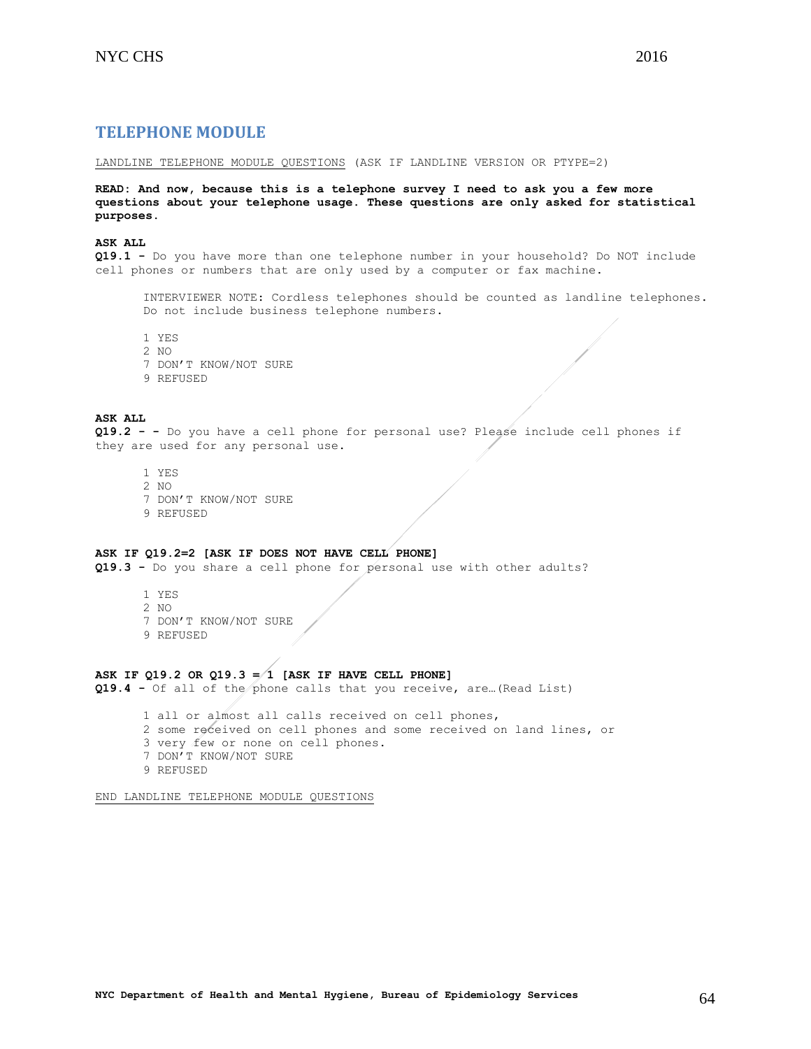## <span id="page-63-0"></span>**TELEPHONE MODULE**

LANDLINE TELEPHONE MODULE QUESTIONS (ASK IF LANDLINE VERSION OR PTYPE=2)

**READ: And now, because this is a telephone survey I need to ask you a few more questions about your telephone usage. These questions are only asked for statistical purposes.**

#### **ASK ALL**

**Q19.1 -** Do you have more than one telephone number in your household? Do NOT include cell phones or numbers that are only used by a computer or fax machine.

INTERVIEWER NOTE: Cordless telephones should be counted as landline telephones. Do not include business telephone numbers.

1 YES

 $2 N()$ 

- 7 DON'T KNOW/NOT SURE
- 9 REFUSED

#### **ASK ALL**

**Q19.2 - -** Do you have a cell phone for personal use? Please include cell phones if they are used for any personal use.

- 1 YES
- 2 NO
- 7 DON'T KNOW/NOT SURE
- 9 REFUSED
- 

### **ASK IF Q19.2=2 [ASK IF DOES NOT HAVE CELL PHONE]**

**Q19.3 -** Do you share a cell phone for personal use with other adults?

- 1 YES 2 NO 7 DON'T KNOW/NOT SURE
- 9 REFUSED

## **ASK IF Q19.2 OR Q19.3 = 1 [ASK IF HAVE CELL PHONE]**

**Q19.4 -** Of all of the phone calls that you receive, are…(Read List)

1 all or almost all calls received on cell phones, 2 some received on cell phones and some received on land lines, or 3 very few or none on cell phones. 7 DON'T KNOW/NOT SURE 9 REFUSED

END LANDLINE TELEPHONE MODULE QUESTIONS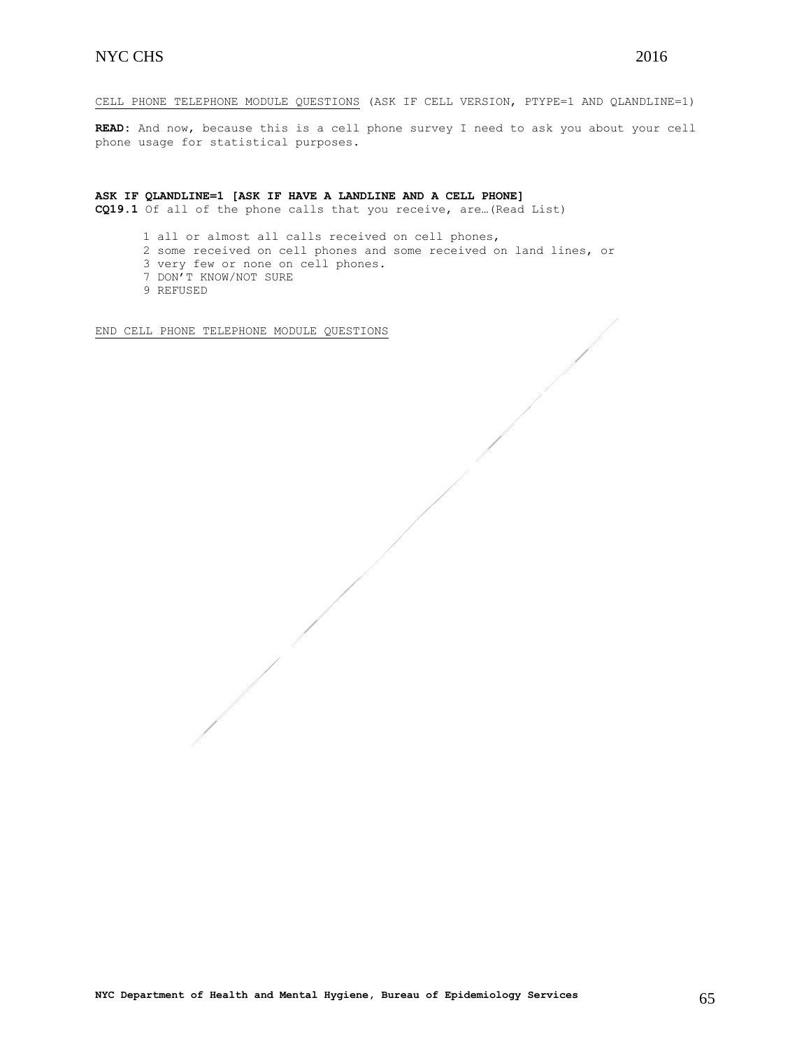CELL PHONE TELEPHONE MODULE QUESTIONS (ASK IF CELL VERSION, PTYPE=1 AND QLANDLINE=1)

**READ:** And now, because this is a cell phone survey I need to ask you about your cell phone usage for statistical purposes.

## **ASK IF QLANDLINE=1 [ASK IF HAVE A LANDLINE AND A CELL PHONE]**

**CQ19.1** Of all of the phone calls that you receive, are…(Read List)

1 all or almost all calls received on cell phones,

- 2 some received on cell phones and some received on land lines, or
- 3 very few or none on cell phones.
- 7 DON'T KNOW/NOT SURE
- 9 REFUSED

END CELL PHONE TELEPHONE MODULE QUESTIONS